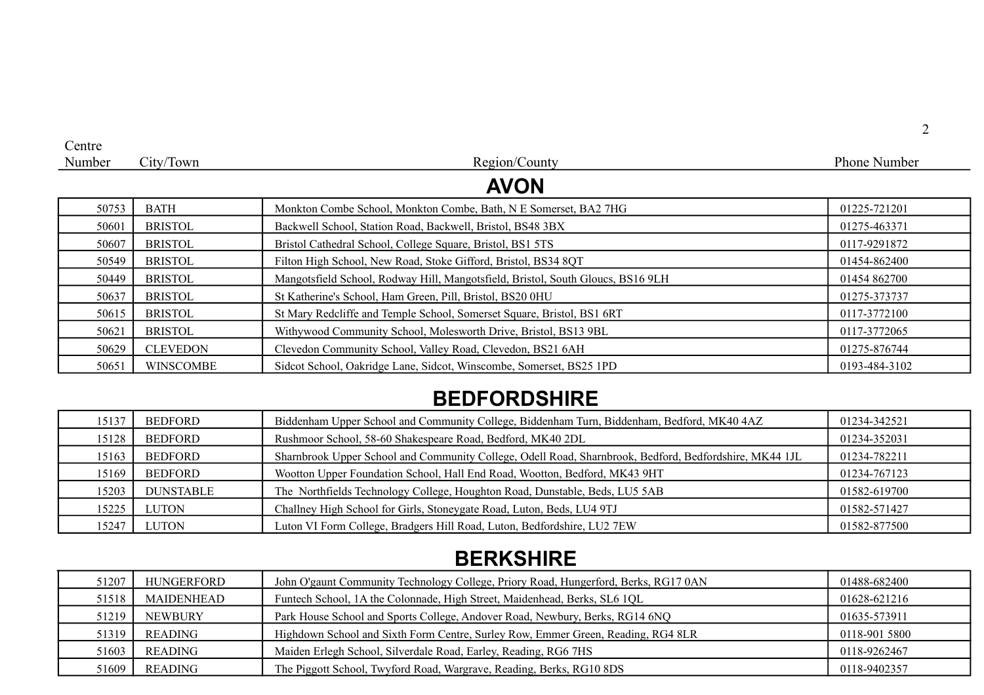| Centre |                  |                                                                                 |                     |  |
|--------|------------------|---------------------------------------------------------------------------------|---------------------|--|
| Number | City/Town        | Region/County                                                                   | <b>Phone Number</b> |  |
|        |                  | <b>AVON</b>                                                                     |                     |  |
| 50753  | <b>BATH</b>      | Monkton Combe School, Monkton Combe, Bath, N E Somerset, BA2 7HG                | 01225-721201        |  |
| 50601  | <b>BRISTOL</b>   | Backwell School, Station Road, Backwell, Bristol, BS48 3BX                      | 01275-463371        |  |
| 50607  | <b>BRISTOL</b>   | Bristol Cathedral School, College Square, Bristol, BS1 5TS                      | 0117-9291872        |  |
| 50549  | <b>BRISTOL</b>   | Filton High School, New Road, Stoke Gifford, Bristol, BS34 8QT                  | 01454-862400        |  |
| 50449  | <b>BRISTOL</b>   | Mangotsfield School, Rodway Hill, Mangotsfield, Bristol, South Gloucs, BS16 9LH | 01454 862700        |  |
| 50637  | <b>BRISTOL</b>   | St Katherine's School, Ham Green, Pill, Bristol, BS20 0HU                       | 01275-373737        |  |
| 50615  | <b>BRISTOL</b>   | St Mary Redcliffe and Temple School, Somerset Square, Bristol, BS1 6RT          | 0117-3772100        |  |
| 50621  | <b>BRISTOL</b>   | Withywood Community School, Molesworth Drive, Bristol, BS13 9BL                 | 0117-3772065        |  |
| 50629  | <b>CLEVEDON</b>  | Clevedon Community School, Valley Road, Clevedon, BS21 6AH                      | 01275-876744        |  |
| 50651  | <b>WINSCOMBE</b> | Sidcot School, Oakridge Lane, Sidcot, Winscombe, Somerset, BS25 1PD             | 0193-484-3102       |  |

### **BEDFORDSHIRE**

| 15137 | <b>BEDFORD</b>   | Biddenham Upper School and Community College, Biddenham Turn, Biddenham, Bedford, MK40 4AZ             | 01234-342521 |
|-------|------------------|--------------------------------------------------------------------------------------------------------|--------------|
| 15128 | <b>BEDFORD</b>   | Rushmoor School, 58-60 Shakespeare Road, Bedford, MK40 2DL                                             | 01234-352031 |
| 15163 | <b>BEDFORD</b>   | Sharnbrook Upper School and Community College, Odell Road, Sharnbrook, Bedford, Bedfordshire, MK44 1JL | 01234-782211 |
| 15169 | <b>BEDFORD</b>   | Wootton Upper Foundation School, Hall End Road, Wootton, Bedford, MK43 9HT                             | 01234-767123 |
| 15203 | <b>DUNSTABLE</b> | The Northfields Technology College, Houghton Road, Dunstable, Beds, LU5 5AB                            | 01582-619700 |
| 15225 | LUTON            | Challney High School for Girls, Stoneygate Road, Luton, Beds, LU4 9TJ                                  | 01582-571427 |
| 15247 | LUTON            | Luton VI Form College, Bradgers Hill Road, Luton, Bedfordshire, LU2 7EW                                | 01582-877500 |

## **BERKSHIRE**

| 51207 | HUNGERFORD     | John O'gaunt Community Technology College, Priory Road, Hungerford, Berks, RG17 0AN | 01488-682400  |
|-------|----------------|-------------------------------------------------------------------------------------|---------------|
| 51518 | MAIDENHEAD     | Funtech School, 1A the Colonnade, High Street, Maidenhead, Berks, SL6 1QL           | 01628-621216  |
| 51219 | <b>NEWBURY</b> | Park House School and Sports College, Andover Road, Newbury, Berks, RG14 6NQ        | 01635-573911  |
| 51319 | READING        | Highdown School and Sixth Form Centre, Surley Row, Emmer Green, Reading, RG4 8LR    | 0118-901 5800 |
| 51603 | READING        | Maiden Erlegh School, Silverdale Road, Earley, Reading, RG6 7HS                     | 0118-9262467  |
| 51609 | READING        | The Piggott School, Twyford Road, Wargrave, Reading, Berks, RG10 8DS                | 0118-9402357  |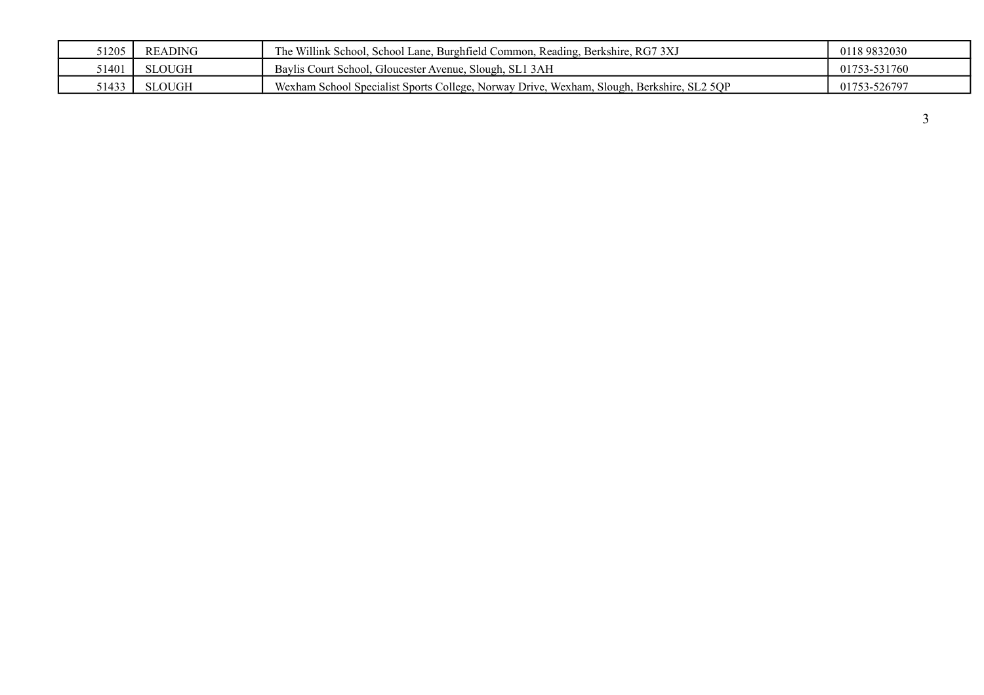| 51205 | <b>READING</b> | The Willink School, School Lane, Burghfield Common, Reading, Berkshire, RG7 3XJ           | 0118 9832030 |
|-------|----------------|-------------------------------------------------------------------------------------------|--------------|
| 1401د | <b>SLOUGH</b>  | Baylis Court School, Gloucester Avenue, Slough, SL1 3AH                                   | 01753-531760 |
| 51433 | SLOUGH         | Wexham School Specialist Sports College, Norway Drive, Wexham, Slough, Berkshire, SL2 5QP | 01753-526797 |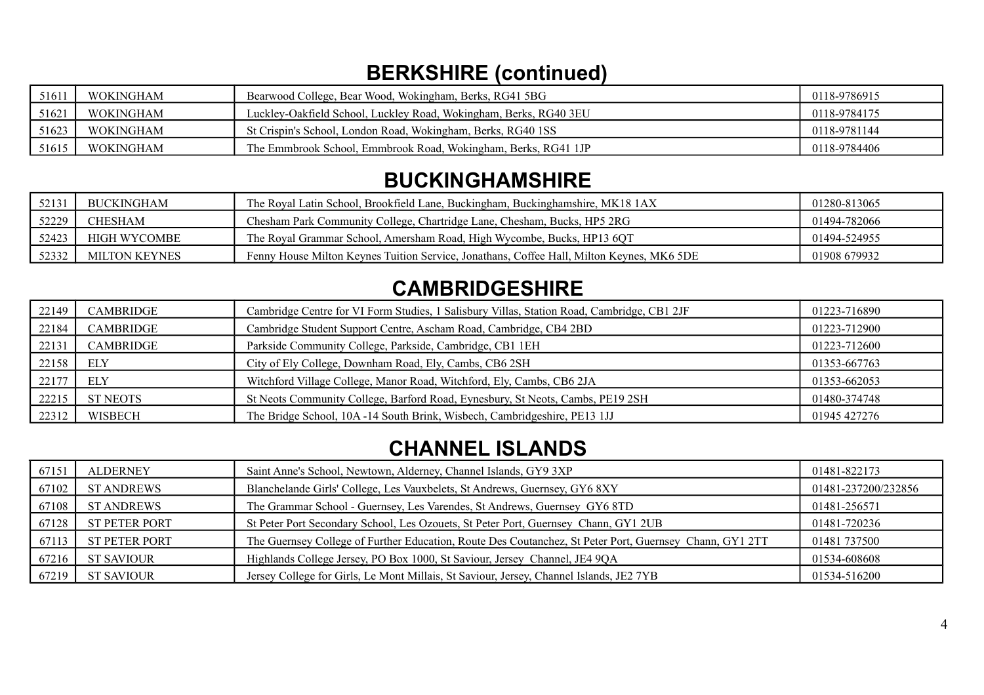## **BERKSHIRE (continued)**

| 51611 | <b>WOKINGHAM</b> | Bearwood College, Bear Wood, Wokingham, Berks, RG41 5BG           | 0118-9786915 |
|-------|------------------|-------------------------------------------------------------------|--------------|
| 51621 | <b>WOKINGHAM</b> | Luckley-Oakfield School, Luckley Road, Wokingham, Berks, RG40 3EU | 0118-9784175 |
| 51623 | <b>WOKINGHAM</b> | St Crispin's School, London Road, Wokingham, Berks, RG40 1SS      | 0118-9781144 |
| 51615 | <b>WOKINGHAM</b> | The Emmbrook School, Emmbrook Road, Wokingham, Berks, RG41 1JP    | 0118-9784406 |

### **BUCKINGHAMSHIRE**

| 52131 | <b>BUCKINGHAM</b> | The Royal Latin School, Brookfield Lane, Buckingham, Buckinghamshire, MK18 1AX            | 01280-813065 |
|-------|-------------------|-------------------------------------------------------------------------------------------|--------------|
| 52229 | CHESHAM           | Chesham Park Community College, Chartridge Lane, Chesham, Bucks, HP5 2RG                  | 01494-782066 |
| 52423 | HIGH WYCOMBE      | The Royal Grammar School, Amersham Road, High Wycombe, Bucks, HP13 6QT                    | 01494-524955 |
| 52332 | MILTON KEYNES     | Fenny House Milton Keynes Tuition Service, Jonathans, Coffee Hall, Milton Keynes, MK6 5DE | 01908 679932 |

### **CAMBRIDGESHIRE**

| 22149 | CAMBRIDGE        | Cambridge Centre for VI Form Studies, 1 Salisbury Villas, Station Road, Cambridge, CB1 2JF | 01223-716890 |
|-------|------------------|--------------------------------------------------------------------------------------------|--------------|
| 22184 | CAMBRIDGE        | Cambridge Student Support Centre, Ascham Road, Cambridge, CB4 2BD                          | 01223-712900 |
| 22131 | <b>CAMBRIDGE</b> | Parkside Community College, Parkside, Cambridge, CB1 1EH                                   | 01223-712600 |
| 22158 | ELY              | City of Ely College, Downham Road, Ely, Cambs, CB6 2SH                                     | 01353-667763 |
| 22177 | ELY              | Witchford Village College, Manor Road, Witchford, Ely, Cambs, CB6 2JA                      | 01353-662053 |
| 22215 | ST NEOTS         | St Neots Community College, Barford Road, Eynesbury, St Neots, Cambs, PE19 2SH             | 01480-374748 |
| 22312 | WISBECH          | The Bridge School, 10A -14 South Brink, Wisbech, Cambridgeshire, PE13 1JJ                  | 01945 427276 |

### **CHANNEL ISLANDS**

| 67151 | <b>ALDERNEY</b>      | Saint Anne's School, Newtown, Alderney, Channel Islands, GY9 3XP                                        | 01481-822173        |
|-------|----------------------|---------------------------------------------------------------------------------------------------------|---------------------|
| 67102 | <b>ST ANDREWS</b>    | Blanchelande Girls' College, Les Vauxbelets, St Andrews, Guernsey, GY6 8XY                              | 01481-237200/232856 |
| 67108 | <b>ST ANDREWS</b>    | The Grammar School - Guernsey, Les Varendes, St Andrews, Guernsey GY6 8TD                               | 01481-256571        |
| 67128 | <b>ST PETER PORT</b> | St Peter Port Secondary School, Les Ozouets, St Peter Port, Guernsey Chann, GY1 2UB                     | 01481-720236        |
| 67113 | <b>ST PETER PORT</b> | The Guernsey College of Further Education, Route Des Coutanchez, St Peter Port, Guernsey Chann, GY1 2TT | 01481 737500        |
| 67216 | <b>ST SAVIOUR</b>    | Highlands College Jersey, PO Box 1000, St Saviour, Jersey Channel, JE4 9QA                              | 01534-608608        |
| 67219 | <b>ST SAVIOUR</b>    | Jersey College for Girls, Le Mont Millais, St Saviour, Jersey, Channel Islands, JE2 7YB                 | 01534-516200        |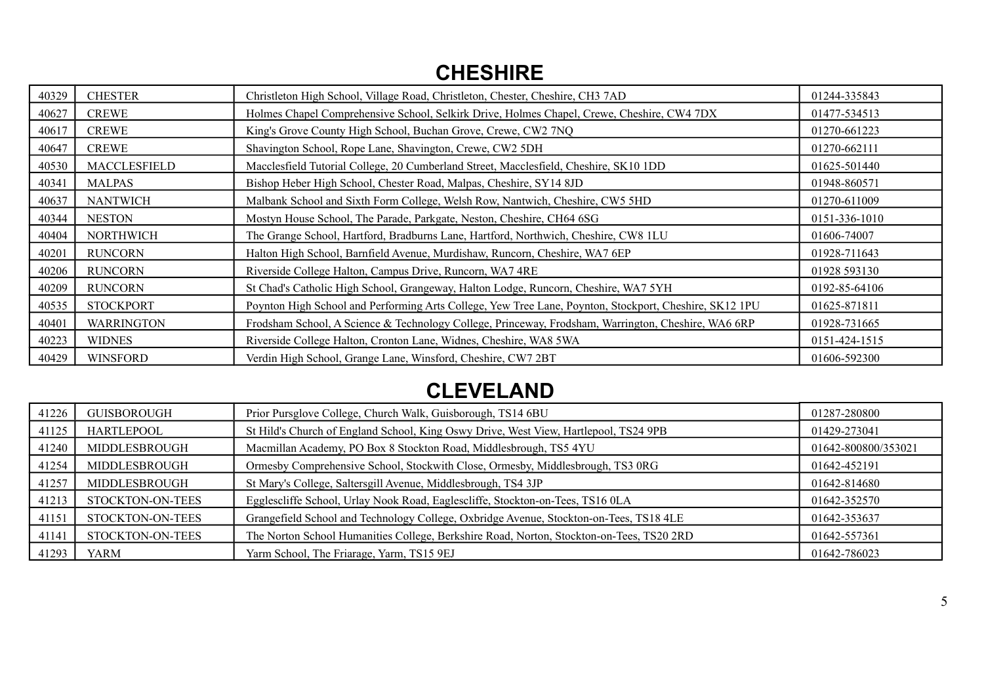### **CHESHIRE**

| 40329 | <b>CHESTER</b>    | Christleton High School, Village Road, Christleton, Chester, Cheshire, CH3 7AD                         | 01244-335843  |
|-------|-------------------|--------------------------------------------------------------------------------------------------------|---------------|
| 40627 | <b>CREWE</b>      | Holmes Chapel Comprehensive School, Selkirk Drive, Holmes Chapel, Crewe, Cheshire, CW4 7DX             | 01477-534513  |
| 40617 | <b>CREWE</b>      | King's Grove County High School, Buchan Grove, Crewe, CW2 7NQ                                          | 01270-661223  |
| 40647 | <b>CREWE</b>      | Shavington School, Rope Lane, Shavington, Crewe, CW2 5DH                                               | 01270-662111  |
| 40530 | MACCLESFIELD      | Macclesfield Tutorial College, 20 Cumberland Street, Macclesfield, Cheshire, SK10 1DD                  | 01625-501440  |
| 40341 | <b>MALPAS</b>     | Bishop Heber High School, Chester Road, Malpas, Cheshire, SY14 8JD                                     | 01948-860571  |
| 40637 | <b>NANTWICH</b>   | Malbank School and Sixth Form College, Welsh Row, Nantwich, Cheshire, CW5 5HD                          | 01270-611009  |
| 40344 | <b>NESTON</b>     | Mostyn House School, The Parade, Parkgate, Neston, Cheshire, CH64 6SG                                  | 0151-336-1010 |
| 40404 | <b>NORTHWICH</b>  | The Grange School, Hartford, Bradburns Lane, Hartford, Northwich, Cheshire, CW8 1LU                    | 01606-74007   |
| 40201 | <b>RUNCORN</b>    | Halton High School, Barnfield Avenue, Murdishaw, Runcorn, Cheshire, WA7 6EP                            | 01928-711643  |
| 40206 | <b>RUNCORN</b>    | Riverside College Halton, Campus Drive, Runcorn, WA7 4RE                                               | 01928 593130  |
| 40209 | <b>RUNCORN</b>    | St Chad's Catholic High School, Grangeway, Halton Lodge, Runcorn, Cheshire, WA7 5YH                    | 0192-85-64106 |
| 40535 | <b>STOCKPORT</b>  | Poynton High School and Performing Arts College, Yew Tree Lane, Poynton, Stockport, Cheshire, SK12 1PU | 01625-871811  |
| 40401 | <b>WARRINGTON</b> | Frodsham School, A Science & Technology College, Princeway, Frodsham, Warrington, Cheshire, WA6 6RP    | 01928-731665  |
| 40223 | <b>WIDNES</b>     | Riverside College Halton, Cronton Lane, Widnes, Cheshire, WA8 5WA                                      | 0151-424-1515 |
| 40429 | <b>WINSFORD</b>   | Verdin High School, Grange Lane, Winsford, Cheshire, CW7 2BT                                           | 01606-592300  |

## **CLEVELAND**

| 41226 | <b>GUISBOROUGH</b> | Prior Pursglove College, Church Walk, Guisborough, TS14 6BU                              | 01287-280800        |
|-------|--------------------|------------------------------------------------------------------------------------------|---------------------|
| 41125 | HARTLEPOOL         | St Hild's Church of England School, King Oswy Drive, West View, Hartlepool, TS24 9PB     | 01429-273041        |
| 41240 | MIDDLESBROUGH      | Macmillan Academy, PO Box 8 Stockton Road, Middlesbrough, TS5 4YU                        | 01642-800800/353021 |
| 41254 | MIDDLESBROUGH      | Ormesby Comprehensive School, Stockwith Close, Ormesby, Middlesbrough, TS3 0RG           | 01642-452191        |
| 41257 | MIDDLESBROUGH      | St Mary's College, Saltersgill Avenue, Middlesbrough, TS4 3JP                            | 01642-814680        |
| 41213 | STOCKTON-ON-TEES   | Egglescliffe School, Urlay Nook Road, Eaglescliffe, Stockton-on-Tees, TS16 0LA           | 01642-352570        |
| 41151 | STOCKTON-ON-TEES   | Grangefield School and Technology College, Oxbridge Avenue, Stockton-on-Tees, TS18 4LE   | 01642-353637        |
| 41141 | STOCKTON-ON-TEES   | The Norton School Humanities College, Berkshire Road, Norton, Stockton-on-Tees, TS20 2RD | 01642-557361        |
| 41293 | YARM               | Yarm School, The Friarage, Yarm, TS15 9EJ                                                | 01642-786023        |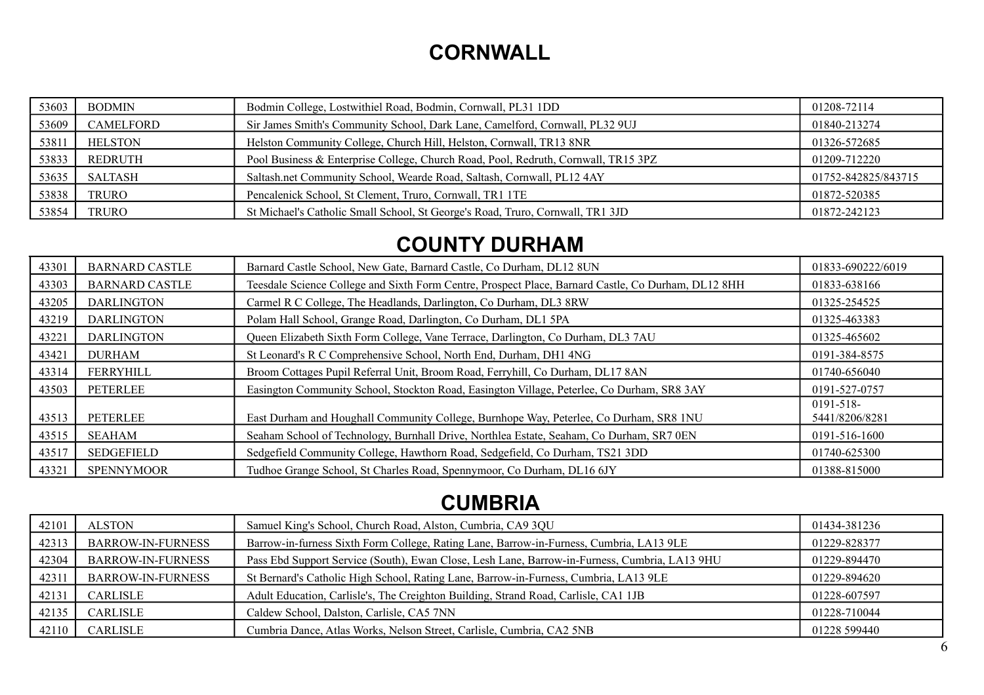## **CORNWALL**

| 53603 | <b>BODMIN</b>  | Bodmin College, Lostwithiel Road, Bodmin, Cornwall, PL31 1DD                       | 01208-72114         |
|-------|----------------|------------------------------------------------------------------------------------|---------------------|
| 53609 | CAMELFORD      | Sir James Smith's Community School, Dark Lane, Camelford, Cornwall, PL32 9UJ       | 01840-213274        |
| 53811 | <b>HELSTON</b> | Helston Community College, Church Hill, Helston, Cornwall, TR13 8NR                | 01326-572685        |
| 53833 | REDRUTH        | Pool Business & Enterprise College, Church Road, Pool, Redruth, Cornwall, TR15 3PZ | 01209-712220        |
| 53635 | <b>SALTASH</b> | Saltash.net Community School, Wearde Road, Saltash, Cornwall, PL12 4AY             | 01752-842825/843715 |
| 53838 | <b>TRURO</b>   | Pencalenick School, St Clement, Truro, Cornwall, TR1 1TE                           | 01872-520385        |
| 53854 | TRURO          | St Michael's Catholic Small School, St George's Road, Truro, Cornwall, TR1 3JD     | 01872-242123        |

## **COUNTY DURHAM**

| 43301 | <b>BARNARD CASTLE</b> | Barnard Castle School, New Gate, Barnard Castle, Co Durham, DL12 8UN                                | 01833-690222/6019              |
|-------|-----------------------|-----------------------------------------------------------------------------------------------------|--------------------------------|
| 43303 | <b>BARNARD CASTLE</b> | Teesdale Science College and Sixth Form Centre, Prospect Place, Barnard Castle, Co Durham, DL12 8HH | 01833-638166                   |
| 43205 | <b>DARLINGTON</b>     | Carmel R C College, The Headlands, Darlington, Co Durham, DL3 8RW                                   | 01325-254525                   |
| 43219 | <b>DARLINGTON</b>     | Polam Hall School, Grange Road, Darlington, Co Durham, DL1 5PA                                      | 01325-463383                   |
| 43221 | <b>DARLINGTON</b>     | Queen Elizabeth Sixth Form College, Vane Terrace, Darlington, Co Durham, DL3 7AU                    | 01325-465602                   |
| 43421 | <b>DURHAM</b>         | St Leonard's R C Comprehensive School, North End, Durham, DH1 4NG                                   | 0191-384-8575                  |
| 43314 | FERRYHILL             | Broom Cottages Pupil Referral Unit, Broom Road, Ferryhill, Co Durham, DL17 8AN                      | 01740-656040                   |
| 43503 | PETERLEE              | Easington Community School, Stockton Road, Easington Village, Peterlee, Co Durham, SR8 3AY          | 0191-527-0757                  |
| 43513 | PETERLEE              | East Durham and Houghall Community College, Burnhope Way, Peterlee, Co Durham, SR8 1NU              | $0191 - 518$<br>5441/8206/8281 |
| 43515 | <b>SEAHAM</b>         | Seaham School of Technology, Burnhall Drive, Northlea Estate, Seaham, Co Durham, SR7 0EN            | 0191-516-1600                  |
| 43517 | SEDGEFIELD            | Sedgefield Community College, Hawthorn Road, Sedgefield, Co Durham, TS21 3DD                        | 01740-625300                   |
| 43321 | <b>SPENNYMOOR</b>     | Tudhoe Grange School, St Charles Road, Spennymoor, Co Durham, DL16 6JY                              | 01388-815000                   |

# **CUMBRIA**

| 42101 | ALSTON                   | Samuel King's School, Church Road, Alston, Cumbria, CA9 3QU                                   | 01434-381236 |
|-------|--------------------------|-----------------------------------------------------------------------------------------------|--------------|
| 42313 | <b>BARROW-IN-FURNESS</b> | Barrow-in-furness Sixth Form College, Rating Lane, Barrow-in-Furness, Cumbria, LA13 9LE       | 01229-828377 |
| 42304 | <b>BARROW-IN-FURNESS</b> | Pass Ebd Support Service (South), Ewan Close, Lesh Lane, Barrow-in-Furness, Cumbria, LA13 9HU | 01229-894470 |
| 42311 | <b>BARROW-IN-FURNESS</b> | St Bernard's Catholic High School, Rating Lane, Barrow-in-Furness, Cumbria, LA13 9LE          | 01229-894620 |
| 42131 | CARLISLE                 | Adult Education, Carlisle's, The Creighton Building, Strand Road, Carlisle, CA1 1JB           | 01228-607597 |
| 42135 | CARLISLE                 | Caldew School, Dalston, Carlisle, CA5 7NN                                                     | 01228-710044 |
| 42110 | <b>CARLISLE</b>          | Cumbria Dance, Atlas Works, Nelson Street, Carlisle, Cumbria, CA2 5NB                         | 01228 599440 |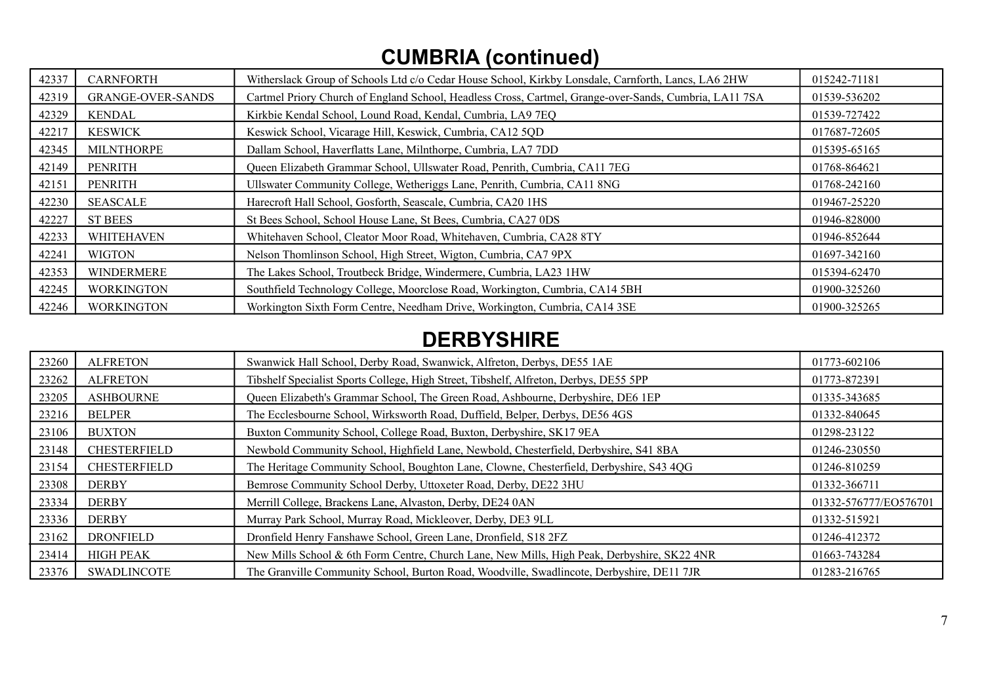# **CUMBRIA (continued)**

| 42337 | <b>CARNFORTH</b>         | Witherslack Group of Schools Ltd c/o Cedar House School, Kirkby Lonsdale, Carnforth, Lancs, LA6 2HW    | 015242-71181 |
|-------|--------------------------|--------------------------------------------------------------------------------------------------------|--------------|
| 42319 | <b>GRANGE-OVER-SANDS</b> | Cartmel Priory Church of England School, Headless Cross, Cartmel, Grange-over-Sands, Cumbria, LA11 7SA | 01539-536202 |
| 42329 | <b>KENDAL</b>            | Kirkbie Kendal School, Lound Road, Kendal, Cumbria, LA9 7EQ                                            | 01539-727422 |
| 42217 | <b>KESWICK</b>           | Keswick School, Vicarage Hill, Keswick, Cumbria, CA12 5QD                                              | 017687-72605 |
| 42345 | <b>MILNTHORPE</b>        | Dallam School, Haverflatts Lane, Milnthorpe, Cumbria, LA7 7DD                                          | 015395-65165 |
| 42149 | <b>PENRITH</b>           | Queen Elizabeth Grammar School, Ullswater Road, Penrith, Cumbria, CA11 7EG                             | 01768-864621 |
| 42151 | <b>PENRITH</b>           | Ullswater Community College, Wetheriggs Lane, Penrith, Cumbria, CA11 8NG                               | 01768-242160 |
| 42230 | <b>SEASCALE</b>          | Harecroft Hall School, Gosforth, Seascale, Cumbria, CA20 1HS                                           | 019467-25220 |
| 42227 | <b>ST BEES</b>           | St Bees School, School House Lane, St Bees, Cumbria, CA27 0DS                                          | 01946-828000 |
| 42233 | <b>WHITEHAVEN</b>        | Whitehaven School, Cleator Moor Road, Whitehaven, Cumbria, CA28 8TY                                    | 01946-852644 |
| 42241 | <b>WIGTON</b>            | Nelson Thomlinson School, High Street, Wigton, Cumbria, CA7 9PX                                        | 01697-342160 |
| 42353 | <b>WINDERMERE</b>        | The Lakes School, Troutbeck Bridge, Windermere, Cumbria, LA23 1HW                                      | 015394-62470 |
| 42245 | <b>WORKINGTON</b>        | Southfield Technology College, Moorclose Road, Workington, Cumbria, CA14 5BH                           | 01900-325260 |
| 42246 | <b>WORKINGTON</b>        | Workington Sixth Form Centre, Needham Drive, Workington, Cumbria, CA14 3SE                             | 01900-325265 |

### **DERBYSHIRE**

| 23260 | <b>ALFRETON</b>     | Swanwick Hall School, Derby Road, Swanwick, Alfreton, Derbys, DE55 1AE                      | 01773-602106          |
|-------|---------------------|---------------------------------------------------------------------------------------------|-----------------------|
| 23262 | <b>ALFRETON</b>     | Tibshelf Specialist Sports College, High Street, Tibshelf, Alfreton, Derbys, DE55 5PP       | 01773-872391          |
| 23205 | <b>ASHBOURNE</b>    | Queen Elizabeth's Grammar School, The Green Road, Ashbourne, Derbyshire, DE6 1EP            | 01335-343685          |
| 23216 | <b>BELPER</b>       | The Ecclesbourne School, Wirksworth Road, Duffield, Belper, Derbys, DE56 4GS                | 01332-840645          |
| 23106 | <b>BUXTON</b>       | Buxton Community School, College Road, Buxton, Derbyshire, SK17 9EA                         | 01298-23122           |
| 23148 | <b>CHESTERFIELD</b> | Newbold Community School, Highfield Lane, Newbold, Chesterfield, Derbyshire, S41 8BA        | 01246-230550          |
| 23154 | <b>CHESTERFIELD</b> | The Heritage Community School, Boughton Lane, Clowne, Chesterfield, Derbyshire, S43 4QG     | 01246-810259          |
| 23308 | <b>DERBY</b>        | Bemrose Community School Derby, Uttoxeter Road, Derby, DE22 3HU                             | 01332-366711          |
| 23334 | <b>DERBY</b>        | Merrill College, Brackens Lane, Alvaston, Derby, DE24 0AN                                   | 01332-576777/EO576701 |
| 23336 | <b>DERBY</b>        | Murray Park School, Murray Road, Mickleover, Derby, DE3 9LL                                 | 01332-515921          |
| 23162 | <b>DRONFIELD</b>    | Dronfield Henry Fanshawe School, Green Lane, Dronfield, S18 2FZ                             | 01246-412372          |
| 23414 | <b>HIGH PEAK</b>    | New Mills School & 6th Form Centre, Church Lane, New Mills, High Peak, Derbyshire, SK22 4NR | 01663-743284          |
| 23376 | <b>SWADLINCOTE</b>  | The Granville Community School, Burton Road, Woodville, Swadlincote, Derbyshire, DE11 7JR   | 01283-216765          |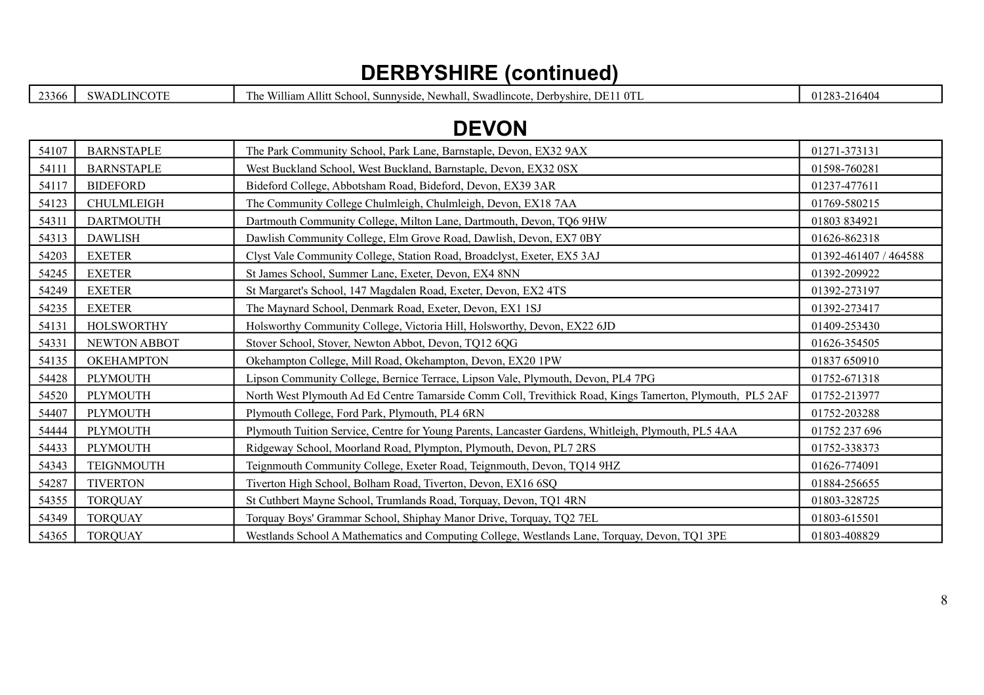### **DERBYSHIRE (continued)**

23366 SWADLINCOTE The William Allitt School, Sunnyside, Newhall, Swadlincote, Derbyshire, DE11 0TL 01283-216404

### **DEVON**

| 54107 | <b>BARNSTAPLE</b> | The Park Community School, Park Lane, Barnstaple, Devon, EX32 9AX                                        | 01271-373131          |
|-------|-------------------|----------------------------------------------------------------------------------------------------------|-----------------------|
| 54111 | <b>BARNSTAPLE</b> | West Buckland School, West Buckland, Barnstaple, Devon, EX32 0SX                                         | 01598-760281          |
| 54117 | <b>BIDEFORD</b>   | Bideford College, Abbotsham Road, Bideford, Devon, EX39 3AR                                              | 01237-477611          |
| 54123 | <b>CHULMLEIGH</b> | The Community College Chulmleigh, Chulmleigh, Devon, EX18 7AA                                            | 01769-580215          |
| 54311 | <b>DARTMOUTH</b>  | Dartmouth Community College, Milton Lane, Dartmouth, Devon, TQ6 9HW                                      | 01803 834921          |
| 54313 | <b>DAWLISH</b>    | Dawlish Community College, Elm Grove Road, Dawlish, Devon, EX7 0BY                                       | 01626-862318          |
| 54203 | <b>EXETER</b>     | Clyst Vale Community College, Station Road, Broadclyst, Exeter, EX5 3AJ                                  | 01392-461407 / 464588 |
| 54245 | <b>EXETER</b>     | St James School, Summer Lane, Exeter, Devon, EX4 8NN                                                     | 01392-209922          |
| 54249 | <b>EXETER</b>     | St Margaret's School, 147 Magdalen Road, Exeter, Devon, EX2 4TS                                          | 01392-273197          |
| 54235 | <b>EXETER</b>     | The Maynard School, Denmark Road, Exeter, Devon, EX1 1SJ                                                 | 01392-273417          |
| 54131 | <b>HOLSWORTHY</b> | Holsworthy Community College, Victoria Hill, Holsworthy, Devon, EX22 6JD                                 | 01409-253430          |
| 54331 | NEWTON ABBOT      | Stover School, Stover, Newton Abbot, Devon, TQ12 6QG                                                     | 01626-354505          |
| 54135 | <b>OKEHAMPTON</b> | Okehampton College, Mill Road, Okehampton, Devon, EX20 1PW                                               | 01837 650910          |
| 54428 | PLYMOUTH          | Lipson Community College, Bernice Terrace, Lipson Vale, Plymouth, Devon, PL4 7PG                         | 01752-671318          |
| 54520 | PLYMOUTH          | North West Plymouth Ad Ed Centre Tamarside Comm Coll, Trevithick Road, Kings Tamerton, Plymouth, PL5 2AF | 01752-213977          |
| 54407 | <b>PLYMOUTH</b>   | Plymouth College, Ford Park, Plymouth, PL4 6RN                                                           | 01752-203288          |
| 54444 | PLYMOUTH          | Plymouth Tuition Service, Centre for Young Parents, Lancaster Gardens, Whitleigh, Plymouth, PL5 4AA      | 01752 237 696         |
| 54433 | PLYMOUTH          | Ridgeway School, Moorland Road, Plympton, Plymouth, Devon, PL7 2RS                                       | 01752-338373          |
| 54343 | TEIGNMOUTH        | Teignmouth Community College, Exeter Road, Teignmouth, Devon, TQ14 9HZ                                   | 01626-774091          |
| 54287 | <b>TIVERTON</b>   | Tiverton High School, Bolham Road, Tiverton, Devon, EX16 6SQ                                             | 01884-256655          |
| 54355 | <b>TORQUAY</b>    | St Cuthbert Mayne School, Trumlands Road, Torquay, Devon, TQ1 4RN                                        | 01803-328725          |
| 54349 | <b>TORQUAY</b>    | Torquay Boys' Grammar School, Shiphay Manor Drive, Torquay, TQ2 7EL                                      | 01803-615501          |
| 54365 | <b>TORQUAY</b>    | Westlands School A Mathematics and Computing College, Westlands Lane, Torquay, Devon, TQ1 3PE            | 01803-408829          |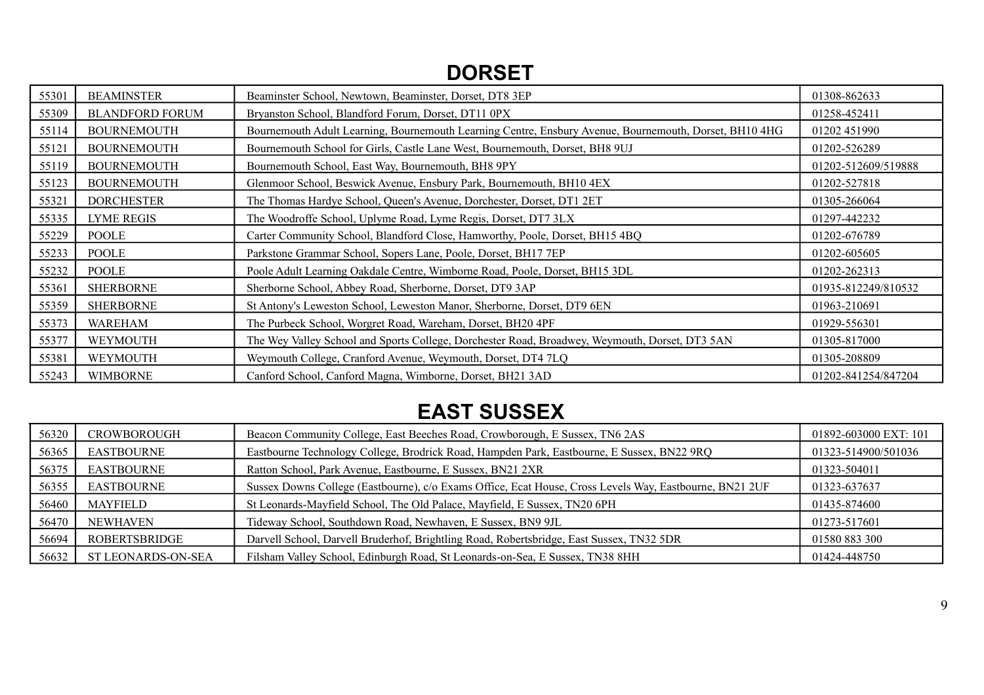## **DORSET**

| 55301 | <b>BEAMINSTER</b>      | Beaminster School, Newtown, Beaminster, Dorset, DT8 3EP                                                | 01308-862633        |
|-------|------------------------|--------------------------------------------------------------------------------------------------------|---------------------|
| 55309 | <b>BLANDFORD FORUM</b> | Bryanston School, Blandford Forum, Dorset, DT11 0PX                                                    | 01258-452411        |
| 55114 | <b>BOURNEMOUTH</b>     | Bournemouth Adult Learning, Bournemouth Learning Centre, Ensbury Avenue, Bournemouth, Dorset, BH10 4HG | 01202 451990        |
| 55121 | <b>BOURNEMOUTH</b>     | Bournemouth School for Girls, Castle Lane West, Bournemouth, Dorset, BH8 9UJ                           | 01202-526289        |
| 55119 | <b>BOURNEMOUTH</b>     | Bournemouth School, East Way, Bournemouth, BH8 9PY                                                     | 01202-512609/519888 |
| 55123 | <b>BOURNEMOUTH</b>     | Glenmoor School, Beswick Avenue, Ensbury Park, Bournemouth, BH10 4EX                                   | 01202-527818        |
| 55321 | <b>DORCHESTER</b>      | The Thomas Hardye School, Queen's Avenue, Dorchester, Dorset, DT1 2ET                                  | 01305-266064        |
| 55335 | <b>LYME REGIS</b>      | The Woodroffe School, Uplyme Road, Lyme Regis, Dorset, DT7 3LX                                         | 01297-442232        |
| 55229 | <b>POOLE</b>           | Carter Community School, Blandford Close, Hamworthy, Poole, Dorset, BH15 4BQ                           | 01202-676789        |
| 55233 | <b>POOLE</b>           | Parkstone Grammar School, Sopers Lane, Poole, Dorset, BH17 7EP                                         | 01202-605605        |
| 55232 | <b>POOLE</b>           | Poole Adult Learning Oakdale Centre, Wimborne Road, Poole, Dorset, BH15 3DL                            | 01202-262313        |
| 55361 | <b>SHERBORNE</b>       | Sherborne School, Abbey Road, Sherborne, Dorset, DT9 3AP                                               | 01935-812249/810532 |
| 55359 | <b>SHERBORNE</b>       | St Antony's Leweston School, Leweston Manor, Sherborne, Dorset, DT9 6EN                                | 01963-210691        |
| 55373 | <b>WAREHAM</b>         | The Purbeck School, Worgret Road, Wareham, Dorset, BH20 4PF                                            | 01929-556301        |
| 55377 | WEYMOUTH               | The Wey Valley School and Sports College, Dorchester Road, Broadwey, Weymouth, Dorset, DT3 5AN         | 01305-817000        |
| 55381 | WEYMOUTH               | Weymouth College, Cranford Avenue, Weymouth, Dorset, DT4 7LQ                                           | 01305-208809        |
| 55243 | <b>WIMBORNE</b>        | Canford School, Canford Magna, Wimborne, Dorset, BH21 3AD                                              | 01202-841254/847204 |

## **EAST SUSSEX**

| 56320 | <b>CROWBOROUGH</b>        | Beacon Community College, East Beeches Road, Crowborough, E Sussex, TN6 2AS                             | 01892-603000 EXT: 101 |
|-------|---------------------------|---------------------------------------------------------------------------------------------------------|-----------------------|
| 56365 | <b>EASTBOURNE</b>         | Eastbourne Technology College, Brodrick Road, Hampden Park, Eastbourne, E Sussex, BN22 9RQ              | 01323-514900/501036   |
| 56375 | <b>EASTBOURNE</b>         | Ratton School, Park Avenue, Eastbourne, E Sussex, BN21 2XR                                              | 01323-504011          |
| 56355 | <b>EASTBOURNE</b>         | Sussex Downs College (Eastbourne), c/o Exams Office, Ecat House, Cross Levels Way, Eastbourne, BN21 2UF | 01323-637637          |
| 56460 | MAYFIELD                  | St Leonards-Mayfield School, The Old Palace, Mayfield, E Sussex, TN20 6PH                               | 01435-874600          |
| 56470 | NEWHAVEN                  | Tideway School, Southdown Road, Newhaven, E Sussex, BN9 9JL                                             | 01273-517601          |
| 56694 | ROBERTSBRIDGE             | Darvell School, Darvell Bruderhof, Brightling Road, Robertsbridge, East Sussex, TN32 5DR                | 01580 883 300         |
| 56632 | <b>ST LEONARDS-ON-SEA</b> | Filsham Valley School, Edinburgh Road, St Leonards-on-Sea, E Sussex, TN38 8HH                           | 01424-448750          |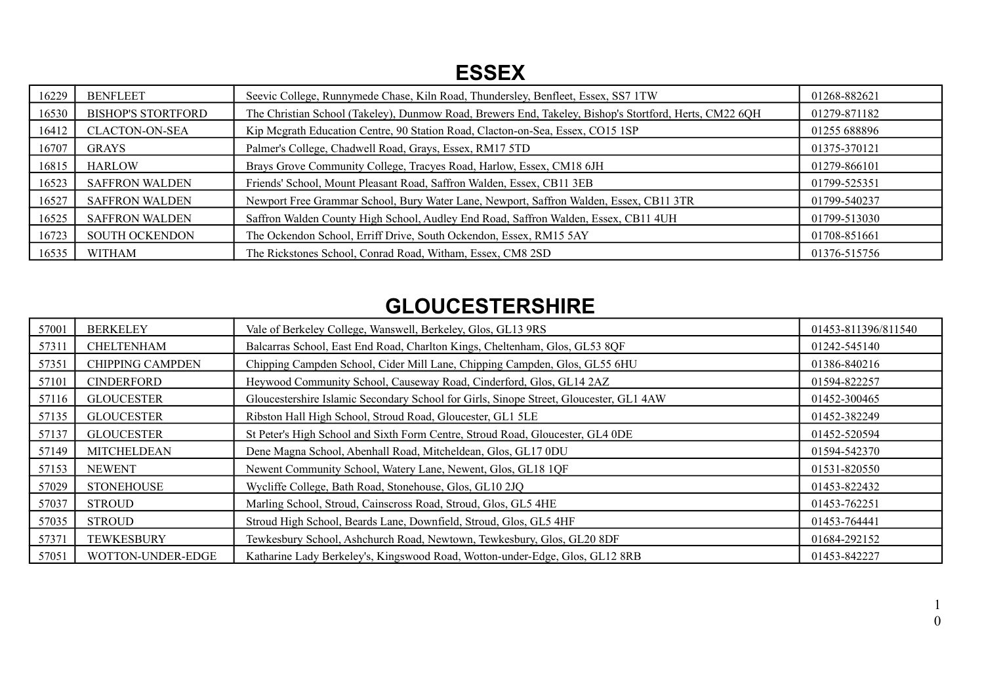### **ESSEX**

| 16229 | <b>BENFLEET</b>           | Seevic College, Runnymede Chase, Kiln Road, Thundersley, Benfleet, Essex, SS7 1TW                      | 01268-882621 |
|-------|---------------------------|--------------------------------------------------------------------------------------------------------|--------------|
| 16530 | <b>BISHOP'S STORTFORD</b> | The Christian School (Takeley), Dunmow Road, Brewers End, Takeley, Bishop's Stortford, Herts, CM22 6QH | 01279-871182 |
| 16412 | <b>CLACTON-ON-SEA</b>     | Kip Megrath Education Centre, 90 Station Road, Clacton-on-Sea, Essex, CO15 1SP                         | 01255 688896 |
| 16707 | <b>GRAYS</b>              | Palmer's College, Chadwell Road, Grays, Essex, RM17 5TD                                                | 01375-370121 |
| 16815 | <b>HARLOW</b>             | Brays Grove Community College, Tracyes Road, Harlow, Essex, CM18 6JH                                   | 01279-866101 |
| 16523 | <b>SAFFRON WALDEN</b>     | Friends' School, Mount Pleasant Road, Saffron Walden, Essex, CB11 3EB                                  | 01799-525351 |
| 16527 | <b>SAFFRON WALDEN</b>     | Newport Free Grammar School, Bury Water Lane, Newport, Saffron Walden, Essex, CB11 3TR                 | 01799-540237 |
| 16525 | <b>SAFFRON WALDEN</b>     | Saffron Walden County High School, Audley End Road, Saffron Walden, Essex, CB11 4UH                    | 01799-513030 |
| 16723 | <b>SOUTH OCKENDON</b>     | The Ockendon School, Erriff Drive, South Ockendon, Essex, RM15 5AY                                     | 01708-851661 |
| 16535 | WITHAM                    | The Rickstones School, Conrad Road, Witham, Essex, CM8 2SD                                             | 01376-515756 |

## **GLOUCESTERSHIRE**

| 57001 | <b>BERKELEY</b>         | Vale of Berkeley College, Wanswell, Berkeley, Glos, GL13 9RS                           | 01453-811396/811540 |
|-------|-------------------------|----------------------------------------------------------------------------------------|---------------------|
| 57311 | <b>CHELTENHAM</b>       | Balcarras School, East End Road, Charlton Kings, Cheltenham, Glos, GL53 8QF            | 01242-545140        |
| 57351 | <b>CHIPPING CAMPDEN</b> | Chipping Campden School, Cider Mill Lane, Chipping Campden, Glos, GL55 6HU             | 01386-840216        |
| 57101 | <b>CINDERFORD</b>       | Heywood Community School, Causeway Road, Cinderford, Glos, GL14 2AZ                    | 01594-822257        |
| 57116 | <b>GLOUCESTER</b>       | Gloucestershire Islamic Secondary School for Girls, Sinope Street, Gloucester, GL1 4AW | 01452-300465        |
| 57135 | <b>GLOUCESTER</b>       | Ribston Hall High School, Stroud Road, Gloucester, GL1 5LE                             | 01452-382249        |
| 57137 | <b>GLOUCESTER</b>       | St Peter's High School and Sixth Form Centre, Stroud Road, Gloucester, GL4 0DE         | 01452-520594        |
| 57149 | <b>MITCHELDEAN</b>      | Dene Magna School, Abenhall Road, Mitcheldean, Glos, GL17 0DU                          | 01594-542370        |
| 57153 | <b>NEWENT</b>           | Newent Community School, Watery Lane, Newent, Glos, GL18 1QF                           | 01531-820550        |
| 57029 | <b>STONEHOUSE</b>       | Wycliffe College, Bath Road, Stonehouse, Glos, GL10 2JQ                                | 01453-822432        |
| 57037 | <b>STROUD</b>           | Marling School, Stroud, Cainscross Road, Stroud, Glos, GL5 4HE                         | 01453-762251        |
| 57035 | <b>STROUD</b>           | Stroud High School, Beards Lane, Downfield, Stroud, Glos, GL5 4HF                      | 01453-764441        |
| 57371 | <b>TEWKESBURY</b>       | Tewkesbury School, Ashchurch Road, Newtown, Tewkesbury, Glos, GL20 8DF                 | 01684-292152        |
| 57051 | WOTTON-UNDER-EDGE       | Katharine Lady Berkeley's, Kingswood Road, Wotton-under-Edge, Glos, GL12 8RB           | 01453-842227        |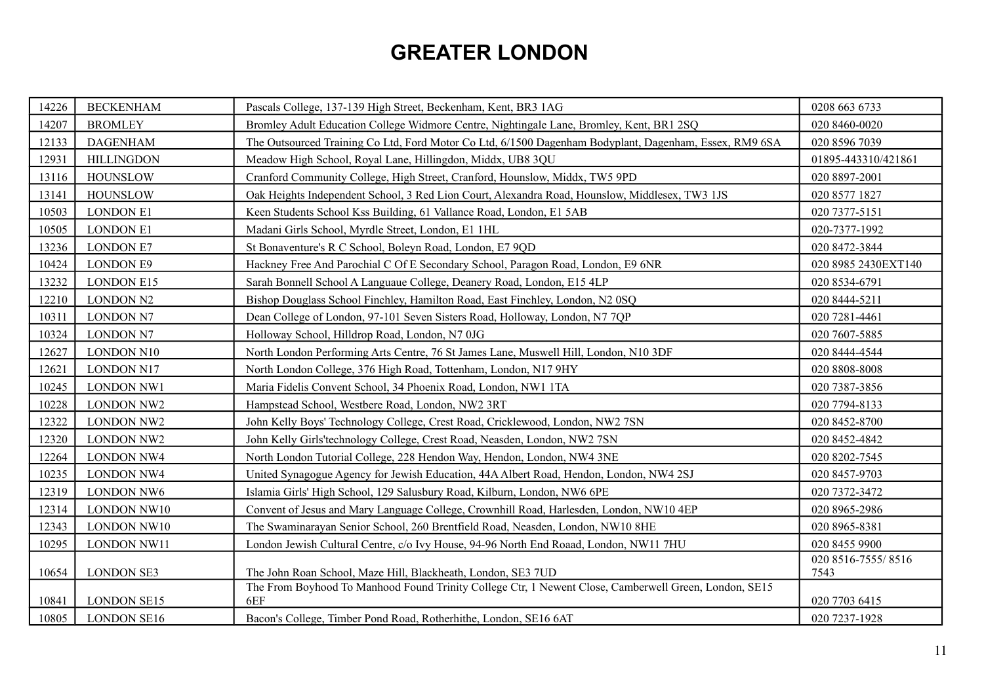# **GREATER LONDON**

| 14226 | <b>BECKENHAM</b>   | Pascals College, 137-139 High Street, Beckenham, Kent, BR3 1AG                                         | 0208 663 6733              |
|-------|--------------------|--------------------------------------------------------------------------------------------------------|----------------------------|
| 14207 | <b>BROMLEY</b>     | Bromley Adult Education College Widmore Centre, Nightingale Lane, Bromley, Kent, BR1 2SQ               | 020 8460-0020              |
| 12133 | <b>DAGENHAM</b>    | The Outsourced Training Co Ltd, Ford Motor Co Ltd, 6/1500 Dagenham Bodyplant, Dagenham, Essex, RM9 6SA | 020 8596 7039              |
| 12931 | <b>HILLINGDON</b>  | Meadow High School, Royal Lane, Hillingdon, Middx, UB8 3QU                                             | 01895-443310/421861        |
| 13116 | <b>HOUNSLOW</b>    | Cranford Community College, High Street, Cranford, Hounslow, Middx, TW5 9PD                            | 020 8897-2001              |
| 13141 | <b>HOUNSLOW</b>    | Oak Heights Independent School, 3 Red Lion Court, Alexandra Road, Hounslow, Middlesex, TW3 1JS         | 020 8577 1827              |
| 10503 | <b>LONDON E1</b>   | Keen Students School Kss Building, 61 Vallance Road, London, E1 5AB                                    | 020 7377-5151              |
| 10505 | <b>LONDON E1</b>   | Madani Girls School, Myrdle Street, London, E1 1HL                                                     | 020-7377-1992              |
| 13236 | <b>LONDON E7</b>   | St Bonaventure's R C School, Boleyn Road, London, E7 9QD                                               | 020 8472-3844              |
| 10424 | <b>LONDON E9</b>   | Hackney Free And Parochial C Of E Secondary School, Paragon Road, London, E9 6NR                       | 020 8985 2430EXT140        |
| 13232 | <b>LONDON E15</b>  | Sarah Bonnell School A Languaue College, Deanery Road, London, E15 4LP                                 | 020 8534-6791              |
| 12210 | <b>LONDON N2</b>   | Bishop Douglass School Finchley, Hamilton Road, East Finchley, London, N2 0SQ                          | 020 8444-5211              |
| 10311 | <b>LONDON N7</b>   | Dean College of London, 97-101 Seven Sisters Road, Holloway, London, N7 7QP                            | 020 7281-4461              |
| 10324 | <b>LONDON N7</b>   | Holloway School, Hilldrop Road, London, N7 0JG                                                         | 020 7607-5885              |
| 12627 | LONDON N10         | North London Performing Arts Centre, 76 St James Lane, Muswell Hill, London, N10 3DF                   | 020 8444-4544              |
| 12621 | <b>LONDON N17</b>  | North London College, 376 High Road, Tottenham, London, N17 9HY                                        | 020 8808-8008              |
| 10245 | <b>LONDON NW1</b>  | Maria Fidelis Convent School, 34 Phoenix Road, London, NW1 1TA                                         | 020 7387-3856              |
| 10228 | <b>LONDON NW2</b>  | Hampstead School, Westbere Road, London, NW2 3RT                                                       | 020 7794-8133              |
| 12322 | <b>LONDON NW2</b>  | John Kelly Boys' Technology College, Crest Road, Cricklewood, London, NW2 7SN                          | 020 8452-8700              |
| 12320 | <b>LONDON NW2</b>  | John Kelly Girls'technology College, Crest Road, Neasden, London, NW2 7SN                              | 020 8452-4842              |
| 12264 | <b>LONDON NW4</b>  | North London Tutorial College, 228 Hendon Way, Hendon, London, NW4 3NE                                 | 020 8202-7545              |
| 10235 | <b>LONDON NW4</b>  | United Synagogue Agency for Jewish Education, 44A Albert Road, Hendon, London, NW4 2SJ                 | 020 8457-9703              |
| 12319 | <b>LONDON NW6</b>  | Islamia Girls' High School, 129 Salusbury Road, Kilburn, London, NW6 6PE                               | 020 7372-3472              |
| 12314 | LONDON NW10        | Convent of Jesus and Mary Language College, Crownhill Road, Harlesden, London, NW10 4EP                | 020 8965-2986              |
| 12343 | LONDON NW10        | The Swaminarayan Senior School, 260 Brentfield Road, Neasden, London, NW10 8HE                         | 020 8965-8381              |
| 10295 | LONDON NW11        | London Jewish Cultural Centre, c/o Ivy House, 94-96 North End Roaad, London, NW11 7HU                  | 020 8455 9900              |
| 10654 | <b>LONDON SE3</b>  | The John Roan School, Maze Hill, Blackheath, London, SE3 7UD                                           | 020 8516-7555/8516<br>7543 |
|       |                    | The From Boyhood To Manhood Found Trinity College Ctr, 1 Newent Close, Camberwell Green, London, SE15  |                            |
| 10841 | <b>LONDON SE15</b> | 6EF                                                                                                    | 020 7703 6415              |
| 10805 | <b>LONDON SE16</b> | Bacon's College, Timber Pond Road, Rotherhithe, London, SE16 6AT                                       | 020 7237-1928              |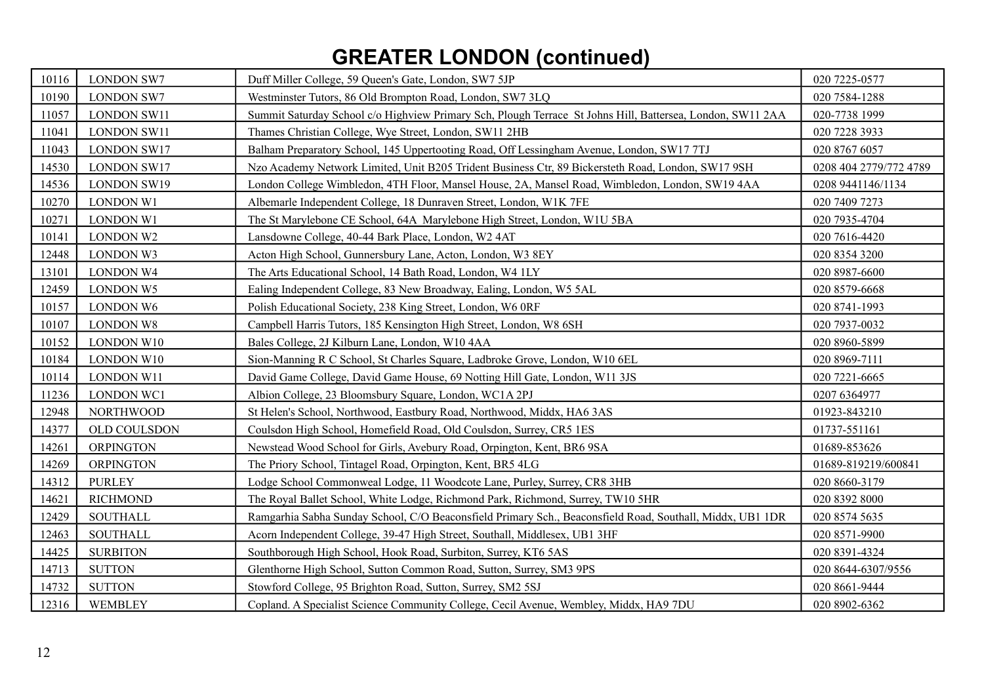# **GREATER LONDON (continued)**

| 10116 | <b>LONDON SW7</b>   | Duff Miller College, 59 Queen's Gate, London, SW7 5JP                                                      | 020 7225-0577          |
|-------|---------------------|------------------------------------------------------------------------------------------------------------|------------------------|
| 10190 | <b>LONDON SW7</b>   | Westminster Tutors, 86 Old Brompton Road, London, SW7 3LQ                                                  | 020 7584-1288          |
| 11057 | <b>LONDON SW11</b>  | Summit Saturday School c/o Highview Primary Sch, Plough Terrace St Johns Hill, Battersea, London, SW11 2AA | 020-7738 1999          |
| 11041 | <b>LONDON SW11</b>  | Thames Christian College, Wye Street, London, SW11 2HB                                                     | 020 7228 3933          |
| 11043 | <b>LONDON SW17</b>  | Balham Preparatory School, 145 Uppertooting Road, Off Lessingham Avenue, London, SW17 7TJ                  | 020 8767 6057          |
| 14530 | <b>LONDON SW17</b>  | Nzo Academy Network Limited, Unit B205 Trident Business Ctr, 89 Bickersteth Road, London, SW17 9SH         | 0208 404 2779/772 4789 |
| 14536 | <b>LONDON SW19</b>  | London College Wimbledon, 4TH Floor, Mansel House, 2A, Mansel Road, Wimbledon, London, SW19 4AA            | 0208 9441146/1134      |
| 10270 | LONDON W1           | Albemarle Independent College, 18 Dunraven Street, London, W1K 7FE                                         | 020 7409 7273          |
| 10271 | LONDON W1           | The St Marylebone CE School, 64A Marylebone High Street, London, W1U 5BA                                   | 020 7935-4704          |
| 10141 | <b>LONDON W2</b>    | Lansdowne College, 40-44 Bark Place, London, W2 4AT                                                        | 020 7616-4420          |
| 12448 | LONDON W3           | Acton High School, Gunnersbury Lane, Acton, London, W3 8EY                                                 | 020 8354 3200          |
| 13101 | <b>LONDON W4</b>    | The Arts Educational School, 14 Bath Road, London, W4 1LY                                                  | 020 8987-6600          |
| 12459 | LONDON W5           | Ealing Independent College, 83 New Broadway, Ealing, London, W5 5AL                                        | 020 8579-6668          |
| 10157 | <b>LONDON W6</b>    | Polish Educational Society, 238 King Street, London, W6 0RF                                                | 020 8741-1993          |
| 10107 | <b>LONDON W8</b>    | Campbell Harris Tutors, 185 Kensington High Street, London, W8 6SH                                         | 020 7937-0032          |
| 10152 | LONDON W10          | Bales College, 2J Kilburn Lane, London, W10 4AA                                                            | 020 8960-5899          |
| 10184 | LONDON W10          | Sion-Manning R C School, St Charles Square, Ladbroke Grove, London, W10 6EL                                | 020 8969-7111          |
| 10114 | <b>LONDON W11</b>   | David Game College, David Game House, 69 Notting Hill Gate, London, W11 3JS                                | 020 7221-6665          |
| 11236 | <b>LONDON WC1</b>   | Albion College, 23 Bloomsbury Square, London, WC1A 2PJ                                                     | 0207 6364977           |
| 12948 | <b>NORTHWOOD</b>    | St Helen's School, Northwood, Eastbury Road, Northwood, Middx, HA6 3AS                                     | 01923-843210           |
| 14377 | <b>OLD COULSDON</b> | Coulsdon High School, Homefield Road, Old Coulsdon, Surrey, CR5 1ES                                        | 01737-551161           |
| 14261 | <b>ORPINGTON</b>    | Newstead Wood School for Girls, Avebury Road, Orpington, Kent, BR6 9SA                                     | 01689-853626           |
| 14269 | <b>ORPINGTON</b>    | The Priory School, Tintagel Road, Orpington, Kent, BR5 4LG                                                 | 01689-819219/600841    |
| 14312 | <b>PURLEY</b>       | Lodge School Commonweal Lodge, 11 Woodcote Lane, Purley, Surrey, CR8 3HB                                   | 020 8660-3179          |
| 14621 | <b>RICHMOND</b>     | The Royal Ballet School, White Lodge, Richmond Park, Richmond, Surrey, TW10 5HR                            | 020 8392 8000          |
| 12429 | <b>SOUTHALL</b>     | Ramgarhia Sabha Sunday School, C/O Beaconsfield Primary Sch., Beaconsfield Road, Southall, Middx, UB1 1DR  | 020 8574 5635          |
| 12463 | <b>SOUTHALL</b>     | Acorn Independent College, 39-47 High Street, Southall, Middlesex, UB1 3HF                                 | 020 8571-9900          |
| 14425 | <b>SURBITON</b>     | Southborough High School, Hook Road, Surbiton, Surrey, KT6 5AS                                             | 020 8391-4324          |
| 14713 | <b>SUTTON</b>       | Glenthorne High School, Sutton Common Road, Sutton, Surrey, SM3 9PS                                        | 020 8644-6307/9556     |
| 14732 | <b>SUTTON</b>       | Stowford College, 95 Brighton Road, Sutton, Surrey, SM2 5SJ                                                | 020 8661-9444          |
| 12316 | WEMBLEY             | Copland. A Specialist Science Community College, Cecil Avenue, Wembley, Middx, HA9 7DU                     | 020 8902-6362          |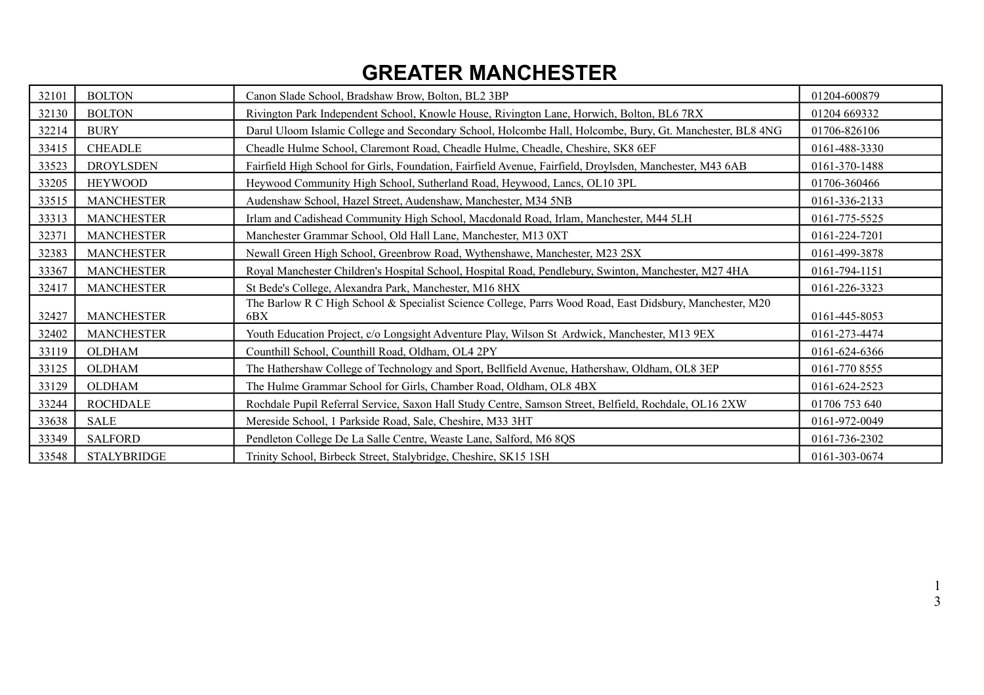## **GREATER MANCHESTER**

| 32101 | <b>BOLTON</b>      | Canon Slade School, Bradshaw Brow, Bolton, BL2 3BP                                                              | 01204-600879  |
|-------|--------------------|-----------------------------------------------------------------------------------------------------------------|---------------|
| 32130 | <b>BOLTON</b>      | Rivington Park Independent School, Knowle House, Rivington Lane, Horwich, Bolton, BL6 7RX                       | 01204 669332  |
| 32214 | <b>BURY</b>        | Darul Uloom Islamic College and Secondary School, Holcombe Hall, Holcombe, Bury, Gt. Manchester, BL8 4NG        | 01706-826106  |
| 33415 | <b>CHEADLE</b>     | Cheadle Hulme School, Claremont Road, Cheadle Hulme, Cheadle, Cheshire, SK8 6EF                                 | 0161-488-3330 |
| 33523 | <b>DROYLSDEN</b>   | Fairfield High School for Girls, Foundation, Fairfield Avenue, Fairfield, Droylsden, Manchester, M43 6AB        | 0161-370-1488 |
| 33205 | <b>HEYWOOD</b>     | Heywood Community High School, Sutherland Road, Heywood, Lancs, OL10 3PL                                        | 01706-360466  |
| 33515 | <b>MANCHESTER</b>  | Audenshaw School, Hazel Street, Audenshaw, Manchester, M34 5NB                                                  | 0161-336-2133 |
| 33313 | <b>MANCHESTER</b>  | Irlam and Cadishead Community High School, Macdonald Road, Irlam, Manchester, M44 5LH                           | 0161-775-5525 |
| 32371 | <b>MANCHESTER</b>  | Manchester Grammar School, Old Hall Lane, Manchester, M13 0XT                                                   | 0161-224-7201 |
| 32383 | <b>MANCHESTER</b>  | Newall Green High School, Greenbrow Road, Wythenshawe, Manchester, M23 2SX                                      | 0161-499-3878 |
| 33367 | <b>MANCHESTER</b>  | Royal Manchester Children's Hospital School, Hospital Road, Pendlebury, Swinton, Manchester, M27 4HA            | 0161-794-1151 |
| 32417 | <b>MANCHESTER</b>  | St Bede's College, Alexandra Park, Manchester, M16 8HX                                                          | 0161-226-3323 |
| 32427 | <b>MANCHESTER</b>  | The Barlow R C High School & Specialist Science College, Parrs Wood Road, East Didsbury, Manchester, M20<br>6BX | 0161-445-8053 |
| 32402 | <b>MANCHESTER</b>  | Youth Education Project, c/o Longsight Adventure Play, Wilson St Ardwick, Manchester, M13 9EX                   | 0161-273-4474 |
| 33119 | <b>OLDHAM</b>      | Counthill School, Counthill Road, Oldham, OL4 2PY                                                               | 0161-624-6366 |
| 33125 | <b>OLDHAM</b>      | The Hathershaw College of Technology and Sport, Bellfield Avenue, Hathershaw, Oldham, OL8 3EP                   | 0161-770 8555 |
| 33129 | <b>OLDHAM</b>      | The Hulme Grammar School for Girls, Chamber Road, Oldham, OL8 4BX                                               | 0161-624-2523 |
| 33244 | <b>ROCHDALE</b>    | Rochdale Pupil Referral Service, Saxon Hall Study Centre, Samson Street, Belfield, Rochdale, OL16 2XW           | 01706 753 640 |
| 33638 | <b>SALE</b>        | Mereside School, 1 Parkside Road, Sale, Cheshire, M33 3HT                                                       | 0161-972-0049 |
| 33349 | <b>SALFORD</b>     | Pendleton College De La Salle Centre, Weaste Lane, Salford, M6 8QS                                              | 0161-736-2302 |
| 33548 | <b>STALYBRIDGE</b> | Trinity School, Birbeck Street, Stalybridge, Cheshire, SK15 1SH                                                 | 0161-303-0674 |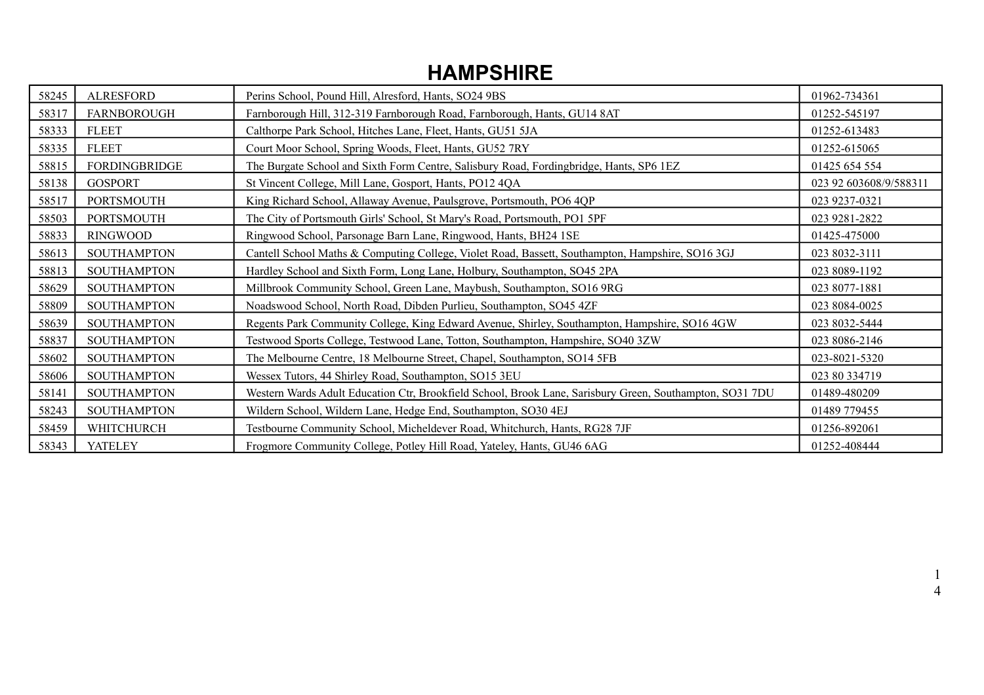### **HAMPSHIRE**

| 58245 | <b>ALRESFORD</b>     | Perins School, Pound Hill, Alresford, Hants, SO24 9BS                                                    | 01962-734361           |
|-------|----------------------|----------------------------------------------------------------------------------------------------------|------------------------|
| 58317 | <b>FARNBOROUGH</b>   | Farnborough Hill, 312-319 Farnborough Road, Farnborough, Hants, GU14 8AT                                 | 01252-545197           |
| 58333 | <b>FLEET</b>         | Calthorpe Park School, Hitches Lane, Fleet, Hants, GU51 5JA                                              | 01252-613483           |
| 58335 | <b>FLEET</b>         | Court Moor School, Spring Woods, Fleet, Hants, GU52 7RY                                                  | 01252-615065           |
| 58815 | <b>FORDINGBRIDGE</b> | The Burgate School and Sixth Form Centre, Salisbury Road, Fordingbridge, Hants, SP6 1EZ                  | 01425 654 554          |
| 58138 | <b>GOSPORT</b>       | St Vincent College, Mill Lane, Gosport, Hants, PO12 4QA                                                  | 023 92 603608/9/588311 |
| 58517 | <b>PORTSMOUTH</b>    | King Richard School, Allaway Avenue, Paulsgrove, Portsmouth, PO6 4QP                                     | 023 9237-0321          |
| 58503 | <b>PORTSMOUTH</b>    | The City of Portsmouth Girls' School, St Mary's Road, Portsmouth, PO1 5PF                                | 023 9281-2822          |
| 58833 | <b>RINGWOOD</b>      | Ringwood School, Parsonage Barn Lane, Ringwood, Hants, BH24 1SE                                          | 01425-475000           |
| 58613 | <b>SOUTHAMPTON</b>   | Cantell School Maths & Computing College, Violet Road, Bassett, Southampton, Hampshire, SO16 3GJ         | 023 8032-3111          |
| 58813 | <b>SOUTHAMPTON</b>   | Hardley School and Sixth Form, Long Lane, Holbury, Southampton, SO45 2PA                                 | 023 8089-1192          |
| 58629 | <b>SOUTHAMPTON</b>   | Millbrook Community School, Green Lane, Maybush, Southampton, SO16 9RG                                   | 023 8077-1881          |
| 58809 | <b>SOUTHAMPTON</b>   | Noadswood School, North Road, Dibden Purlieu, Southampton, SO45 4ZF                                      | 023 8084-0025          |
| 58639 | <b>SOUTHAMPTON</b>   | Regents Park Community College, King Edward Avenue, Shirley, Southampton, Hampshire, SO16 4GW            | 023 8032-5444          |
| 58837 | <b>SOUTHAMPTON</b>   | Testwood Sports College, Testwood Lane, Totton, Southampton, Hampshire, SO40 3ZW                         | 023 8086-2146          |
| 58602 | <b>SOUTHAMPTON</b>   | The Melbourne Centre, 18 Melbourne Street, Chapel, Southampton, SO14 5FB                                 | 023-8021-5320          |
| 58606 | <b>SOUTHAMPTON</b>   | Wessex Tutors, 44 Shirley Road, Southampton, SO15 3EU                                                    | 023 80 334719          |
| 58141 | <b>SOUTHAMPTON</b>   | Western Wards Adult Education Ctr, Brookfield School, Brook Lane, Sarisbury Green, Southampton, SO31 7DU | 01489-480209           |
| 58243 | <b>SOUTHAMPTON</b>   | Wildern School, Wildern Lane, Hedge End, Southampton, SO30 4EJ                                           | 01489 779455           |
| 58459 | WHITCHURCH           | Testbourne Community School, Micheldever Road, Whitchurch, Hants, RG28 7JF                               | 01256-892061           |
| 58343 | <b>YATELEY</b>       | Frogmore Community College, Potley Hill Road, Yateley, Hants, GU46 6AG                                   | 01252-408444           |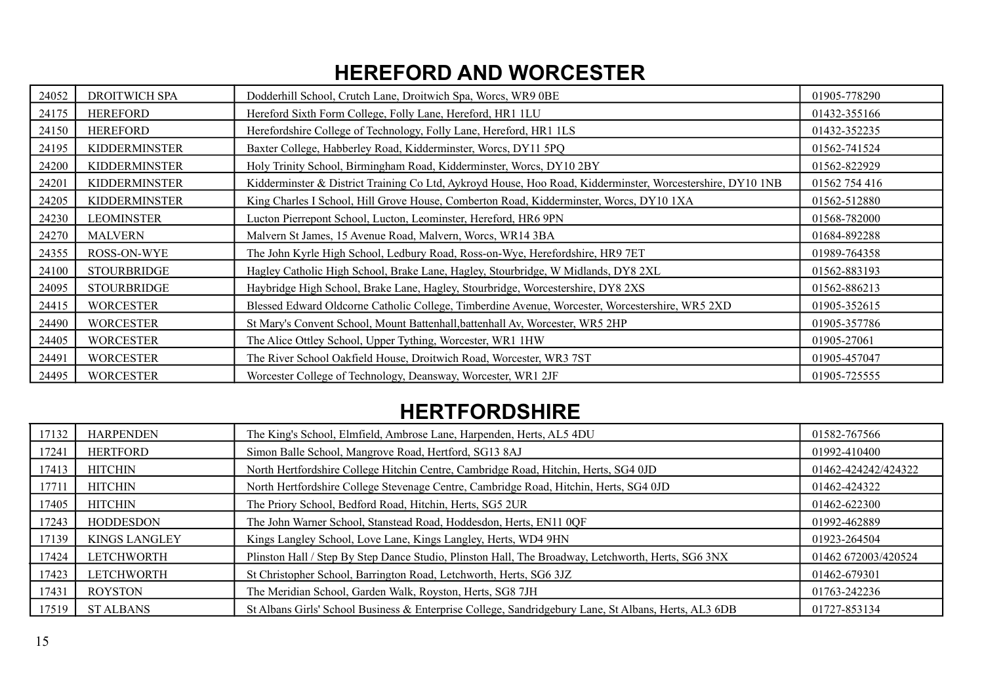## **HEREFORD AND WORCESTER**

| 24052 | DROITWICH SPA        | Dodderhill School, Crutch Lane, Droitwich Spa, Worcs, WR9 0BE                                              | 01905-778290  |
|-------|----------------------|------------------------------------------------------------------------------------------------------------|---------------|
| 24175 | <b>HEREFORD</b>      | Hereford Sixth Form College, Folly Lane, Hereford, HR1 1LU                                                 | 01432-355166  |
| 24150 | <b>HEREFORD</b>      | Herefordshire College of Technology, Folly Lane, Hereford, HR1 1LS                                         | 01432-352235  |
| 24195 | <b>KIDDERMINSTER</b> | Baxter College, Habberley Road, Kidderminster, Worcs, DY11 5PQ                                             | 01562-741524  |
| 24200 | <b>KIDDERMINSTER</b> | Holy Trinity School, Birmingham Road, Kidderminster, Worcs, DY10 2BY                                       | 01562-822929  |
| 24201 | <b>KIDDERMINSTER</b> | Kidderminster & District Training Co Ltd, Aykroyd House, Hoo Road, Kidderminster, Worcestershire, DY10 1NB | 01562 754 416 |
| 24205 | <b>KIDDERMINSTER</b> | King Charles I School, Hill Grove House, Comberton Road, Kidderminster, Worcs, DY10 1XA                    | 01562-512880  |
| 24230 | <b>LEOMINSTER</b>    | Lucton Pierrepont School, Lucton, Leominster, Hereford, HR6 9PN                                            | 01568-782000  |
| 24270 | <b>MALVERN</b>       | Malvern St James, 15 Avenue Road, Malvern, Worcs, WR14 3BA                                                 | 01684-892288  |
| 24355 | ROSS-ON-WYE          | The John Kyrle High School, Ledbury Road, Ross-on-Wye, Herefordshire, HR9 7ET                              | 01989-764358  |
| 24100 | <b>STOURBRIDGE</b>   | Hagley Catholic High School, Brake Lane, Hagley, Stourbridge, W Midlands, DY8 2XL                          | 01562-883193  |
| 24095 | <b>STOURBRIDGE</b>   | Haybridge High School, Brake Lane, Hagley, Stourbridge, Worcestershire, DY8 2XS                            | 01562-886213  |
| 24415 | <b>WORCESTER</b>     | Blessed Edward Oldcorne Catholic College, Timberdine Avenue, Worcester, Worcestershire, WR5 2XD            | 01905-352615  |
| 24490 | <b>WORCESTER</b>     | St Mary's Convent School, Mount Battenhall, battenhall Av, Worcester, WR5 2HP                              | 01905-357786  |
| 24405 | <b>WORCESTER</b>     | The Alice Ottley School, Upper Tything, Worcester, WR1 1HW                                                 | 01905-27061   |
| 24491 | <b>WORCESTER</b>     | The River School Oakfield House, Droitwich Road, Worcester, WR3 7ST                                        | 01905-457047  |
| 24495 | <b>WORCESTER</b>     | Worcester College of Technology, Deansway, Worcester, WR1 2JF                                              | 01905-725555  |

### **HERTFORDSHIRE**

| 17132 | <b>HARPENDEN</b>     | The King's School, Elmfield, Ambrose Lane, Harpenden, Herts, AL5 4DU                                 | 01582-767566        |
|-------|----------------------|------------------------------------------------------------------------------------------------------|---------------------|
| 17241 | <b>HERTFORD</b>      | Simon Balle School, Mangrove Road, Hertford, SG13 8AJ                                                | 01992-410400        |
| 17413 | <b>HITCHIN</b>       | North Hertfordshire College Hitchin Centre, Cambridge Road, Hitchin, Herts, SG4 0JD                  | 01462-424242/424322 |
| 17711 | <b>HITCHIN</b>       | North Hertfordshire College Stevenage Centre, Cambridge Road, Hitchin, Herts, SG4 0JD                | 01462-424322        |
| 17405 | HITCHIN              | The Priory School, Bedford Road, Hitchin, Herts, SG5 2UR                                             | 01462-622300        |
| 17243 | <b>HODDESDON</b>     | The John Warner School, Stanstead Road, Hoddesdon, Herts, EN11 0QF                                   | 01992-462889        |
| 17139 | <b>KINGS LANGLEY</b> | Kings Langley School, Love Lane, Kings Langley, Herts, WD4 9HN                                       | 01923-264504        |
| 17424 | LETCHWORTH           | Plinston Hall / Step By Step Dance Studio, Plinston Hall, The Broadway, Letchworth, Herts, SG6 3NX   | 01462 672003/420524 |
| 17423 | LETCHWORTH           | St Christopher School, Barrington Road, Letchworth, Herts, SG6 3JZ                                   | 01462-679301        |
| 17431 | <b>ROYSTON</b>       | The Meridian School, Garden Walk, Royston, Herts, SG8 7JH                                            | 01763-242236        |
| 17519 | <b>ST ALBANS</b>     | St Albans Girls' School Business & Enterprise College, Sandridgebury Lane, St Albans, Herts, AL3 6DB | 01727-853134        |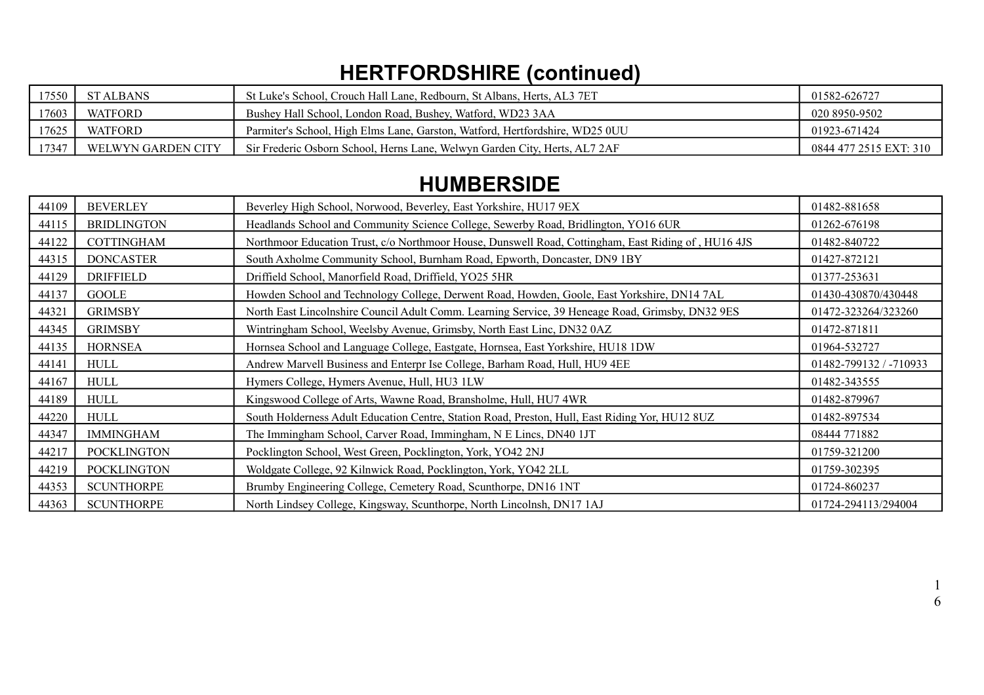# **HERTFORDSHIRE (continued)**

| 17550 | ST ALBANS          | St Luke's School. Crouch Hall Lane. Redbourn. St Albans. Herts. AL3 7ET      | 01582-626727           |
|-------|--------------------|------------------------------------------------------------------------------|------------------------|
| 17603 | <b>WATFORD</b>     | Bushey Hall School, London Road, Bushey, Watford, WD23 3AA                   | 020 8950-9502          |
| 17625 | WATFORD            | Parmiter's School, High Elms Lane, Garston, Watford, Hertfordshire, WD25 0UU | 01923-671424           |
| 17347 | WELWYN GARDEN CITY | Sir Frederic Osborn School, Herns Lane, Welwyn Garden City, Herts, AL7 2AF   | 0844 477 2515 EXT: 310 |

### **HUMBERSIDE**

| 44109 | <b>BEVERLEY</b>    | Beverley High School, Norwood, Beverley, East Yorkshire, HU17 9EX                                   | 01482-881658           |
|-------|--------------------|-----------------------------------------------------------------------------------------------------|------------------------|
| 44115 | <b>BRIDLINGTON</b> | Headlands School and Community Science College, Sewerby Road, Bridlington, YO16 6UR                 | 01262-676198           |
| 44122 | <b>COTTINGHAM</b>  | Northmoor Education Trust, c/o Northmoor House, Dunswell Road, Cottingham, East Riding of, HU16 4JS | 01482-840722           |
| 44315 | <b>DONCASTER</b>   | South Axholme Community School, Burnham Road, Epworth, Doncaster, DN9 1BY                           | 01427-872121           |
| 44129 | <b>DRIFFIELD</b>   | Driffield School, Manorfield Road, Driffield, YO25 5HR                                              | 01377-253631           |
| 44137 | GOOLE              | Howden School and Technology College, Derwent Road, Howden, Goole, East Yorkshire, DN14 7AL         | 01430-430870/430448    |
| 44321 | <b>GRIMSBY</b>     | North East Lincolnshire Council Adult Comm. Learning Service, 39 Heneage Road, Grimsby, DN32 9ES    | 01472-323264/323260    |
| 44345 | <b>GRIMSBY</b>     | Wintringham School, Weelsby Avenue, Grimsby, North East Linc, DN32 0AZ                              | 01472-871811           |
| 44135 | <b>HORNSEA</b>     | Hornsea School and Language College, Eastgate, Hornsea, East Yorkshire, HU18 1DW                    | 01964-532727           |
| 44141 | HULL               | Andrew Marvell Business and Enterpr Ise College, Barham Road, Hull, HU9 4EE                         | 01482-799132 / -710933 |
| 44167 | HULL               | Hymers College, Hymers Avenue, Hull, HU3 1LW                                                        | 01482-343555           |
| 44189 | <b>HULL</b>        | Kingswood College of Arts, Wawne Road, Bransholme, Hull, HU7 4WR                                    | 01482-879967           |
| 44220 | <b>HULL</b>        | South Holderness Adult Education Centre, Station Road, Preston, Hull, East Riding Yor, HU12 8UZ     | 01482-897534           |
| 44347 | <b>IMMINGHAM</b>   | The Immingham School, Carver Road, Immingham, N E Lincs, DN40 1JT                                   | 08444 771882           |
| 44217 | <b>POCKLINGTON</b> | Pocklington School, West Green, Pocklington, York, YO42 2NJ                                         | 01759-321200           |
| 44219 | <b>POCKLINGTON</b> | Woldgate College, 92 Kilnwick Road, Pocklington, York, YO42 2LL                                     | 01759-302395           |
| 44353 | <b>SCUNTHORPE</b>  | Brumby Engineering College, Cemetery Road, Scunthorpe, DN16 1NT                                     | 01724-860237           |
| 44363 | <b>SCUNTHORPE</b>  | North Lindsey College, Kingsway, Scunthorpe, North Lincolnsh, DN17 1AJ                              | 01724-294113/294004    |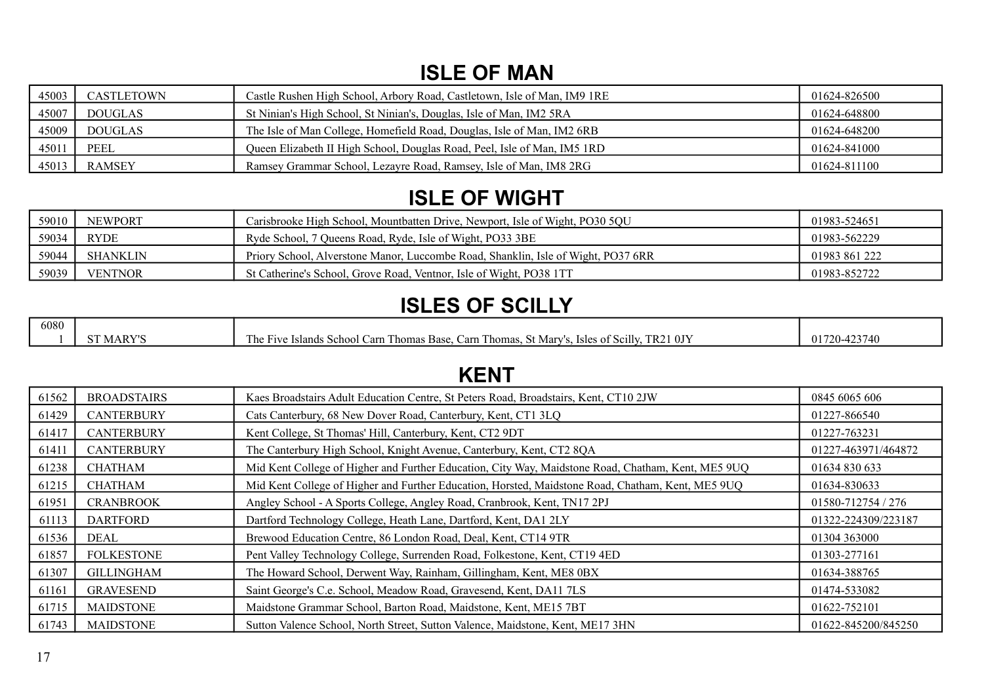## **ISLE OF MAN**

| 45003 | CASTLETOWN     | Castle Rushen High School, Arbory Road, Castletown, Isle of Man, IM9 1RE | 01624-826500 |
|-------|----------------|--------------------------------------------------------------------------|--------------|
| 45007 | <b>DOUGLAS</b> | St Ninian's High School, St Ninian's, Douglas, Isle of Man, IM2 5RA      | 01624-648800 |
| 45009 | <b>DOUGLAS</b> | The Isle of Man College, Homefield Road, Douglas, Isle of Man, IM2 6RB   | 01624-648200 |
| 45011 | PEEL           | Queen Elizabeth II High School, Douglas Road, Peel, Isle of Man, IM5 1RD | 01624-841000 |
| 45013 | <b>RAMSEY</b>  | Ramsey Grammar School, Lezayre Road, Ramsey, Isle of Man, IM8 2RG        | 01624-811100 |

### **ISLE OF WIGHT**

| 59010 | <b>NEWPORT</b>  | Carisbrooke High School, Mountbatten Drive, Newport, Isle of Wight, PO30 5QU      | 01983-524651  |
|-------|-----------------|-----------------------------------------------------------------------------------|---------------|
| 59034 | <b>RYDE</b>     | Ryde School, 7 Oueens Road, Ryde, Isle of Wight, PO33 3BE                         | 01983-562229  |
| 59044 | <b>SHANKLIN</b> | Priory School, Alverstone Manor, Luccombe Road, Shanklin, Isle of Wight, PO37 6RR | 01983 861 222 |
| 59039 | <b>VENTNOR</b>  | St Catherine's School, Grove Road, Ventnor, Isle of Wight, PO38 1TT               | 01983-852722  |

## **ISLES OF SCILLY**

| 6080 |                    |                                                                                                                                  |                 |
|------|--------------------|----------------------------------------------------------------------------------------------------------------------------------|-----------------|
|      | MARV <sup>rc</sup> | 0J <sub>2</sub><br>. Isles of Scilly<br>TR2<br>. St Marv'<br>Carn Thomas.<br>Thomas Base.<br>e Islands School Carn `<br>The Five | 423740<br>$01-$ |

### **KENT**

| 61562 | <b>BROADSTAIRS</b> | Kaes Broadstairs Adult Education Centre, St Peters Road, Broadstairs, Kent, CT10 2JW               | 0845 6065 606       |
|-------|--------------------|----------------------------------------------------------------------------------------------------|---------------------|
| 61429 | <b>CANTERBURY</b>  | Cats Canterbury, 68 New Dover Road, Canterbury, Kent, CT1 3LQ                                      | 01227-866540        |
| 61417 | <b>CANTERBURY</b>  | Kent College, St Thomas' Hill, Canterbury, Kent, CT2 9DT                                           | 01227-763231        |
| 61411 | <b>CANTERBURY</b>  | The Canterbury High School, Knight Avenue, Canterbury, Kent, CT2 8QA                               | 01227-463971/464872 |
| 61238 | <b>CHATHAM</b>     | Mid Kent College of Higher and Further Education, City Way, Maidstone Road, Chatham, Kent, ME5 9UQ | 01634 830 633       |
| 61215 | <b>CHATHAM</b>     | Mid Kent College of Higher and Further Education, Horsted, Maidstone Road, Chatham, Kent, ME5 9UQ  | 01634-830633        |
| 61951 | <b>CRANBROOK</b>   | Angley School - A Sports College, Angley Road, Cranbrook, Kent, TN17 2PJ                           | 01580-712754 / 276  |
| 61113 | <b>DARTFORD</b>    | Dartford Technology College, Heath Lane, Dartford, Kent, DA1 2LY                                   | 01322-224309/223187 |
| 61536 | DEAL               | Brewood Education Centre, 86 London Road, Deal, Kent, CT14 9TR                                     | 01304 363000        |
| 61857 | <b>FOLKESTONE</b>  | Pent Valley Technology College, Surrenden Road, Folkestone, Kent, CT19 4ED                         | 01303-277161        |
| 61307 | <b>GILLINGHAM</b>  | The Howard School, Derwent Way, Rainham, Gillingham, Kent, ME8 0BX                                 | 01634-388765        |
| 61161 | GRAVESEND          | Saint George's C.e. School, Meadow Road, Gravesend, Kent, DA11 7LS                                 | 01474-533082        |
| 61715 | <b>MAIDSTONE</b>   | Maidstone Grammar School, Barton Road, Maidstone, Kent, ME15 7BT                                   | 01622-752101        |
| 61743 | <b>MAIDSTONE</b>   | Sutton Valence School, North Street, Sutton Valence, Maidstone, Kent, ME17 3HN                     | 01622-845200/845250 |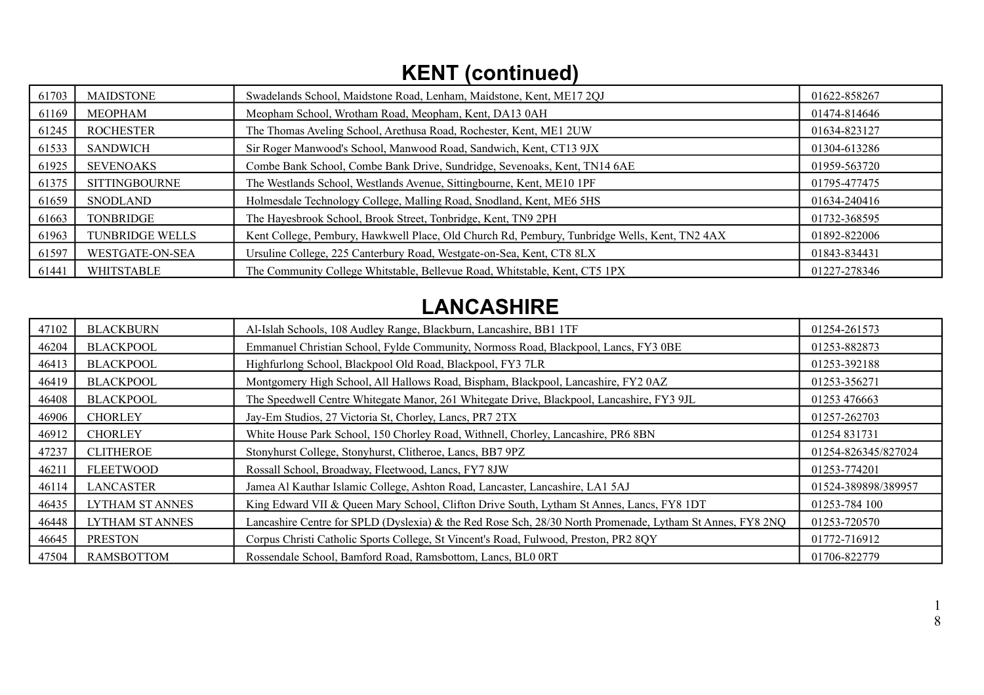# **KENT (continued)**

| 61703 | <b>MAIDSTONE</b>       | Swadelands School, Maidstone Road, Lenham, Maidstone, Kent, ME17 2QJ                          | 01622-858267 |
|-------|------------------------|-----------------------------------------------------------------------------------------------|--------------|
| 61169 | <b>MEOPHAM</b>         | Meopham School, Wrotham Road, Meopham, Kent, DA13 0AH                                         | 01474-814646 |
| 61245 | <b>ROCHESTER</b>       | The Thomas Aveling School, Arethusa Road, Rochester, Kent, ME1 2UW                            | 01634-823127 |
| 61533 | <b>SANDWICH</b>        | Sir Roger Manwood's School, Manwood Road, Sandwich, Kent, CT13 9JX                            | 01304-613286 |
| 61925 | <b>SEVENOAKS</b>       | Combe Bank School, Combe Bank Drive, Sundridge, Sevenoaks, Kent, TN14 6AE                     | 01959-563720 |
| 61375 | <b>SITTINGBOURNE</b>   | The Westlands School, Westlands Avenue, Sittingbourne, Kent, ME10 1PF                         | 01795-477475 |
| 61659 | <b>SNODLAND</b>        | Holmesdale Technology College, Malling Road, Snodland, Kent, ME6 5HS                          | 01634-240416 |
| 61663 | <b>TONBRIDGE</b>       | The Hayesbrook School, Brook Street, Tonbridge, Kent, TN9 2PH                                 | 01732-368595 |
| 61963 | <b>TUNBRIDGE WELLS</b> | Kent College, Pembury, Hawkwell Place, Old Church Rd, Pembury, Tunbridge Wells, Kent, TN2 4AX | 01892-822006 |
| 61597 | WESTGATE-ON-SEA        | Ursuline College, 225 Canterbury Road, Westgate-on-Sea, Kent, CT8 8LX                         | 01843-834431 |
| 61441 | <b>WHITSTABLE</b>      | The Community College Whitstable, Bellevue Road, Whitstable, Kent, CT5 1PX                    | 01227-278346 |

# **LANCASHIRE**

| 47102 | <b>BLACKBURN</b>  | Al-Islah Schools, 108 Audley Range, Blackburn, Lancashire, BB1 1TF                                        | 01254-261573        |
|-------|-------------------|-----------------------------------------------------------------------------------------------------------|---------------------|
| 46204 | <b>BLACKPOOL</b>  | Emmanuel Christian School, Fylde Community, Normoss Road, Blackpool, Lancs, FY3 0BE                       | 01253-882873        |
| 46413 | <b>BLACKPOOL</b>  | Highfurlong School, Blackpool Old Road, Blackpool, FY3 7LR                                                | 01253-392188        |
| 46419 | <b>BLACKPOOL</b>  | Montgomery High School, All Hallows Road, Bispham, Blackpool, Lancashire, FY2 0AZ                         | 01253-356271        |
| 46408 | <b>BLACKPOOL</b>  | The Speedwell Centre Whitegate Manor, 261 Whitegate Drive, Blackpool, Lancashire, FY3 9JL                 | 01253 476663        |
| 46906 | <b>CHORLEY</b>    | Jay-Em Studios, 27 Victoria St, Chorley, Lancs, PR7 2TX                                                   | 01257-262703        |
| 46912 | <b>CHORLEY</b>    | White House Park School, 150 Chorley Road, Withnell, Chorley, Lancashire, PR6 8BN                         | 01254 831731        |
| 47237 | <b>CLITHEROE</b>  | Stonyhurst College, Stonyhurst, Clitheroe, Lancs, BB7 9PZ                                                 | 01254-826345/827024 |
| 46211 | <b>FLEETWOOD</b>  | Rossall School, Broadway, Fleetwood, Lancs, FY7 8JW                                                       | 01253-774201        |
| 46114 | <b>LANCASTER</b>  | Jamea Al Kauthar Islamic College, Ashton Road, Lancaster, Lancashire, LA1 5AJ                             | 01524-389898/389957 |
| 46435 | LYTHAM ST ANNES   | King Edward VII & Queen Mary School, Clifton Drive South, Lytham St Annes, Lancs, FY8 1DT                 | 01253-784 100       |
| 46448 | LYTHAM ST ANNES   | Lancashire Centre for SPLD (Dyslexia) & the Red Rose Sch, 28/30 North Promenade, Lytham St Annes, FY8 2NQ | 01253-720570        |
| 46645 | <b>PRESTON</b>    | Corpus Christi Catholic Sports College, St Vincent's Road, Fulwood, Preston, PR2 8QY                      | 01772-716912        |
| 47504 | <b>RAMSBOTTOM</b> | Rossendale School, Bamford Road, Ramsbottom, Lancs, BL0 0RT                                               | 01706-822779        |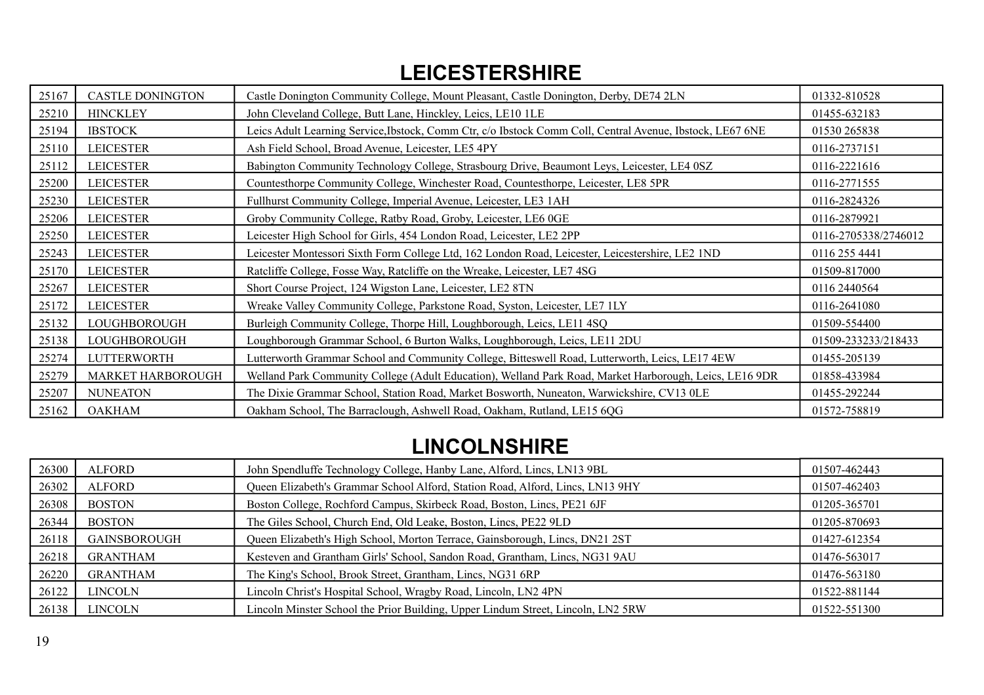### **LEICESTERSHIRE**

| 25167 | <b>CASTLE DONINGTON</b> | Castle Donington Community College, Mount Pleasant, Castle Donington, Derby, DE74 2LN                     | 01332-810528         |
|-------|-------------------------|-----------------------------------------------------------------------------------------------------------|----------------------|
| 25210 | <b>HINCKLEY</b>         | John Cleveland College, Butt Lane, Hinckley, Leics, LE10 1LE                                              | 01455-632183         |
| 25194 | <b>IBSTOCK</b>          | Leics Adult Learning Service, Ibstock, Comm Ctr, c/o Ibstock Comm Coll, Central Avenue, Ibstock, LE67 6NE | 01530 265838         |
| 25110 | <b>LEICESTER</b>        | Ash Field School, Broad Avenue, Leicester, LE5 4PY                                                        | 0116-2737151         |
| 25112 | <b>LEICESTER</b>        | Babington Community Technology College, Strasbourg Drive, Beaumont Leys, Leicester, LE4 0SZ               | 0116-2221616         |
| 25200 | <b>LEICESTER</b>        | Countesthorpe Community College, Winchester Road, Countesthorpe, Leicester, LE8 5PR                       | 0116-2771555         |
| 25230 | <b>LEICESTER</b>        | Fullhurst Community College, Imperial Avenue, Leicester, LE3 1AH                                          | 0116-2824326         |
| 25206 | <b>LEICESTER</b>        | Groby Community College, Ratby Road, Groby, Leicester, LE6 0GE                                            | 0116-2879921         |
| 25250 | <b>LEICESTER</b>        | Leicester High School for Girls, 454 London Road, Leicester, LE2 2PP                                      | 0116-2705338/2746012 |
| 25243 | <b>LEICESTER</b>        | Leicester Montessori Sixth Form College Ltd, 162 London Road, Leicester, Leicestershire, LE2 1ND          | 0116 255 4441        |
| 25170 | <b>LEICESTER</b>        | Ratcliffe College, Fosse Way, Ratcliffe on the Wreake, Leicester, LE7 4SG                                 | 01509-817000         |
| 25267 | <b>LEICESTER</b>        | Short Course Project, 124 Wigston Lane, Leicester, LE2 8TN                                                | 0116 2440564         |
| 25172 | <b>LEICESTER</b>        | Wreake Valley Community College, Parkstone Road, Syston, Leicester, LE7 1LY                               | 0116-2641080         |
| 25132 | LOUGHBOROUGH            | Burleigh Community College, Thorpe Hill, Loughborough, Leics, LE11 4SQ                                    | 01509-554400         |
| 25138 | LOUGHBOROUGH            | Loughborough Grammar School, 6 Burton Walks, Loughborough, Leics, LE11 2DU                                | 01509-233233/218433  |
| 25274 | <b>LUTTERWORTH</b>      | Lutterworth Grammar School and Community College, Bitteswell Road, Lutterworth, Leics, LE17 4EW           | 01455-205139         |
| 25279 | MARKET HARBOROUGH       | Welland Park Community College (Adult Education), Welland Park Road, Market Harborough, Leics, LE16 9DR   | 01858-433984         |
| 25207 | <b>NUNEATON</b>         | The Dixie Grammar School, Station Road, Market Bosworth, Nuneaton, Warwickshire, CV13 0LE                 | 01455-292244         |
| 25162 | <b>OAKHAM</b>           | Oakham School, The Barraclough, Ashwell Road, Oakham, Rutland, LE15 6QG                                   | 01572-758819         |

## **LINCOLNSHIRE**

| 26300 | <b>ALFORD</b>       | John Spendluffe Technology College, Hanby Lane, Alford, Lincs, LN13 9BL          | 01507-462443 |
|-------|---------------------|----------------------------------------------------------------------------------|--------------|
| 26302 | <b>ALFORD</b>       | Queen Elizabeth's Grammar School Alford, Station Road, Alford, Lincs, LN13 9HY   | 01507-462403 |
| 26308 | <b>BOSTON</b>       | Boston College, Rochford Campus, Skirbeck Road, Boston, Lincs, PE21 6JF          | 01205-365701 |
| 26344 | <b>BOSTON</b>       | The Giles School, Church End, Old Leake, Boston, Lincs, PE22 9LD                 | 01205-870693 |
| 26118 | <b>GAINSBOROUGH</b> | Queen Elizabeth's High School, Morton Terrace, Gainsborough, Lincs, DN21 2ST     | 01427-612354 |
| 26218 | GRANTHAM            | Kesteven and Grantham Girls' School, Sandon Road, Grantham, Lincs, NG31 9AU      | 01476-563017 |
| 26220 | <b>GRANTHAM</b>     | The King's School, Brook Street, Grantham, Lincs, NG31 6RP                       | 01476-563180 |
| 26122 | LINCOLN             | Lincoln Christ's Hospital School, Wragby Road, Lincoln, LN2 4PN                  | 01522-881144 |
| 26138 | <b>LINCOLN</b>      | Lincoln Minster School the Prior Building, Upper Lindum Street, Lincoln, LN2 5RW | 01522-551300 |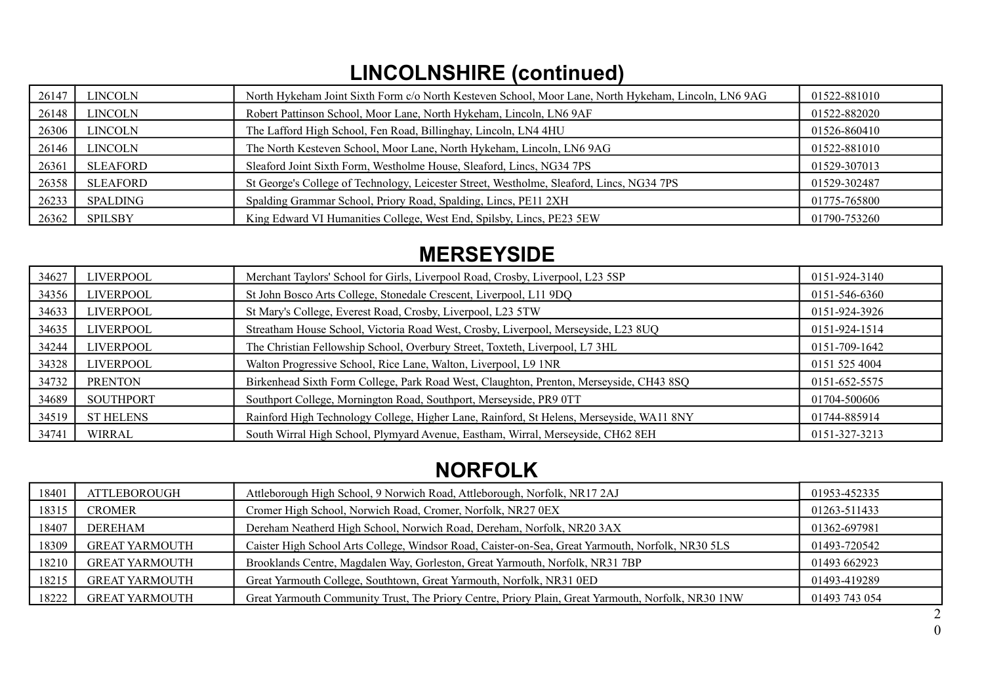# **LINCOLNSHIRE (continued)**

| 26147 | <b>LINCOLN</b> | North Hykeham Joint Sixth Form c/o North Kesteven School, Moor Lane, North Hykeham, Lincoln, LN6 9AG | 01522-881010 |
|-------|----------------|------------------------------------------------------------------------------------------------------|--------------|
| 26148 | <b>LINCOLN</b> | Robert Pattinson School, Moor Lane, North Hykeham, Lincoln, LN6 9AF                                  | 01522-882020 |
| 26306 | LINCOLN        | The Lafford High School, Fen Road, Billinghay, Lincoln, LN4 4HU                                      | 01526-860410 |
| 26146 | LINCOLN        | The North Kesteven School, Moor Lane, North Hykeham, Lincoln, LN6 9AG                                | 01522-881010 |
| 26361 | SLEAFORD       | Sleaford Joint Sixth Form, Westholme House, Sleaford, Lincs, NG34 7PS                                | 01529-307013 |
| 26358 | SLEAFORD       | St George's College of Technology, Leicester Street, Westholme, Sleaford, Lincs, NG34 7PS            | 01529-302487 |
| 26233 | SPALDING       | Spalding Grammar School, Priory Road, Spalding, Lincs, PE11 2XH                                      | 01775-765800 |
| 26362 | <b>SPILSBY</b> | King Edward VI Humanities College, West End, Spilsby, Lincs, PE23 5EW                                | 01790-753260 |

#### **MERSEYSIDE**

| 34627 | LIVERPOOL        | Merchant Taylors' School for Girls, Liverpool Road, Crosby, Liverpool, L23 5SP           | 0151-924-3140 |
|-------|------------------|------------------------------------------------------------------------------------------|---------------|
| 34356 | <b>LIVERPOOL</b> | St John Bosco Arts College, Stonedale Crescent, Liverpool, L11 9DQ                       | 0151-546-6360 |
| 34633 | <b>LIVERPOOL</b> | St Mary's College, Everest Road, Crosby, Liverpool, L23 5TW                              | 0151-924-3926 |
| 34635 | LIVERPOOL        | Streatham House School, Victoria Road West, Crosby, Liverpool, Merseyside, L23 8UQ       | 0151-924-1514 |
| 34244 | <b>LIVERPOOL</b> | The Christian Fellowship School, Overbury Street, Toxteth, Liverpool, L7 3HL             | 0151-709-1642 |
| 34328 | <b>LIVERPOOL</b> | Walton Progressive School, Rice Lane, Walton, Liverpool, L9 1NR                          | 0151 525 4004 |
| 34732 | <b>PRENTON</b>   | Birkenhead Sixth Form College, Park Road West, Claughton, Prenton, Merseyside, CH43 8SQ  | 0151-652-5575 |
| 34689 | <b>SOUTHPORT</b> | Southport College, Mornington Road, Southport, Merseyside, PR9 0TT                       | 01704-500606  |
| 34519 | <b>ST HELENS</b> | Rainford High Technology College, Higher Lane, Rainford, St Helens, Merseyside, WA11 8NY | 01744-885914  |
| 34741 | <b>WIRRAL</b>    | South Wirral High School, Plymyard Avenue, Eastham, Wirral, Merseyside, CH62 8EH         | 0151-327-3213 |

## **NORFOLK**

| 18401 | <b>ATTLEBOROUGH</b>   | Attleborough High School, 9 Norwich Road, Attleborough, Norfolk, NR17 2AJ                          | 01953-452335  |
|-------|-----------------------|----------------------------------------------------------------------------------------------------|---------------|
| 18315 | CROMER                | Cromer High School, Norwich Road, Cromer, Norfolk, NR27 0EX                                        | 01263-511433  |
| 18407 | <b>DEREHAM</b>        | Dereham Neatherd High School, Norwich Road, Dereham, Norfolk, NR20 3AX                             | 01362-697981  |
| 18309 | <b>GREAT YARMOUTH</b> | Caister High School Arts College, Windsor Road, Caister-on-Sea, Great Yarmouth, Norfolk, NR30 5LS  | 01493-720542  |
| 18210 | <b>GREAT YARMOUTH</b> | Brooklands Centre, Magdalen Way, Gorleston, Great Yarmouth, Norfolk, NR31 7BP                      | 01493 662923  |
| 18215 | <b>GREAT YARMOUTH</b> | Great Yarmouth College, Southtown, Great Yarmouth, Norfolk, NR31 0ED                               | 01493-419289  |
| 18222 | <b>GREAT YARMOUTH</b> | Great Yarmouth Community Trust, The Priory Centre, Priory Plain, Great Yarmouth, Norfolk, NR30 1NW | 01493 743 054 |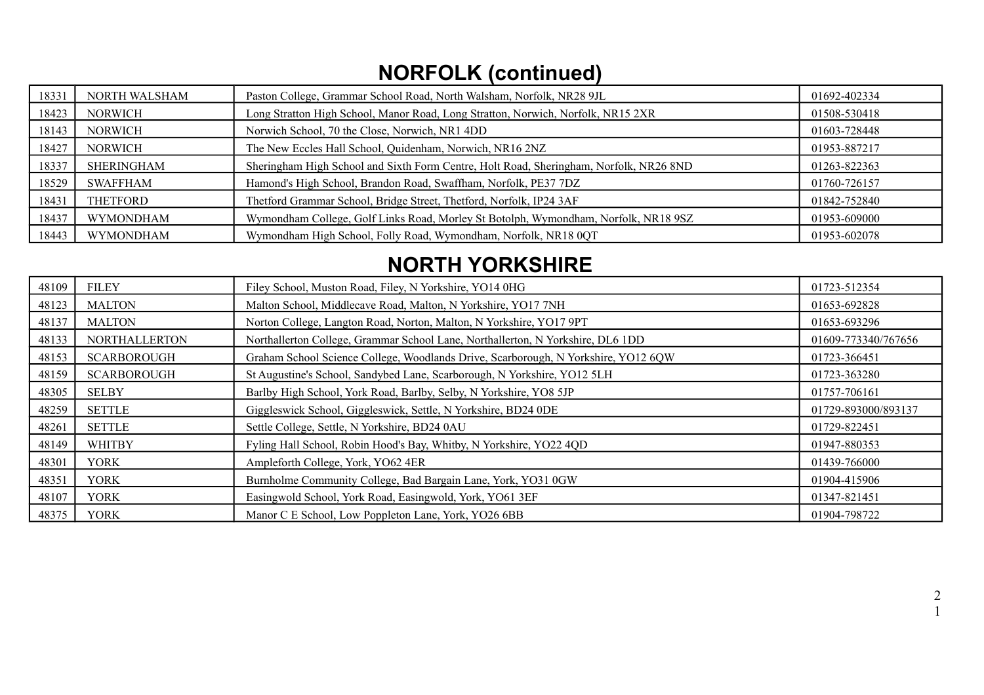# **NORFOLK (continued)**

| 18331 | NORTH WALSHAM    | Paston College, Grammar School Road, North Walsham, Norfolk, NR28 9JL                  | 01692-402334 |
|-------|------------------|----------------------------------------------------------------------------------------|--------------|
| 18423 | <b>NORWICH</b>   | Long Stratton High School, Manor Road, Long Stratton, Norwich, Norfolk, NR15 2XR       | 01508-530418 |
| 18143 | <b>NORWICH</b>   | Norwich School, 70 the Close, Norwich, NR1 4DD                                         | 01603-728448 |
| 18427 | <b>NORWICH</b>   | The New Eccles Hall School, Quidenham, Norwich, NR16 2NZ                               | 01953-887217 |
| 18337 | SHERINGHAM       | Sheringham High School and Sixth Form Centre, Holt Road, Sheringham, Norfolk, NR26 8ND | 01263-822363 |
| 18529 | SWAFFHAM         | Hamond's High School, Brandon Road, Swaffham, Norfolk, PE37 7DZ                        | 01760-726157 |
| 18431 | THETFORD         | Thetford Grammar School, Bridge Street, Thetford, Norfolk, IP24 3AF                    | 01842-752840 |
| 18437 | <b>WYMONDHAM</b> | Wymondham College, Golf Links Road, Morley St Botolph, Wymondham, Norfolk, NR18 9SZ    | 01953-609000 |
| 18443 | <b>WYMONDHAM</b> | Wymondham High School, Folly Road, Wymondham, Norfolk, NR18 0QT                        | 01953-602078 |

## **NORTH YORKSHIRE**

| 48109 | <b>FILEY</b>         | Filey School, Muston Road, Filey, N Yorkshire, YO14 0HG                            | 01723-512354        |
|-------|----------------------|------------------------------------------------------------------------------------|---------------------|
| 48123 | <b>MALTON</b>        | Malton School, Middlecave Road, Malton, N Yorkshire, YO17 7NH                      | 01653-692828        |
| 48137 | <b>MALTON</b>        | Norton College, Langton Road, Norton, Malton, N Yorkshire, YO17 9PT                | 01653-693296        |
| 48133 | <b>NORTHALLERTON</b> | Northallerton College, Grammar School Lane, Northallerton, N Yorkshire, DL6 1DD    | 01609-773340/767656 |
| 48153 | <b>SCARBOROUGH</b>   | Graham School Science College, Woodlands Drive, Scarborough, N Yorkshire, YO12 6QW | 01723-366451        |
| 48159 | <b>SCARBOROUGH</b>   | St Augustine's School, Sandybed Lane, Scarborough, N Yorkshire, YO12 5LH           | 01723-363280        |
| 48305 | <b>SELBY</b>         | Barlby High School, York Road, Barlby, Selby, N Yorkshire, YO8 5JP                 | 01757-706161        |
| 48259 | <b>SETTLE</b>        | Giggleswick School, Giggleswick, Settle, N Yorkshire, BD24 0DE                     | 01729-893000/893137 |
| 48261 | <b>SETTLE</b>        | Settle College, Settle, N Yorkshire, BD24 0AU                                      | 01729-822451        |
| 48149 | <b>WHITBY</b>        | Fyling Hall School, Robin Hood's Bay, Whitby, N Yorkshire, YO22 4QD                | 01947-880353        |
| 48301 | <b>YORK</b>          | Ampleforth College, York, YO62 4ER                                                 | 01439-766000        |
| 48351 | <b>YORK</b>          | Burnholme Community College, Bad Bargain Lane, York, YO31 0GW                      | 01904-415906        |
| 48107 | <b>YORK</b>          | Easingwold School, York Road, Easingwold, York, YO61 3EF                           | 01347-821451        |
| 48375 | <b>YORK</b>          | Manor C E School, Low Poppleton Lane, York, YO26 6BB                               | 01904-798722        |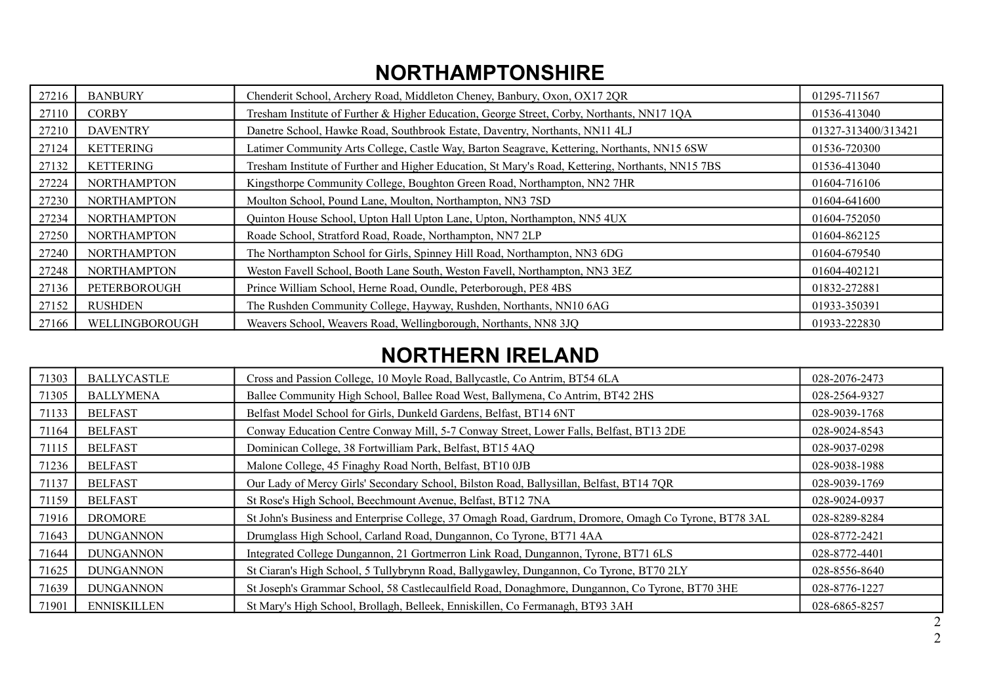## **NORTHAMPTONSHIRE**

| 27216 | <b>BANBURY</b>     | Chenderit School, Archery Road, Middleton Cheney, Banbury, Oxon, OX17 2QR                         | 01295-711567        |
|-------|--------------------|---------------------------------------------------------------------------------------------------|---------------------|
| 27110 | <b>CORBY</b>       | Tresham Institute of Further & Higher Education, George Street, Corby, Northants, NN17 1QA        | 01536-413040        |
| 27210 | <b>DAVENTRY</b>    | Danetre School, Hawke Road, Southbrook Estate, Daventry, Northants, NN11 4LJ                      | 01327-313400/313421 |
| 27124 | <b>KETTERING</b>   | Latimer Community Arts College, Castle Way, Barton Seagrave, Kettering, Northants, NN15 6SW       | 01536-720300        |
| 27132 | <b>KETTERING</b>   | Tresham Institute of Further and Higher Education, St Mary's Road, Kettering, Northants, NN15 7BS | 01536-413040        |
| 27224 | <b>NORTHAMPTON</b> | Kingsthorpe Community College, Boughton Green Road, Northampton, NN2 7HR                          | 01604-716106        |
| 27230 | <b>NORTHAMPTON</b> | Moulton School, Pound Lane, Moulton, Northampton, NN3 7SD                                         | 01604-641600        |
| 27234 | <b>NORTHAMPTON</b> | Quinton House School, Upton Hall Upton Lane, Upton, Northampton, NN5 4UX                          | 01604-752050        |
| 27250 | <b>NORTHAMPTON</b> | Roade School, Stratford Road, Roade, Northampton, NN7 2LP                                         | 01604-862125        |
| 27240 | <b>NORTHAMPTON</b> | The Northampton School for Girls, Spinney Hill Road, Northampton, NN3 6DG                         | 01604-679540        |
| 27248 | <b>NORTHAMPTON</b> | Weston Favell School, Booth Lane South, Weston Favell, Northampton, NN3 3EZ                       | 01604-402121        |
| 27136 | PETERBOROUGH       | Prince William School, Herne Road, Oundle, Peterborough, PE8 4BS                                  | 01832-272881        |
| 27152 | <b>RUSHDEN</b>     | The Rushden Community College, Hayway, Rushden, Northants, NN10 6AG                               | 01933-350391        |
| 27166 | WELLINGBOROUGH     | Weavers School, Weavers Road, Wellingborough, Northants, NN8 3JQ                                  | 01933-222830        |

### **NORTHERN IRELAND**

| 71303 | <b>BALLYCASTLE</b> | Cross and Passion College, 10 Moyle Road, Ballycastle, Co Antrim, BT54 6LA                            | 028-2076-2473 |
|-------|--------------------|-------------------------------------------------------------------------------------------------------|---------------|
| 71305 | <b>BALLYMENA</b>   | Ballee Community High School, Ballee Road West, Ballymena, Co Antrim, BT42 2HS                        | 028-2564-9327 |
| 71133 | <b>BELFAST</b>     | Belfast Model School for Girls, Dunkeld Gardens, Belfast, BT14 6NT                                    | 028-9039-1768 |
| 71164 | <b>BELFAST</b>     | Conway Education Centre Conway Mill, 5-7 Conway Street, Lower Falls, Belfast, BT13 2DE                | 028-9024-8543 |
| 71115 | <b>BELFAST</b>     | Dominican College, 38 Fortwilliam Park, Belfast, BT15 4AQ                                             | 028-9037-0298 |
| 71236 | <b>BELFAST</b>     | Malone College, 45 Finaghy Road North, Belfast, BT10 0JB                                              | 028-9038-1988 |
| 71137 | <b>BELFAST</b>     | Our Lady of Mercy Girls' Secondary School, Bilston Road, Ballysillan, Belfast, BT14 7QR               | 028-9039-1769 |
| 71159 | <b>BELFAST</b>     | St Rose's High School, Beechmount Avenue, Belfast, BT12 7NA                                           | 028-9024-0937 |
| 71916 | <b>DROMORE</b>     | St John's Business and Enterprise College, 37 Omagh Road, Gardrum, Dromore, Omagh Co Tyrone, BT78 3AL | 028-8289-8284 |
| 71643 | <b>DUNGANNON</b>   | Drumglass High School, Carland Road, Dungannon, Co Tyrone, BT71 4AA                                   | 028-8772-2421 |
| 71644 | <b>DUNGANNON</b>   | Integrated College Dungannon, 21 Gortmerron Link Road, Dungannon, Tyrone, BT71 6LS                    | 028-8772-4401 |
| 71625 | <b>DUNGANNON</b>   | St Ciaran's High School, 5 Tullybrynn Road, Ballygawley, Dungannon, Co Tyrone, BT70 2LY               | 028-8556-8640 |
| 71639 | <b>DUNGANNON</b>   | St Joseph's Grammar School, 58 Castlecaulfield Road, Donaghmore, Dungannon, Co Tyrone, BT70 3HE       | 028-8776-1227 |
| 71901 | <b>ENNISKILLEN</b> | St Mary's High School, Brollagh, Belleek, Enniskillen, Co Fermanagh, BT93 3AH                         | 028-6865-8257 |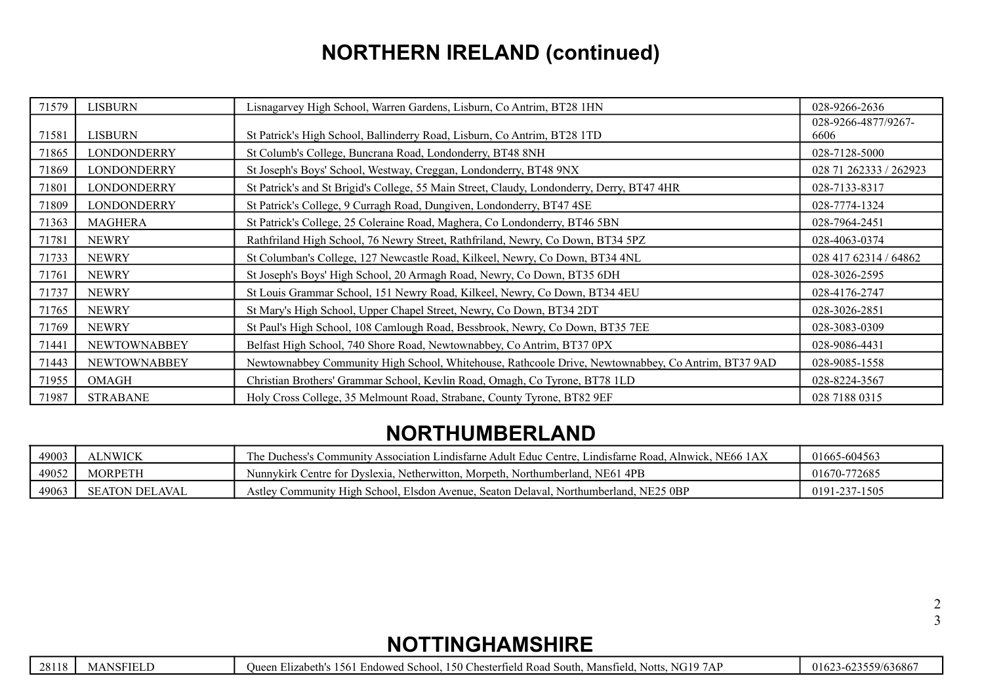# **NORTHERN IRELAND (continued)**

| 71579 | LISBURN             | Lisnagarvey High School, Warren Gardens, Lisburn, Co Antrim, BT28 1HN                              | 028-9266-2636               |
|-------|---------------------|----------------------------------------------------------------------------------------------------|-----------------------------|
| 71581 | <b>LISBURN</b>      | St Patrick's High School, Ballinderry Road, Lisburn, Co Antrim, BT28 1TD                           | 028-9266-4877/9267-<br>6606 |
| 71865 | <b>LONDONDERRY</b>  | St Columb's College, Buncrana Road, Londonderry, BT48 8NH                                          | 028-7128-5000               |
| 71869 | LONDONDERRY         | St Joseph's Boys' School, Westway, Creggan, Londonderry, BT48 9NX                                  | 028 71 262333 / 262923      |
| 71801 | <b>LONDONDERRY</b>  | St Patrick's and St Brigid's College, 55 Main Street, Claudy, Londonderry, Derry, BT47 4HR         | 028-7133-8317               |
| 71809 | <b>LONDONDERRY</b>  | St Patrick's College, 9 Curragh Road, Dungiven, Londonderry, BT47 4SE                              | 028-7774-1324               |
| 71363 | <b>MAGHERA</b>      | St Patrick's College, 25 Coleraine Road, Maghera, Co Londonderry, BT46 5BN                         | 028-7964-2451               |
| 71781 | <b>NEWRY</b>        | Rathfriland High School, 76 Newry Street, Rathfriland, Newry, Co Down, BT34 5PZ                    | 028-4063-0374               |
| 71733 | <b>NEWRY</b>        | St Columban's College, 127 Newcastle Road, Kilkeel, Newry, Co Down, BT34 4NL                       | 028 417 62314 / 64862       |
| 71761 | <b>NEWRY</b>        | St Joseph's Boys' High School, 20 Armagh Road, Newry, Co Down, BT35 6DH                            | 028-3026-2595               |
| 71737 | <b>NEWRY</b>        | St Louis Grammar School, 151 Newry Road, Kilkeel, Newry, Co Down, BT34 4EU                         | 028-4176-2747               |
| 71765 | <b>NEWRY</b>        | St Mary's High School, Upper Chapel Street, Newry, Co Down, BT34 2DT                               | 028-3026-2851               |
| 71769 | <b>NEWRY</b>        | St Paul's High School, 108 Camlough Road, Bessbrook, Newry, Co Down, BT35 7EE                      | 028-3083-0309               |
| 71441 | <b>NEWTOWNABBEY</b> | Belfast High School, 740 Shore Road, Newtownabbey, Co Antrim, BT37 0PX                             | 028-9086-4431               |
| 71443 | <b>NEWTOWNABBEY</b> | Newtownabbey Community High School, Whitehouse, Rathcoole Drive, Newtownabbey, Co Antrim, BT37 9AD | 028-9085-1558               |
| 71955 | <b>OMAGH</b>        | Christian Brothers' Grammar School, Kevlin Road, Omagh, Co Tyrone, BT78 1LD                        | 028-8224-3567               |
| 71987 | <b>STRABANE</b>     | Holy Cross College, 35 Melmount Road, Strabane, County Tyrone, BT82 9EF                            | 028 7188 0315               |

#### **NORTHUMBERLAND**

| 49003 | <b>LNWICK</b>             | The.<br>Alnwick. NE66<br>Grammunity Association Lindisfarne Adult Educ Centre. Lindisfarne Road.<br>Juchess's | 01665-604563           |
|-------|---------------------------|---------------------------------------------------------------------------------------------------------------|------------------------|
| 49052 | MORPETH                   | Nunnykirk Centre for Dyslexia, Netherwitton, Morpeth, Northumberland, NE61 4PB                                | -772685<br>$01670 - 7$ |
| 49063 | AVAL<br><b>SEATON DEL</b> | Community High School, Elsdon Avenue, Seaton Delaval, Northumberland, NE25 0BP<br>Astlev                      | 0191-237-1505          |

# **NOTTINGHAMSHIRE**

|  | 28118 | <b>MANSFIELD</b> |
|--|-------|------------------|
|--|-------|------------------|

Queen Elizabeth's 1561 Endowed School, 150 Chesterfield Road South, Mansfield, Notts, NG19 7AP 01623-623559/636867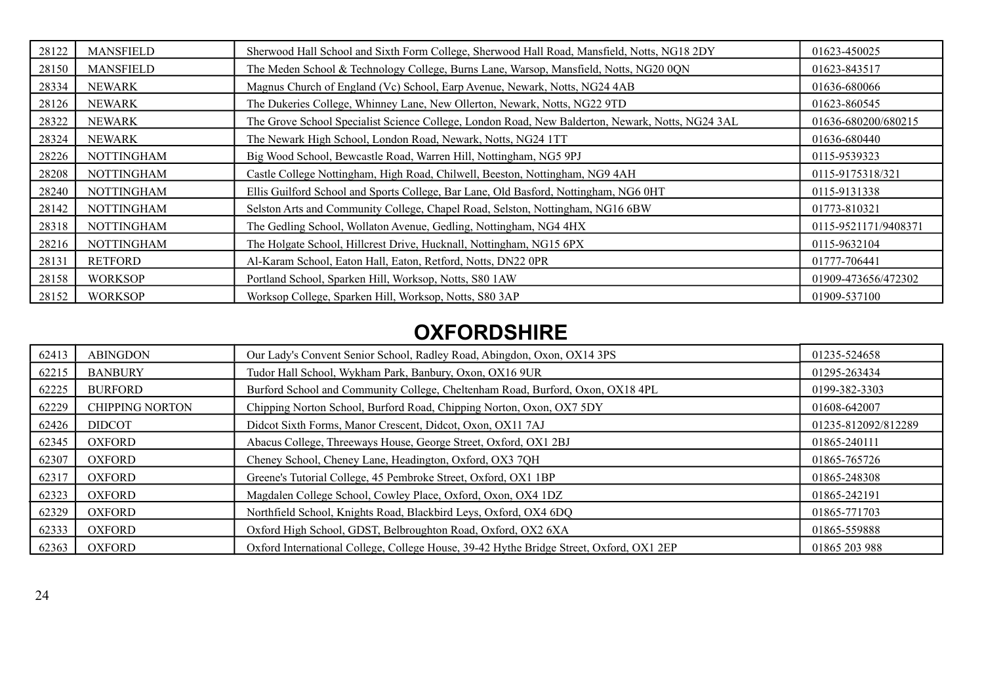| 28122 | <b>MANSFIELD</b>  | Sherwood Hall School and Sixth Form College, Sherwood Hall Road, Mansfield, Notts, NG18 2DY      | 01623-450025         |
|-------|-------------------|--------------------------------------------------------------------------------------------------|----------------------|
| 28150 | <b>MANSFIELD</b>  | The Meden School & Technology College, Burns Lane, Warsop, Mansfield, Notts, NG20 0QN            | 01623-843517         |
| 28334 | <b>NEWARK</b>     | Magnus Church of England (Vc) School, Earp Avenue, Newark, Notts, NG24 4AB                       | 01636-680066         |
| 28126 | <b>NEWARK</b>     | The Dukeries College, Whinney Lane, New Ollerton, Newark, Notts, NG22 9TD                        | 01623-860545         |
| 28322 | <b>NEWARK</b>     | The Grove School Specialist Science College, London Road, New Balderton, Newark, Notts, NG24 3AL | 01636-680200/680215  |
| 28324 | <b>NEWARK</b>     | The Newark High School, London Road, Newark, Notts, NG24 1TT                                     | 01636-680440         |
| 28226 | <b>NOTTINGHAM</b> | Big Wood School, Beweastle Road, Warren Hill, Nottingham, NG5 9PJ                                | 0115-9539323         |
| 28208 | <b>NOTTINGHAM</b> | Castle College Nottingham, High Road, Chilwell, Beeston, Nottingham, NG9 4AH                     | 0115-9175318/321     |
| 28240 | <b>NOTTINGHAM</b> | Ellis Guilford School and Sports College, Bar Lane, Old Basford, Nottingham, NG6 0HT             | 0115-9131338         |
| 28142 | <b>NOTTINGHAM</b> | Selston Arts and Community College, Chapel Road, Selston, Nottingham, NG16 6BW                   | 01773-810321         |
| 28318 | <b>NOTTINGHAM</b> | The Gedling School, Wollaton Avenue, Gedling, Nottingham, NG4 4HX                                | 0115-9521171/9408371 |
| 28216 | <b>NOTTINGHAM</b> | The Holgate School, Hillcrest Drive, Hucknall, Nottingham, NG15 6PX                              | 0115-9632104         |
| 28131 | <b>RETFORD</b>    | Al-Karam School, Eaton Hall, Eaton, Retford, Notts, DN22 0PR                                     | 01777-706441         |
| 28158 | <b>WORKSOP</b>    | Portland School, Sparken Hill, Worksop, Notts, S80 1AW                                           | 01909-473656/472302  |
| 28152 | <b>WORKSOP</b>    | Worksop College, Sparken Hill, Worksop, Notts, S80 3AP                                           | 01909-537100         |

### **OXFORDSHIRE**

| 62413 | <b>ABINGDON</b>        | Our Lady's Convent Senior School, Radley Road, Abingdon, Oxon, OX14 3PS                 | 01235-524658        |
|-------|------------------------|-----------------------------------------------------------------------------------------|---------------------|
| 62215 | <b>BANBURY</b>         | Tudor Hall School, Wykham Park, Banbury, Oxon, OX16 9UR                                 | 01295-263434        |
| 62225 | <b>BURFORD</b>         | Burford School and Community College, Cheltenham Road, Burford, Oxon, OX18 4PL          | 0199-382-3303       |
| 62229 | <b>CHIPPING NORTON</b> | Chipping Norton School, Burford Road, Chipping Norton, Oxon, OX7 5DY                    | 01608-642007        |
| 62426 | <b>DIDCOT</b>          | Didcot Sixth Forms, Manor Crescent, Didcot, Oxon, OX11 7AJ                              | 01235-812092/812289 |
| 62345 | <b>OXFORD</b>          | Abacus College, Threeways House, George Street, Oxford, OX1 2BJ                         | 01865-240111        |
| 62307 | <b>OXFORD</b>          | Cheney School, Cheney Lane, Headington, Oxford, OX3 7QH                                 | 01865-765726        |
| 62317 | <b>OXFORD</b>          | Greene's Tutorial College, 45 Pembroke Street, Oxford, OX1 1BP                          | 01865-248308        |
| 62323 | <b>OXFORD</b>          | Magdalen College School, Cowley Place, Oxford, Oxon, OX4 1DZ                            | 01865-242191        |
| 62329 | <b>OXFORD</b>          | Northfield School, Knights Road, Blackbird Leys, Oxford, OX4 6DQ                        | 01865-771703        |
| 62333 | <b>OXFORD</b>          | Oxford High School, GDST, Belbroughton Road, Oxford, OX2 6XA                            | 01865-559888        |
| 62363 | <b>OXFORD</b>          | Oxford International College, College House, 39-42 Hythe Bridge Street, Oxford, OX1 2EP | 01865 203 988       |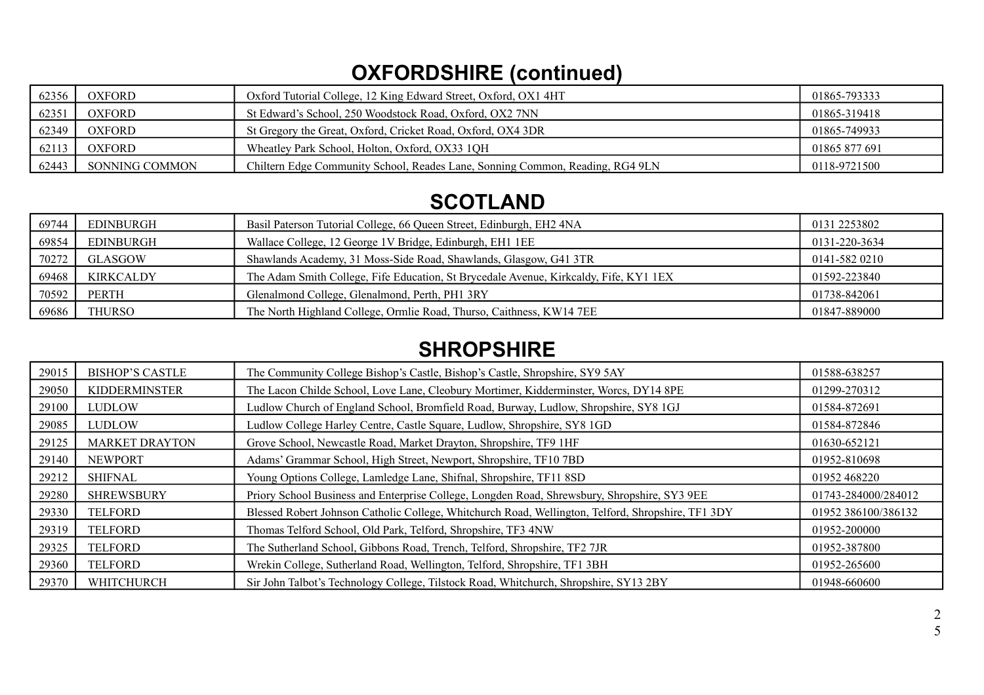# **OXFORDSHIRE (continued)**

| 62356 | <b>OXFORD</b>  | Oxford Tutorial College, 12 King Edward Street, Oxford, OX1 4HT               | 01865-793333  |
|-------|----------------|-------------------------------------------------------------------------------|---------------|
| 62351 | <b>OXFORD</b>  | St Edward's School, 250 Woodstock Road, Oxford, OX2 7NN                       | 01865-319418  |
| 62349 | <b>OXFORD</b>  | St Gregory the Great, Oxford, Cricket Road, Oxford, OX4 3DR                   | 01865-749933  |
| 62113 | <b>OXFORD</b>  | Wheatley Park School, Holton, Oxford, OX33 1QH                                | 01865 877 691 |
| 62443 | SONNING COMMON | Chiltern Edge Community School, Reades Lane, Sonning Common, Reading, RG4 9LN | 0118-9721500  |

### **SCOTLAND**

| 69744 | EDINBURGH        | Basil Paterson Tutorial College, 66 Queen Street, Edinburgh, EH2 4NA                  | 0131 2253802  |
|-------|------------------|---------------------------------------------------------------------------------------|---------------|
| 69854 | EDINBURGH        | Wallace College, 12 George 1V Bridge, Edinburgh, EH1 1EE                              | 0131-220-3634 |
| 70272 | <b>GLASGOW</b>   | Shawlands Academy, 31 Moss-Side Road, Shawlands, Glasgow, G41 3TR                     | 0141-582 0210 |
| 69468 | <b>KIRKCALDY</b> | The Adam Smith College, Fife Education, St Brycedale Avenue, Kirkcaldy, Fife, KY1 1EX | 01592-223840  |
| 70592 | PERTH            | Glenalmond College, Glenalmond, Perth, PH1 3RY                                        | 01738-842061  |
| 69686 | <b>THURSO</b>    | The North Highland College, Ormlie Road, Thurso, Caithness, KW14 7EE                  | 01847-889000  |

### **SHROPSHIRE**

| 29015 | <b>BISHOP'S CASTLE</b> | The Community College Bishop's Castle, Bishop's Castle, Shropshire, SY9 5AY                        | 01588-638257        |
|-------|------------------------|----------------------------------------------------------------------------------------------------|---------------------|
| 29050 | <b>KIDDERMINSTER</b>   | The Lacon Childe School, Love Lane, Cleobury Mortimer, Kidderminster, Worcs, DY14 8PE              | 01299-270312        |
| 29100 | <b>LUDLOW</b>          | Ludlow Church of England School, Bromfield Road, Burway, Ludlow, Shropshire, SY8 1GJ               | 01584-872691        |
| 29085 | <b>LUDLOW</b>          | Ludlow College Harley Centre, Castle Square, Ludlow, Shropshire, SY8 1GD                           | 01584-872846        |
| 29125 | <b>MARKET DRAYTON</b>  | Grove School, Newcastle Road, Market Drayton, Shropshire, TF9 1HF                                  | 01630-652121        |
| 29140 | <b>NEWPORT</b>         | Adams' Grammar School, High Street, Newport, Shropshire, TF10 7BD                                  | 01952-810698        |
| 29212 | <b>SHIFNAL</b>         | Young Options College, Lamledge Lane, Shifnal, Shropshire, TF11 8SD                                | 01952 468220        |
| 29280 | <b>SHREWSBURY</b>      | Priory School Business and Enterprise College, Longden Road, Shrewsbury, Shropshire, SY3 9EE       | 01743-284000/284012 |
| 29330 | <b>TELFORD</b>         | Blessed Robert Johnson Catholic College, Whitchurch Road, Wellington, Telford, Shropshire, TF1 3DY | 01952 386100/386132 |
| 29319 | <b>TELFORD</b>         | Thomas Telford School, Old Park, Telford, Shropshire, TF3 4NW                                      | 01952-200000        |
| 29325 | <b>TELFORD</b>         | The Sutherland School, Gibbons Road, Trench, Telford, Shropshire, TF2 7JR                          | 01952-387800        |
| 29360 | <b>TELFORD</b>         | Wrekin College, Sutherland Road, Wellington, Telford, Shropshire, TF1 3BH                          | 01952-265600        |
| 29370 | WHITCHURCH             | Sir John Talbot's Technology College, Tilstock Road, Whitchurch, Shropshire, SY13 2BY              | 01948-660600        |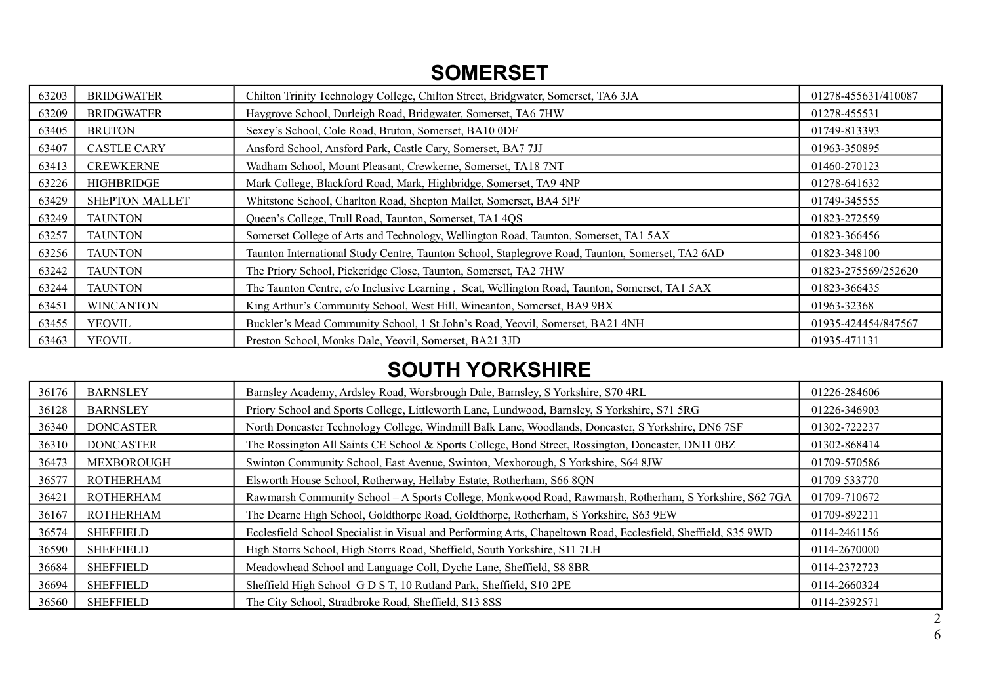### **SOMERSET**

| 63203 | <b>BRIDGWATER</b>     | Chilton Trinity Technology College, Chilton Street, Bridgwater, Somerset, TA6 3JA                | 01278-455631/410087 |
|-------|-----------------------|--------------------------------------------------------------------------------------------------|---------------------|
| 63209 | <b>BRIDGWATER</b>     | Haygrove School, Durleigh Road, Bridgwater, Somerset, TA6 7HW                                    | 01278-455531        |
| 63405 | <b>BRUTON</b>         | Sexey's School, Cole Road, Bruton, Somerset, BA10 0DF                                            | 01749-813393        |
| 63407 | <b>CASTLE CARY</b>    | Ansford School, Ansford Park, Castle Cary, Somerset, BA7 7JJ                                     | 01963-350895        |
| 63413 | <b>CREWKERNE</b>      | Wadham School, Mount Pleasant, Crewkerne, Somerset, TA18 7NT                                     | 01460-270123        |
| 63226 | HIGHBRIDGE            | Mark College, Blackford Road, Mark, Highbridge, Somerset, TA9 4NP                                | 01278-641632        |
| 63429 | <b>SHEPTON MALLET</b> | Whitstone School, Charlton Road, Shepton Mallet, Somerset, BA4 5PF                               | 01749-345555        |
| 63249 | <b>TAUNTON</b>        | Queen's College, Trull Road, Taunton, Somerset, TA1 4QS                                          | 01823-272559        |
| 63257 | <b>TAUNTON</b>        | Somerset College of Arts and Technology, Wellington Road, Taunton, Somerset, TA1 5AX             | 01823-366456        |
| 63256 | <b>TAUNTON</b>        | Taunton International Study Centre, Taunton School, Staplegrove Road, Taunton, Somerset, TA2 6AD | 01823-348100        |
| 63242 | <b>TAUNTON</b>        | The Priory School, Pickeridge Close, Taunton, Somerset, TA2 7HW                                  | 01823-275569/252620 |
| 63244 | <b>TAUNTON</b>        | The Taunton Centre, c/o Inclusive Learning, Scat, Wellington Road, Taunton, Somerset, TA1 5AX    | 01823-366435        |
| 63451 | <b>WINCANTON</b>      | King Arthur's Community School, West Hill, Wincanton, Somerset, BA9 9BX                          | 01963-32368         |
| 63455 | <b>YEOVIL</b>         | Buckler's Mead Community School, 1 St John's Road, Yeovil, Somerset, BA21 4NH                    | 01935-424454/847567 |
| 63463 | <b>YEOVIL</b>         | Preston School, Monks Dale, Yeovil, Somerset, BA21 3JD                                           | 01935-471131        |

### **SOUTH YORKSHIRE**

| 36176 | <b>BARNSLEY</b>  | Barnsley Academy, Ardsley Road, Worsbrough Dale, Barnsley, S Yorkshire, S70 4RL                               | 01226-284606 |
|-------|------------------|---------------------------------------------------------------------------------------------------------------|--------------|
| 36128 | <b>BARNSLEY</b>  | Priory School and Sports College, Littleworth Lane, Lundwood, Barnsley, S Yorkshire, S71 5RG                  | 01226-346903 |
| 36340 | <b>DONCASTER</b> | North Doncaster Technology College, Windmill Balk Lane, Woodlands, Doncaster, S Yorkshire, DN6 7SF            | 01302-722237 |
| 36310 | <b>DONCASTER</b> | The Rossington All Saints CE School & Sports College, Bond Street, Rossington, Doncaster, DN11 0BZ            | 01302-868414 |
| 36473 | MEXBOROUGH       | Swinton Community School, East Avenue, Swinton, Mexborough, S Yorkshire, S64 8JW                              | 01709-570586 |
| 36577 | <b>ROTHERHAM</b> | Elsworth House School, Rotherway, Hellaby Estate, Rotherham, S66 8QN                                          | 01709 533770 |
| 36421 | <b>ROTHERHAM</b> | Rawmarsh Community School - A Sports College, Monkwood Road, Rawmarsh, Rotherham, S Yorkshire, S62 7GA        | 01709-710672 |
| 36167 | <b>ROTHERHAM</b> | The Dearne High School, Goldthorpe Road, Goldthorpe, Rotherham, S Yorkshire, S63 9EW                          | 01709-892211 |
| 36574 | <b>SHEFFIELD</b> | Ecclesfield School Specialist in Visual and Performing Arts, Chapeltown Road, Ecclesfield, Sheffield, S35 9WD | 0114-2461156 |
| 36590 | <b>SHEFFIELD</b> | High Storrs School, High Storrs Road, Sheffield, South Yorkshire, S11 7LH                                     | 0114-2670000 |
| 36684 | <b>SHEFFIELD</b> | Meadowhead School and Language Coll, Dyche Lane, Sheffield, S8 8BR                                            | 0114-2372723 |
| 36694 | <b>SHEFFIELD</b> | Sheffield High School G D S T, 10 Rutland Park, Sheffield, S10 2PE                                            | 0114-2660324 |
| 36560 | <b>SHEFFIELD</b> | The City School, Stradbroke Road, Sheffield, S13 8SS                                                          | 0114-2392571 |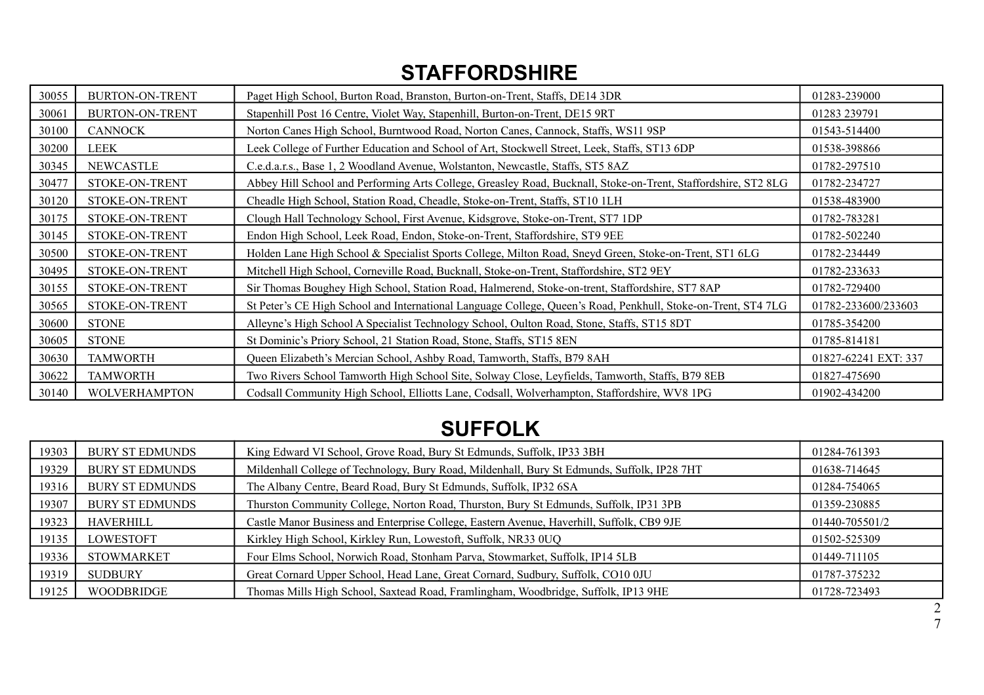### **STAFFORDSHIRE**

| 30055 | <b>BURTON-ON-TRENT</b> | Paget High School, Burton Road, Branston, Burton-on-Trent, Staffs, DE14 3DR                                    | 01283-239000         |
|-------|------------------------|----------------------------------------------------------------------------------------------------------------|----------------------|
| 30061 | <b>BURTON-ON-TRENT</b> | Stapenhill Post 16 Centre, Violet Way, Stapenhill, Burton-on-Trent, DE15 9RT                                   | 01283 239791         |
| 30100 | <b>CANNOCK</b>         | Norton Canes High School, Burntwood Road, Norton Canes, Cannock, Staffs, WS11 9SP                              | 01543-514400         |
| 30200 | LEEK                   | Leek College of Further Education and School of Art, Stockwell Street, Leek, Staffs, ST13 6DP                  | 01538-398866         |
| 30345 | NEWCASTLE              | C.e.d.a.r.s., Base 1, 2 Woodland Avenue, Wolstanton, Newcastle, Staffs, ST5 8AZ                                | 01782-297510         |
| 30477 | STOKE-ON-TRENT         | Abbey Hill School and Performing Arts College, Greasley Road, Bucknall, Stoke-on-Trent, Staffordshire, ST2 8LG | 01782-234727         |
| 30120 | STOKE-ON-TRENT         | Cheadle High School, Station Road, Cheadle, Stoke-on-Trent, Staffs, ST10 1LH                                   | 01538-483900         |
| 30175 | STOKE-ON-TRENT         | Clough Hall Technology School, First Avenue, Kidsgrove, Stoke-on-Trent, ST7 1DP                                | 01782-783281         |
| 30145 | STOKE-ON-TRENT         | Endon High School, Leek Road, Endon, Stoke-on-Trent, Staffordshire, ST9 9EE                                    | 01782-502240         |
| 30500 | STOKE-ON-TRENT         | Holden Lane High School & Specialist Sports College, Milton Road, Sneyd Green, Stoke-on-Trent, ST1 6LG         | 01782-234449         |
| 30495 | STOKE-ON-TRENT         | Mitchell High School, Corneville Road, Bucknall, Stoke-on-Trent, Staffordshire, ST2 9EY                        | 01782-233633         |
| 30155 | STOKE-ON-TRENT         | Sir Thomas Boughey High School, Station Road, Halmerend, Stoke-on-trent, Staffordshire, ST7 8AP                | 01782-729400         |
| 30565 | STOKE-ON-TRENT         | St Peter's CE High School and International Language College, Queen's Road, Penkhull, Stoke-on-Trent, ST4 7LG  | 01782-233600/233603  |
| 30600 | <b>STONE</b>           | Alleyne's High School A Specialist Technology School, Oulton Road, Stone, Staffs, ST15 8DT                     | 01785-354200         |
| 30605 | <b>STONE</b>           | St Dominic's Priory School, 21 Station Road, Stone, Staffs, ST15 8EN                                           | 01785-814181         |
| 30630 | <b>TAMWORTH</b>        | Queen Elizabeth's Mercian School, Ashby Road, Tamworth, Staffs, B79 8AH                                        | 01827-62241 EXT: 337 |
| 30622 | <b>TAMWORTH</b>        | Two Rivers School Tamworth High School Site, Solway Close, Leyfields, Tamworth, Staffs, B79 8EB                | 01827-475690         |
| 30140 | <b>WOLVERHAMPTON</b>   | Codsall Community High School, Elliotts Lane, Codsall, Wolverhampton, Staffordshire, WV8 1PG                   | 01902-434200         |

# **SUFFOLK**

| 19303 | <b>BURY ST EDMUNDS</b> | King Edward VI School, Grove Road, Bury St Edmunds, Suffolk, IP33 3BH                       | 01284-761393   |
|-------|------------------------|---------------------------------------------------------------------------------------------|----------------|
| 19329 | <b>BURY ST EDMUNDS</b> | Mildenhall College of Technology, Bury Road, Mildenhall, Bury St Edmunds, Suffolk, IP28 7HT | 01638-714645   |
| 19316 | <b>BURY ST EDMUNDS</b> | The Albany Centre, Beard Road, Bury St Edmunds, Suffolk, IP32 6SA                           | 01284-754065   |
| 19307 | <b>BURY ST EDMUNDS</b> | Thurston Community College, Norton Road, Thurston, Bury St Edmunds, Suffolk, IP31 3PB       | 01359-230885   |
| 19323 | <b>HAVERHILL</b>       | Castle Manor Business and Enterprise College, Eastern Avenue, Haverhill, Suffolk, CB9 9JE   | 01440-705501/2 |
| 19135 | <b>LOWESTOFT</b>       | Kirkley High School, Kirkley Run, Lowestoft, Suffolk, NR33 0UQ                              | 01502-525309   |
| 19336 | <b>STOWMARKET</b>      | Four Elms School, Norwich Road, Stonham Parva, Stowmarket, Suffolk, IP14 5LB                | 01449-711105   |
| 19319 | <b>SUDBURY</b>         | Great Cornard Upper School, Head Lane, Great Cornard, Sudbury, Suffolk, CO10 0JU            | 01787-375232   |
| 19125 | <b>WOODBRIDGE</b>      | Thomas Mills High School, Saxtead Road, Framlingham, Woodbridge, Suffolk, IP13 9HE          | 01728-723493   |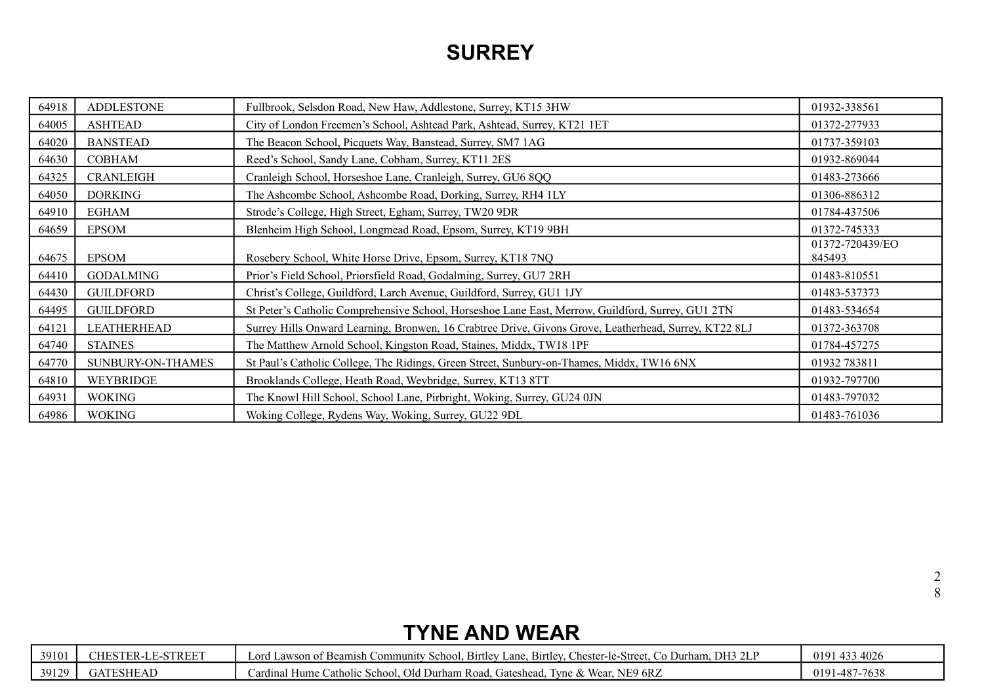### **SURREY**

| 64918 | <b>ADDLESTONE</b> | Fullbrook, Selsdon Road, New Haw, Addlestone, Surrey, KT15 3HW                                        | 01932-338561              |
|-------|-------------------|-------------------------------------------------------------------------------------------------------|---------------------------|
| 64005 | <b>ASHTEAD</b>    | City of London Freemen's School, Ashtead Park, Ashtead, Surrey, KT21 1ET                              | 01372-277933              |
| 64020 | <b>BANSTEAD</b>   | The Beacon School, Picquets Way, Banstead, Surrey, SM7 1AG                                            | 01737-359103              |
| 64630 | <b>COBHAM</b>     | Reed's School, Sandy Lane, Cobham, Surrey, KT11 2ES                                                   | 01932-869044              |
| 64325 | <b>CRANLEIGH</b>  | Cranleigh School, Horseshoe Lane, Cranleigh, Surrey, GU6 8QQ                                          | 01483-273666              |
| 64050 | <b>DORKING</b>    | The Ashcombe School, Ashcombe Road, Dorking, Surrey, RH4 1LY                                          | 01306-886312              |
| 64910 | <b>EGHAM</b>      | Strode's College, High Street, Egham, Surrey, TW20 9DR                                                | 01784-437506              |
| 64659 | <b>EPSOM</b>      | Blenheim High School, Longmead Road, Epsom, Surrey, KT19 9BH                                          | 01372-745333              |
| 64675 | <b>EPSOM</b>      | Rosebery School, White Horse Drive, Epsom, Surrey, KT18 7NQ                                           | 01372-720439/EO<br>845493 |
| 64410 | <b>GODALMING</b>  | Prior's Field School, Priorsfield Road, Godalming, Surrey, GU7 2RH                                    | 01483-810551              |
| 64430 | <b>GUILDFORD</b>  | Christ's College, Guildford, Larch Avenue, Guildford, Surrey, GU1 1JY                                 | 01483-537373              |
| 64495 | <b>GUILDFORD</b>  | St Peter's Catholic Comprehensive School, Horseshoe Lane East, Merrow, Guildford, Surrey, GU1 2TN     | 01483-534654              |
| 64121 | LEATHERHEAD       | Surrey Hills Onward Learning, Bronwen, 16 Crabtree Drive, Givons Grove, Leatherhead, Surrey, KT22 8LJ | 01372-363708              |
| 64740 | <b>STAINES</b>    | The Matthew Arnold School, Kingston Road, Staines, Middx, TW18 1PF                                    | 01784-457275              |
| 64770 | SUNBURY-ON-THAMES | St Paul's Catholic College, The Ridings, Green Street, Sunbury-on-Thames, Middx, TW16 6NX             | 01932 783811              |
| 64810 | WEYBRIDGE         | Brooklands College, Heath Road, Weybridge, Surrey, KT13 8TT                                           | 01932-797700              |
| 64931 | <b>WOKING</b>     | The Knowl Hill School, School Lane, Pirbright, Woking, Surrey, GU24 0JN                               | 01483-797032              |
| 64986 | <b>WOKING</b>     | Woking College, Rydens Way, Woking, Surrey, GU22 9DL                                                  | 01483-761036              |

## **TYNE AND WEAR**

| 39101                | rn E E'T<br>.<br>. <b>N</b> = 1<br>LINDL. | ∽ .<br>DH3 2LI<br>חזרי<br><b>B</b> irtley<br>Durham.<br>$n$ me.<br>School.<br>Lane.<br>Stre<br>ord '<br>. .aw<br>.ommunity<br>_hester<br>Bittley<br>ΩT<br>BE<br>er-le | 4026<br>በ19<br><b>1</b>          |
|----------------------|-------------------------------------------|-----------------------------------------------------------------------------------------------------------------------------------------------------------------------|----------------------------------|
| 30120<br><i>- 14</i> | 70 F F F F F                              | NE9 6RZ<br>Wear.<br>Old<br>Catholic<br>l Durham Road.<br>Hume<br>ardına<br>Schoo<br>ateshead.<br><b>vne</b><br>Gales<br>ـ تــالا '                                    | 700<br>$1 - 487$<br>01 Q<br>7638 |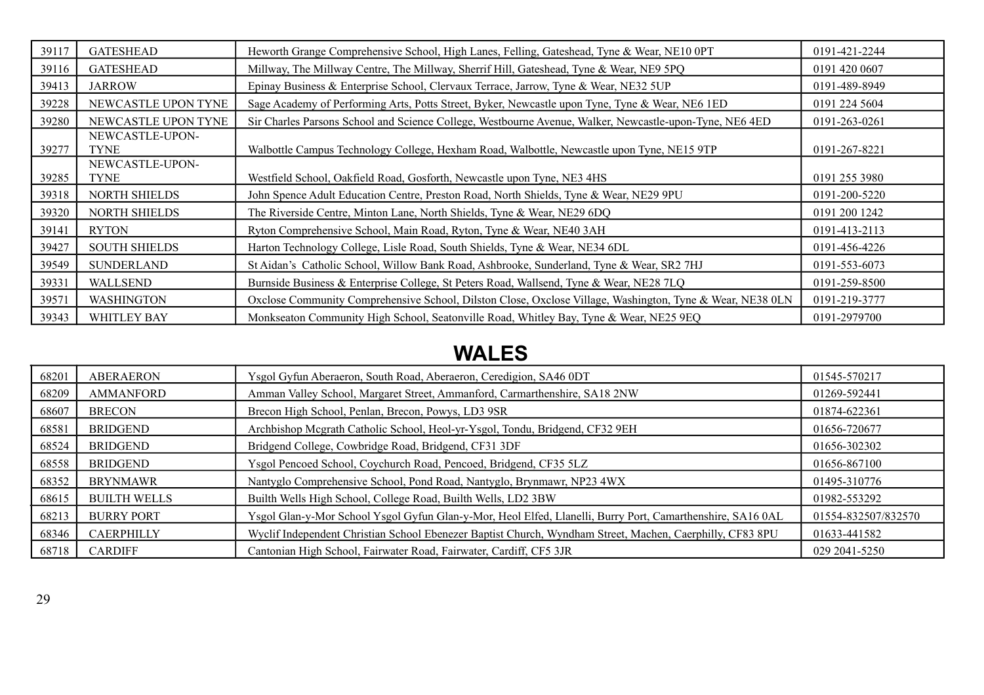| 39117 | <b>GATESHEAD</b>        | Heworth Grange Comprehensive School, High Lanes, Felling, Gateshead, Tyne & Wear, NE10 0PT                | 0191-421-2244 |
|-------|-------------------------|-----------------------------------------------------------------------------------------------------------|---------------|
| 39116 | <b>GATESHEAD</b>        | Millway, The Millway Centre, The Millway, Sherrif Hill, Gateshead, Tyne & Wear, NE9 5PQ                   | 0191 420 0607 |
| 39413 | <b>JARROW</b>           | Epinay Business & Enterprise School, Clervaux Terrace, Jarrow, Tyne & Wear, NE32 5UP                      | 0191-489-8949 |
| 39228 | NEWCASTLE UPON TYNE     | Sage Academy of Performing Arts, Potts Street, Byker, Newcastle upon Tyne, Tyne & Wear, NE6 1ED           | 0191 224 5604 |
| 39280 | NEWCASTLE UPON TYNE     | Sir Charles Parsons School and Science College, Westbourne Avenue, Walker, Newcastle-upon-Tyne, NE6 4ED   | 0191-263-0261 |
| 39277 | NEWCASTLE-UPON-<br>TYNE | Walbottle Campus Technology College, Hexham Road, Walbottle, Newcastle upon Tyne, NE15 9TP                | 0191-267-8221 |
| 39285 | NEWCASTLE-UPON-<br>TYNE | Westfield School, Oakfield Road, Gosforth, Newcastle upon Tyne, NE3 4HS                                   | 0191 255 3980 |
| 39318 | NORTH SHIELDS           | John Spence Adult Education Centre, Preston Road, North Shields, Tyne & Wear, NE29 9PU                    | 0191-200-5220 |
| 39320 | <b>NORTH SHIELDS</b>    | The Riverside Centre, Minton Lane, North Shields, Tyne & Wear, NE29 6DQ                                   | 0191 200 1242 |
| 39141 | <b>RYTON</b>            | Ryton Comprehensive School, Main Road, Ryton, Tyne & Wear, NE40 3AH                                       | 0191-413-2113 |
| 39427 | <b>SOUTH SHIELDS</b>    | Harton Technology College, Lisle Road, South Shields, Tyne & Wear, NE34 6DL                               | 0191-456-4226 |
| 39549 | <b>SUNDERLAND</b>       | St Aidan's Catholic School, Willow Bank Road, Ashbrooke, Sunderland, Tyne & Wear, SR2 7HJ                 | 0191-553-6073 |
| 39331 | <b>WALLSEND</b>         | Burnside Business & Enterprise College, St Peters Road, Wallsend, Tyne & Wear, NE28 7LQ                   | 0191-259-8500 |
| 39571 | <b>WASHINGTON</b>       | Oxclose Community Comprehensive School, Dilston Close, Oxclose Village, Washington, Tyne & Wear, NE38 0LN | 0191-219-3777 |
| 39343 | <b>WHITLEY BAY</b>      | Monkseaton Community High School, Seatonville Road, Whitley Bay, Tyne & Wear, NE25 9EQ                    | 0191-2979700  |

## **WALES**

| 68201 | <b>ABERAERON</b>    | Ysgol Gyfun Aberaeron, South Road, Aberaeron, Ceredigion, SA46 0DT                                         | 01545-570217        |
|-------|---------------------|------------------------------------------------------------------------------------------------------------|---------------------|
| 68209 | <b>AMMANFORD</b>    | Amman Valley School, Margaret Street, Ammanford, Carmarthenshire, SA18 2NW                                 | 01269-592441        |
| 68607 | <b>BRECON</b>       | Brecon High School, Penlan, Brecon, Powys, LD3 9SR                                                         | 01874-622361        |
| 68581 | <b>BRIDGEND</b>     | Archbishop Mcgrath Catholic School, Heol-yr-Ysgol, Tondu, Bridgend, CF32 9EH                               | 01656-720677        |
| 68524 | <b>BRIDGEND</b>     | Bridgend College, Cowbridge Road, Bridgend, CF31 3DF                                                       | 01656-302302        |
| 68558 | <b>BRIDGEND</b>     | Ysgol Pencoed School, Coychurch Road, Pencoed, Bridgend, CF35 5LZ                                          | 01656-867100        |
| 68352 | <b>BRYNMAWR</b>     | Nantyglo Comprehensive School, Pond Road, Nantyglo, Brynmawr, NP23 4WX                                     | 01495-310776        |
| 68615 | <b>BUILTH WELLS</b> | Builth Wells High School, College Road, Builth Wells, LD2 3BW                                              | 01982-553292        |
| 68213 | <b>BURRY PORT</b>   | Ysgol Glan-y-Mor School Ysgol Gyfun Glan-y-Mor, Heol Elfed, Llanelli, Burry Port, Camarthenshire, SA16 0AL | 01554-832507/832570 |
| 68346 | <b>CAERPHILLY</b>   | Wyclif Independent Christian School Ebenezer Baptist Church, Wyndham Street, Machen, Caerphilly, CF83 8PU  | 01633-441582        |
| 68718 | <b>CARDIFF</b>      | Cantonian High School, Fairwater Road, Fairwater, Cardiff, CF5 3JR                                         | 029 2041-5250       |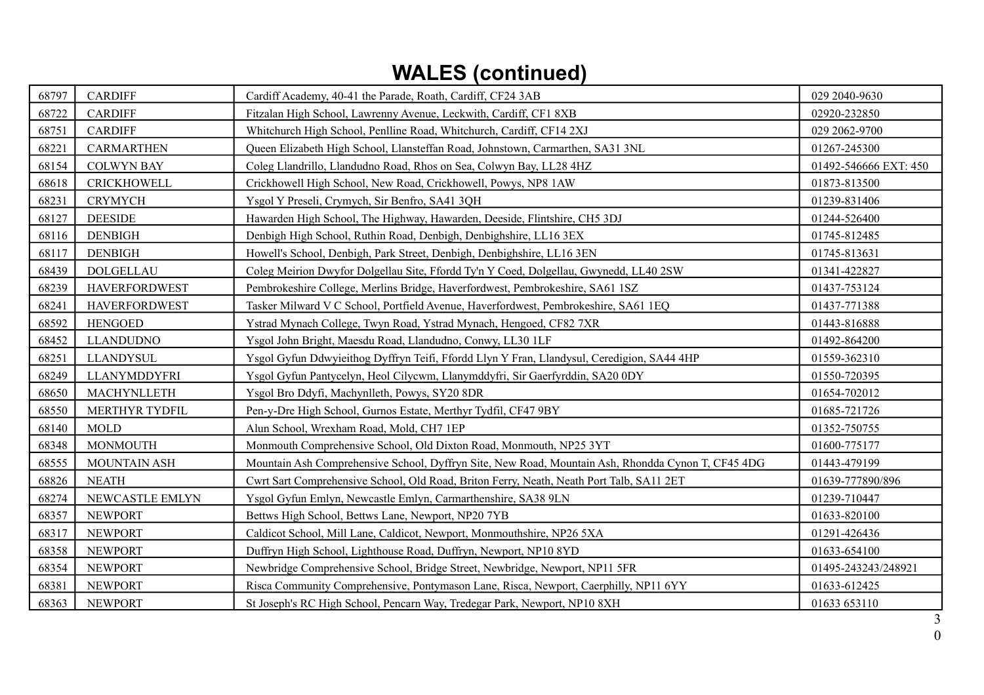## **WALES (continued)**

| 68797 | <b>CARDIFF</b>       | Cardiff Academy, 40-41 the Parade, Roath, Cardiff, CF24 3AB                                        | 029 2040-9630         |
|-------|----------------------|----------------------------------------------------------------------------------------------------|-----------------------|
| 68722 | <b>CARDIFF</b>       | Fitzalan High School, Lawrenny Avenue, Leckwith, Cardiff, CF1 8XB                                  | 02920-232850          |
| 68751 | <b>CARDIFF</b>       | Whitchurch High School, Penlline Road, Whitchurch, Cardiff, CF14 2XJ                               | 029 2062-9700         |
| 68221 | <b>CARMARTHEN</b>    | Queen Elizabeth High School, Llansteffan Road, Johnstown, Carmarthen, SA31 3NL                     | 01267-245300          |
| 68154 | <b>COLWYN BAY</b>    | Coleg Llandrillo, Llandudno Road, Rhos on Sea, Colwyn Bay, LL28 4HZ                                | 01492-546666 EXT: 450 |
| 68618 | <b>CRICKHOWELL</b>   | Crickhowell High School, New Road, Crickhowell, Powys, NP8 1AW                                     | 01873-813500          |
| 68231 | <b>CRYMYCH</b>       | Ysgol Y Preseli, Crymych, Sir Benfro, SA41 3QH                                                     | 01239-831406          |
| 68127 | <b>DEESIDE</b>       | Hawarden High School, The Highway, Hawarden, Deeside, Flintshire, CH5 3DJ                          | 01244-526400          |
| 68116 | <b>DENBIGH</b>       | Denbigh High School, Ruthin Road, Denbigh, Denbighshire, LL16 3EX                                  | 01745-812485          |
| 68117 | <b>DENBIGH</b>       | Howell's School, Denbigh, Park Street, Denbigh, Denbighshire, LL16 3EN                             | 01745-813631          |
| 68439 | <b>DOLGELLAU</b>     | Coleg Meirion Dwyfor Dolgellau Site, Ffordd Ty'n Y Coed, Dolgellau, Gwynedd, LL40 2SW              | 01341-422827          |
| 68239 | <b>HAVERFORDWEST</b> | Pembrokeshire College, Merlins Bridge, Haverfordwest, Pembrokeshire, SA61 1SZ                      | 01437-753124          |
| 68241 | <b>HAVERFORDWEST</b> | Tasker Milward V C School, Portfield Avenue, Haverfordwest, Pembrokeshire, SA61 1EQ                | 01437-771388          |
| 68592 | <b>HENGOED</b>       | Ystrad Mynach College, Twyn Road, Ystrad Mynach, Hengoed, CF82 7XR                                 | 01443-816888          |
| 68452 | <b>LLANDUDNO</b>     | Ysgol John Bright, Maesdu Road, Llandudno, Conwy, LL30 1LF                                         | 01492-864200          |
| 68251 | <b>LLANDYSUL</b>     | Ysgol Gyfun Ddwyieithog Dyffryn Teifi, Ffordd Llyn Y Fran, Llandysul, Ceredigion, SA44 4HP         | 01559-362310          |
| 68249 | LLANYMDDYFRI         | Ysgol Gyfun Pantycelyn, Heol Cilycwm, Llanymddyfri, Sir Gaerfyrddin, SA20 0DY                      | 01550-720395          |
| 68650 | MACHYNLLETH          | Ysgol Bro Ddyfi, Machynlleth, Powys, SY20 8DR                                                      | 01654-702012          |
| 68550 | MERTHYR TYDFIL       | Pen-y-Dre High School, Gurnos Estate, Merthyr Tydfil, CF47 9BY                                     | 01685-721726          |
| 68140 | <b>MOLD</b>          | Alun School, Wrexham Road, Mold, CH7 1EP                                                           | 01352-750755          |
| 68348 | <b>MONMOUTH</b>      | Monmouth Comprehensive School, Old Dixton Road, Monmouth, NP25 3YT                                 | 01600-775177          |
| 68555 | MOUNTAIN ASH         | Mountain Ash Comprehensive School, Dyffryn Site, New Road, Mountain Ash, Rhondda Cynon T, CF45 4DG | 01443-479199          |
| 68826 | <b>NEATH</b>         | Cwrt Sart Comprehensive School, Old Road, Briton Ferry, Neath, Neath Port Talb, SA11 2ET           | 01639-777890/896      |
| 68274 | NEWCASTLE EMLYN      | Ysgol Gyfun Emlyn, Newcastle Emlyn, Carmarthenshire, SA38 9LN                                      | 01239-710447          |
| 68357 | <b>NEWPORT</b>       | Bettws High School, Bettws Lane, Newport, NP20 7YB                                                 | 01633-820100          |
| 68317 | <b>NEWPORT</b>       | Caldicot School, Mill Lane, Caldicot, Newport, Monmouthshire, NP26 5XA                             | 01291-426436          |
| 68358 | <b>NEWPORT</b>       | Duffryn High School, Lighthouse Road, Duffryn, Newport, NP10 8YD                                   | 01633-654100          |
| 68354 | <b>NEWPORT</b>       | Newbridge Comprehensive School, Bridge Street, Newbridge, Newport, NP11 5FR                        | 01495-243243/248921   |
| 68381 | <b>NEWPORT</b>       | Risca Community Comprehensive, Pontymason Lane, Risca, Newport, Caerphilly, NP11 6YY               | 01633-612425          |
| 68363 | <b>NEWPORT</b>       | St Joseph's RC High School, Pencarn Way, Tredegar Park, Newport, NP10 8XH                          | 01633 653110          |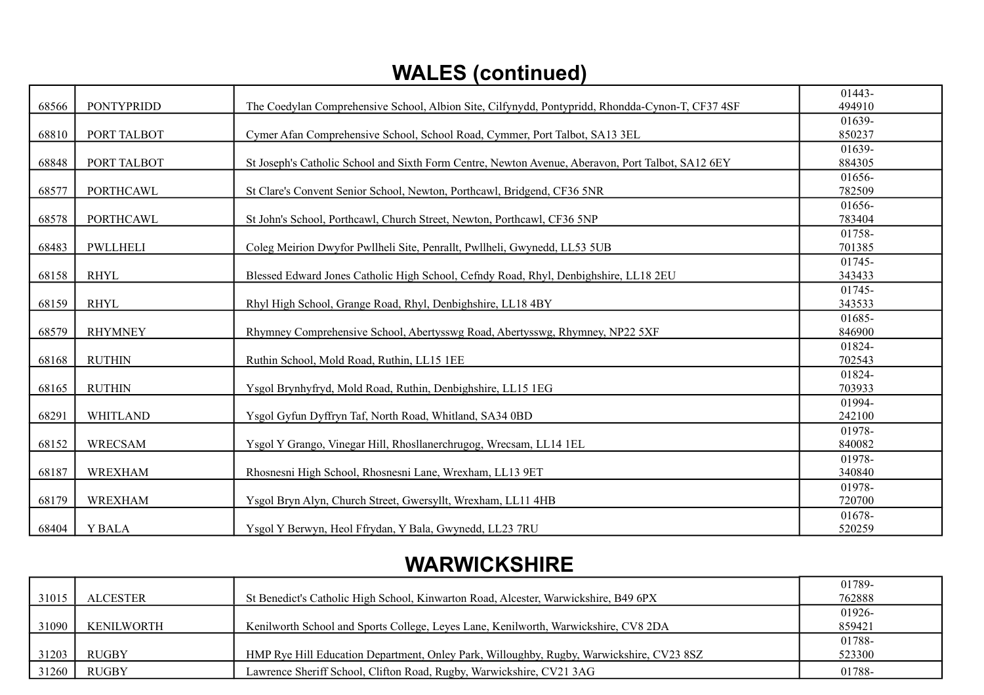## **WALES (continued)**

|       |                   |                                                                                                   | 01443- |
|-------|-------------------|---------------------------------------------------------------------------------------------------|--------|
| 68566 | <b>PONTYPRIDD</b> | The Coedylan Comprehensive School, Albion Site, Cilfynydd, Pontypridd, Rhondda-Cynon-T, CF37 4SF  | 494910 |
|       |                   |                                                                                                   | 01639- |
| 68810 | PORT TALBOT       | Cymer Afan Comprehensive School, School Road, Cymmer, Port Talbot, SA13 3EL                       | 850237 |
|       |                   |                                                                                                   | 01639- |
| 68848 | PORT TALBOT       | St Joseph's Catholic School and Sixth Form Centre, Newton Avenue, Aberavon, Port Talbot, SA12 6EY | 884305 |
|       |                   |                                                                                                   | 01656- |
| 68577 | <b>PORTHCAWL</b>  | St Clare's Convent Senior School, Newton, Porthcawl, Bridgend, CF36 5NR                           | 782509 |
|       |                   |                                                                                                   | 01656- |
| 68578 | <b>PORTHCAWL</b>  | St John's School, Porthcawl, Church Street, Newton, Porthcawl, CF36 5NP                           | 783404 |
|       |                   |                                                                                                   | 01758- |
| 68483 | <b>PWLLHELI</b>   | Coleg Meirion Dwyfor Pwllheli Site, Penrallt, Pwllheli, Gwynedd, LL53 5UB                         | 701385 |
|       |                   |                                                                                                   | 01745- |
| 68158 | <b>RHYL</b>       | Blessed Edward Jones Catholic High School, Cefndy Road, Rhyl, Denbighshire, LL18 2EU              | 343433 |
|       |                   |                                                                                                   | 01745- |
| 68159 | <b>RHYL</b>       | Rhyl High School, Grange Road, Rhyl, Denbighshire, LL18 4BY                                       | 343533 |
|       |                   |                                                                                                   | 01685- |
| 68579 | <b>RHYMNEY</b>    | Rhymney Comprehensive School, Abertysswg Road, Abertysswg, Rhymney, NP22 5XF                      | 846900 |
|       |                   |                                                                                                   | 01824- |
| 68168 | <b>RUTHIN</b>     | Ruthin School, Mold Road, Ruthin, LL15 1EE                                                        | 702543 |
|       |                   |                                                                                                   | 01824- |
| 68165 | <b>RUTHIN</b>     | Ysgol Brynhyfryd, Mold Road, Ruthin, Denbighshire, LL15 1EG                                       | 703933 |
|       |                   |                                                                                                   | 01994- |
| 68291 | <b>WHITLAND</b>   | Ysgol Gyfun Dyffryn Taf, North Road, Whitland, SA34 0BD                                           | 242100 |
|       |                   |                                                                                                   | 01978- |
| 68152 | <b>WRECSAM</b>    | Ysgol Y Grango, Vinegar Hill, Rhosllanerchrugog, Wrecsam, LL14 1EL                                | 840082 |
|       |                   |                                                                                                   | 01978- |
| 68187 | <b>WREXHAM</b>    | Rhosnesni High School, Rhosnesni Lane, Wrexham, LL13 9ET                                          | 340840 |
|       |                   |                                                                                                   | 01978- |
| 68179 | <b>WREXHAM</b>    | Ysgol Bryn Alyn, Church Street, Gwersyllt, Wrexham, LL11 4HB                                      | 720700 |
|       |                   |                                                                                                   | 01678- |
| 68404 | <b>Y BALA</b>     | Ysgol Y Berwyn, Heol Ffrydan, Y Bala, Gwynedd, LL23 7RU                                           | 520259 |

### **WARWICKSHIRE**

|       |                 |                                                                                          | 01789- |
|-------|-----------------|------------------------------------------------------------------------------------------|--------|
| 31015 | <b>ALCESTER</b> | St Benedict's Catholic High School, Kinwarton Road, Alcester, Warwickshire, B49 6PX      | 762888 |
|       |                 |                                                                                          | 01926- |
| 31090 | KENILWORTH      | Kenilworth School and Sports College, Leyes Lane, Kenilworth, Warwickshire, CV8 2DA      | 859421 |
|       |                 |                                                                                          | 01788- |
| 31203 | <b>RUGBY</b>    | HMP Rye Hill Education Department, Onley Park, Willoughby, Rugby, Warwickshire, CV23 8SZ | 523300 |
| 31260 | <b>RUGBY</b>    | Lawrence Sheriff School, Clifton Road, Rugby, Warwickshire, CV21 3AG                     | 01788- |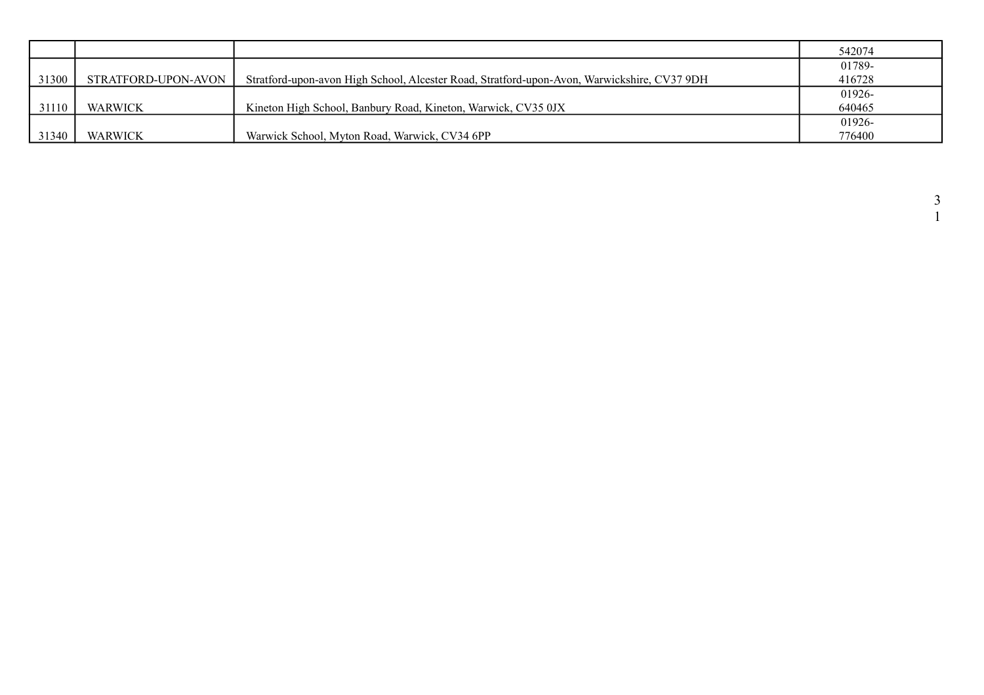|       |                     |                                                                                             | 542074 |
|-------|---------------------|---------------------------------------------------------------------------------------------|--------|
|       |                     |                                                                                             | 01789- |
| 31300 | STRATFORD-UPON-AVON | Stratford-upon-avon High School, Alcester Road, Stratford-upon-Avon, Warwickshire, CV37 9DH | 416728 |
|       |                     |                                                                                             | 01926- |
| 31110 | WARWICK             | Kineton High School, Banbury Road, Kineton, Warwick, CV35 0JX                               | 640465 |
|       |                     |                                                                                             | 01926- |
| 31340 | WARWICK             | Warwick School, Myton Road, Warwick, CV34 6PP                                               | 776400 |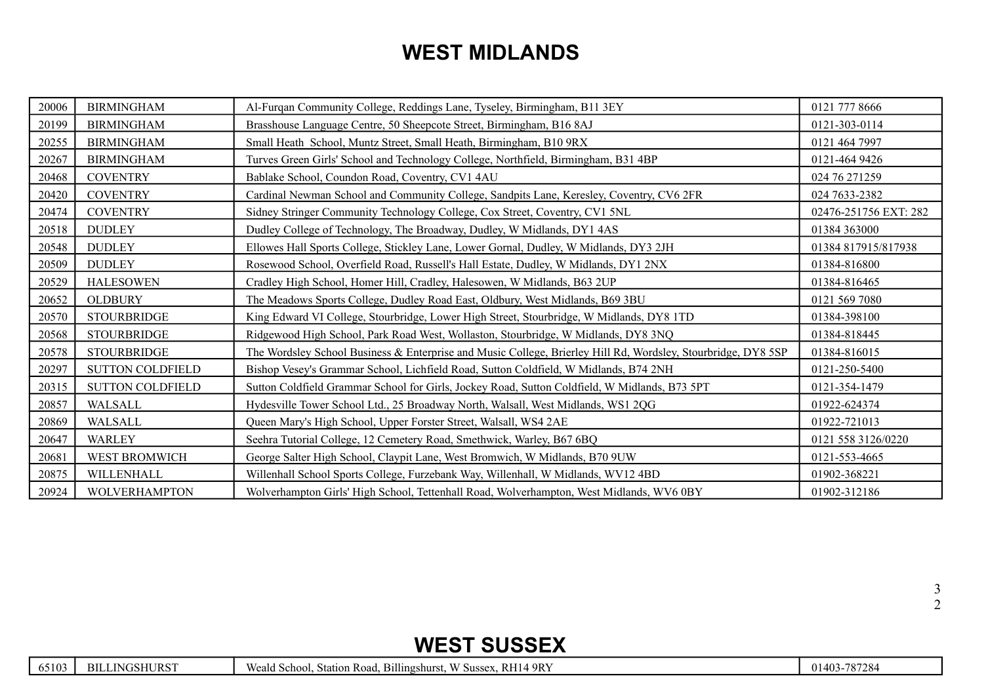## **WEST MIDLANDS**

| 20006 | <b>BIRMINGHAM</b>       | Al-Furqan Community College, Reddings Lane, Tyseley, Birmingham, B11 3EY                                      | 0121 777 8666         |
|-------|-------------------------|---------------------------------------------------------------------------------------------------------------|-----------------------|
| 20199 | <b>BIRMINGHAM</b>       | Brasshouse Language Centre, 50 Sheepcote Street, Birmingham, B16 8AJ                                          | 0121-303-0114         |
| 20255 | <b>BIRMINGHAM</b>       | Small Heath School, Muntz Street, Small Heath, Birmingham, B10 9RX                                            | 0121 464 7997         |
| 20267 | <b>BIRMINGHAM</b>       | Turves Green Girls' School and Technology College, Northfield, Birmingham, B31 4BP                            | 0121-464 9426         |
| 20468 | <b>COVENTRY</b>         | Bablake School, Coundon Road, Coventry, CV1 4AU                                                               | 024 76 271259         |
| 20420 | <b>COVENTRY</b>         | Cardinal Newman School and Community College, Sandpits Lane, Keresley, Coventry, CV6 2FR                      | 024 7633-2382         |
| 20474 | <b>COVENTRY</b>         | Sidney Stringer Community Technology College, Cox Street, Coventry, CV1 5NL                                   | 02476-251756 EXT: 282 |
| 20518 | <b>DUDLEY</b>           | Dudley College of Technology, The Broadway, Dudley, W Midlands, DY1 4AS                                       | 01384 363000          |
| 20548 | <b>DUDLEY</b>           | Ellowes Hall Sports College, Stickley Lane, Lower Gornal, Dudley, W Midlands, DY3 2JH                         | 01384 817915/817938   |
| 20509 | <b>DUDLEY</b>           | Rosewood School, Overfield Road, Russell's Hall Estate, Dudley, W Midlands, DY1 2NX                           | 01384-816800          |
| 20529 | <b>HALESOWEN</b>        | Cradley High School, Homer Hill, Cradley, Halesowen, W Midlands, B63 2UP                                      | 01384-816465          |
| 20652 | <b>OLDBURY</b>          | The Meadows Sports College, Dudley Road East, Oldbury, West Midlands, B69 3BU                                 | 0121 569 7080         |
| 20570 | <b>STOURBRIDGE</b>      | King Edward VI College, Stourbridge, Lower High Street, Stourbridge, W Midlands, DY8 1TD                      | 01384-398100          |
| 20568 | <b>STOURBRIDGE</b>      | Ridgewood High School, Park Road West, Wollaston, Stourbridge, W Midlands, DY8 3NQ                            | 01384-818445          |
| 20578 | <b>STOURBRIDGE</b>      | The Wordsley School Business & Enterprise and Music College, Brierley Hill Rd, Wordsley, Stourbridge, DY8 5SP | 01384-816015          |
| 20297 | <b>SUTTON COLDFIELD</b> | Bishop Vesey's Grammar School, Lichfield Road, Sutton Coldfield, W Midlands, B74 2NH                          | 0121-250-5400         |
| 20315 | <b>SUTTON COLDFIELD</b> | Sutton Coldfield Grammar School for Girls, Jockey Road, Sutton Coldfield, W Midlands, B73 5PT                 | 0121-354-1479         |
| 20857 | WALSALL                 | Hydesville Tower School Ltd., 25 Broadway North, Walsall, West Midlands, WS1 2QG                              | 01922-624374          |
| 20869 | WALSALL                 | Queen Mary's High School, Upper Forster Street, Walsall, WS4 2AE                                              | 01922-721013          |
| 20647 | WARLEY                  | Seehra Tutorial College, 12 Cemetery Road, Smethwick, Warley, B67 6BQ                                         | 0121 558 3126/0220    |
| 20681 | WEST BROMWICH           | George Salter High School, Claypit Lane, West Bromwich, W Midlands, B70 9UW                                   | 0121-553-4665         |
| 20875 | WILLENHALL              | Willenhall School Sports College, Furzebank Way, Willenhall, W Midlands, WV12 4BD                             | 01902-368221          |
| 20924 | <b>WOLVERHAMPTON</b>    | Wolverhampton Girls' High School, Tettenhall Road, Wolverhampton, West Midlands, WV6 0BY                      | 01902-312186          |

### **WEST SUSSEX**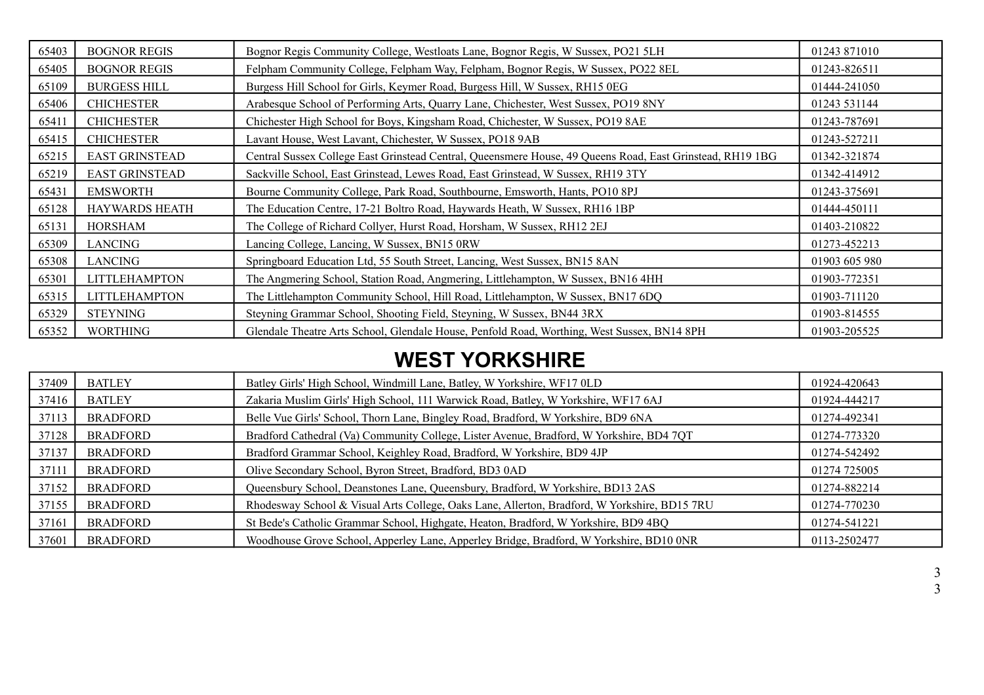| 65403 | <b>BOGNOR REGIS</b>   | Bognor Regis Community College, Westloats Lane, Bognor Regis, W Sussex, PO21 5LH                          | 01243 871010  |
|-------|-----------------------|-----------------------------------------------------------------------------------------------------------|---------------|
| 65405 | <b>BOGNOR REGIS</b>   | Felpham Community College, Felpham Way, Felpham, Bognor Regis, W Sussex, PO22 8EL                         | 01243-826511  |
| 65109 | <b>BURGESS HILL</b>   | Burgess Hill School for Girls, Keymer Road, Burgess Hill, W Sussex, RH15 0EG                              | 01444-241050  |
| 65406 | <b>CHICHESTER</b>     | Arabesque School of Performing Arts, Quarry Lane, Chichester, West Sussex, PO19 8NY                       | 01243 531144  |
| 65411 | <b>CHICHESTER</b>     | Chichester High School for Boys, Kingsham Road, Chichester, W Sussex, PO19 8AE                            | 01243-787691  |
| 65415 | <b>CHICHESTER</b>     | Lavant House, West Lavant, Chichester, W Sussex, PO18 9AB                                                 | 01243-527211  |
| 65215 | <b>EAST GRINSTEAD</b> | Central Sussex College East Grinstead Central, Queensmere House, 49 Queens Road, East Grinstead, RH19 1BG | 01342-321874  |
| 65219 | <b>EAST GRINSTEAD</b> | Sackville School, East Grinstead, Lewes Road, East Grinstead, W Sussex, RH19 3TY                          | 01342-414912  |
| 65431 | <b>EMSWORTH</b>       | Bourne Community College, Park Road, Southbourne, Emsworth, Hants, PO10 8PJ                               | 01243-375691  |
| 65128 | <b>HAYWARDS HEATH</b> | The Education Centre, 17-21 Boltro Road, Haywards Heath, W Sussex, RH16 1BP                               | 01444-450111  |
| 65131 | HORSHAM               | The College of Richard Collyer, Hurst Road, Horsham, W Sussex, RH12 2EJ                                   | 01403-210822  |
| 65309 | <b>LANCING</b>        | Lancing College, Lancing, W Sussex, BN15 0RW                                                              | 01273-452213  |
| 65308 | <b>LANCING</b>        | Springboard Education Ltd, 55 South Street, Lancing, West Sussex, BN15 8AN                                | 01903 605 980 |
| 65301 | <b>LITTLEHAMPTON</b>  | The Angmering School, Station Road, Angmering, Littlehampton, W Sussex, BN16 4HH                          | 01903-772351  |
| 65315 | <b>LITTLEHAMPTON</b>  | The Littlehampton Community School, Hill Road, Littlehampton, W Sussex, BN17 6DQ                          | 01903-711120  |
| 65329 | <b>STEYNING</b>       | Steyning Grammar School, Shooting Field, Steyning, W Sussex, BN44 3RX                                     | 01903-814555  |
| 65352 | <b>WORTHING</b>       | Glendale Theatre Arts School, Glendale House, Penfold Road, Worthing, West Sussex, BN14 8PH               | 01903-205525  |

## **WEST YORKSHIRE**

| 37409 | <b>BATLEY</b>   | Batley Girls' High School, Windmill Lane, Batley, W Yorkshire, WF17 0LD                      | 01924-420643 |
|-------|-----------------|----------------------------------------------------------------------------------------------|--------------|
| 37416 | <b>BATLEY</b>   | Zakaria Muslim Girls' High School, 111 Warwick Road, Batley, W Yorkshire, WF17 6AJ           | 01924-444217 |
| 37113 | <b>BRADFORD</b> | Belle Vue Girls' School, Thorn Lane, Bingley Road, Bradford, W Yorkshire, BD9 6NA            | 01274-492341 |
| 37128 | <b>BRADFORD</b> | Bradford Cathedral (Va) Community College, Lister Avenue, Bradford, W Yorkshire, BD4 7QT     | 01274-773320 |
| 37137 | <b>BRADFORD</b> | Bradford Grammar School, Keighley Road, Bradford, W Yorkshire, BD9 4JP                       | 01274-542492 |
| 37111 | <b>BRADFORD</b> | Olive Secondary School, Byron Street, Bradford, BD3 0AD                                      | 01274 725005 |
| 37152 | <b>BRADFORD</b> | Queensbury School, Deanstones Lane, Queensbury, Bradford, W Yorkshire, BD13 2AS              | 01274-882214 |
| 37155 | <b>BRADFORD</b> | Rhodesway School & Visual Arts College, Oaks Lane, Allerton, Bradford, W Yorkshire, BD15 7RU | 01274-770230 |
| 37161 | <b>BRADFORD</b> | St Bede's Catholic Grammar School, Highgate, Heaton, Bradford, W Yorkshire, BD9 4BQ          | 01274-541221 |
| 37601 | <b>BRADFORD</b> | Woodhouse Grove School, Apperley Lane, Apperley Bridge, Bradford, W Yorkshire, BD10 0NR      | 0113-2502477 |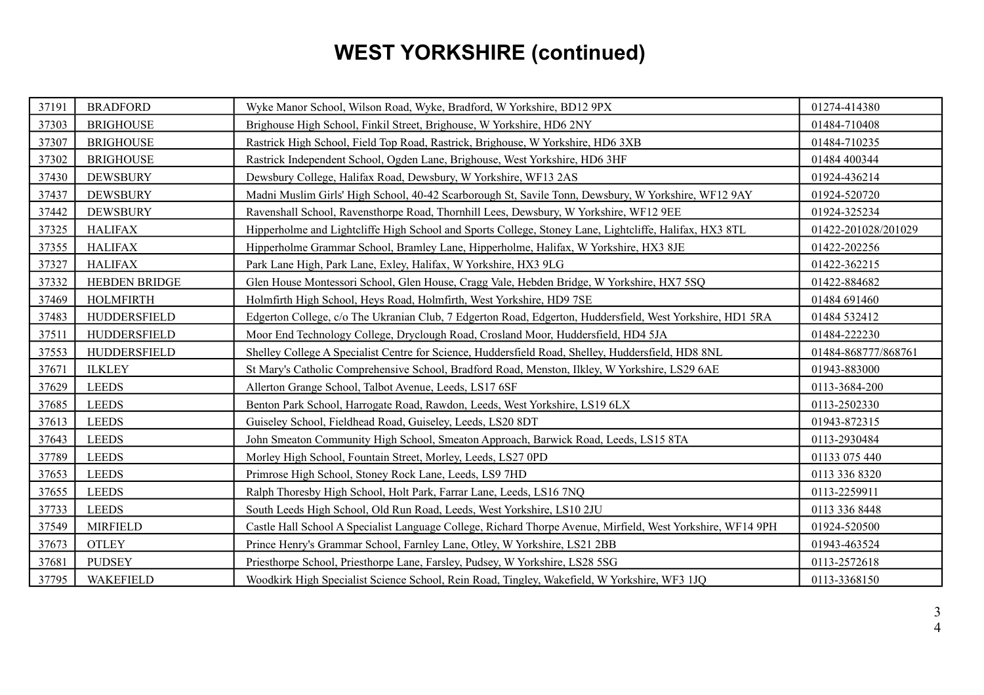# **WEST YORKSHIRE (continued)**

| 37191 | <b>BRADFORD</b>  | Wyke Manor School, Wilson Road, Wyke, Bradford, W Yorkshire, BD12 9PX                                       | 01274-414380        |
|-------|------------------|-------------------------------------------------------------------------------------------------------------|---------------------|
| 37303 | <b>BRIGHOUSE</b> | Brighouse High School, Finkil Street, Brighouse, W Yorkshire, HD6 2NY                                       | 01484-710408        |
| 37307 | <b>BRIGHOUSE</b> | Rastrick High School, Field Top Road, Rastrick, Brighouse, W Yorkshire, HD6 3XB                             | 01484-710235        |
| 37302 | <b>BRIGHOUSE</b> | Rastrick Independent School, Ogden Lane, Brighouse, West Yorkshire, HD6 3HF                                 | 01484 400344        |
| 37430 | <b>DEWSBURY</b>  | Dewsbury College, Halifax Road, Dewsbury, W Yorkshire, WF13 2AS                                             | 01924-436214        |
| 37437 | <b>DEWSBURY</b>  | Madni Muslim Girls' High School, 40-42 Scarborough St, Savile Tonn, Dewsbury, W Yorkshire, WF12 9AY         | 01924-520720        |
| 37442 | <b>DEWSBURY</b>  | Ravenshall School, Ravensthorpe Road, Thornhill Lees, Dewsbury, W Yorkshire, WF12 9EE                       | 01924-325234        |
| 37325 | <b>HALIFAX</b>   | Hipperholme and Lightcliffe High School and Sports College, Stoney Lane, Lightcliffe, Halifax, HX3 8TL      | 01422-201028/201029 |
| 37355 | <b>HALIFAX</b>   | Hipperholme Grammar School, Bramley Lane, Hipperholme, Halifax, W Yorkshire, HX3 8JE                        | 01422-202256        |
| 37327 | <b>HALIFAX</b>   | Park Lane High, Park Lane, Exley, Halifax, W Yorkshire, HX3 9LG                                             | 01422-362215        |
| 37332 | HEBDEN BRIDGE    | Glen House Montessori School, Glen House, Cragg Vale, Hebden Bridge, W Yorkshire, HX7 5SQ                   | 01422-884682        |
| 37469 | <b>HOLMFIRTH</b> | Holmfirth High School, Heys Road, Holmfirth, West Yorkshire, HD9 7SE                                        | 01484 691460        |
| 37483 | HUDDERSFIELD     | Edgerton College, c/o The Ukranian Club, 7 Edgerton Road, Edgerton, Huddersfield, West Yorkshire, HD1 5RA   | 01484 532412        |
| 37511 | HUDDERSFIELD     | Moor End Technology College, Dryclough Road, Crosland Moor, Huddersfield, HD4 5JA                           | 01484-222230        |
| 37553 | HUDDERSFIELD     | Shelley College A Specialist Centre for Science, Huddersfield Road, Shelley, Huddersfield, HD8 8NL          | 01484-868777/868761 |
| 37671 | <b>ILKLEY</b>    | St Mary's Catholic Comprehensive School, Bradford Road, Menston, Ilkley, W Yorkshire, LS29 6AE              | 01943-883000        |
| 37629 | <b>LEEDS</b>     | Allerton Grange School, Talbot Avenue, Leeds, LS17 6SF                                                      | 0113-3684-200       |
| 37685 | <b>LEEDS</b>     | Benton Park School, Harrogate Road, Rawdon, Leeds, West Yorkshire, LS19 6LX                                 | 0113-2502330        |
| 37613 | <b>LEEDS</b>     | Guiseley School, Fieldhead Road, Guiseley, Leeds, LS20 8DT                                                  | 01943-872315        |
| 37643 | <b>LEEDS</b>     | John Smeaton Community High School, Smeaton Approach, Barwick Road, Leeds, LS15 8TA                         | 0113-2930484        |
| 37789 | <b>LEEDS</b>     | Morley High School, Fountain Street, Morley, Leeds, LS27 0PD                                                | 01133 075 440       |
| 37653 | <b>LEEDS</b>     | Primrose High School, Stoney Rock Lane, Leeds, LS9 7HD                                                      | 0113 336 8320       |
| 37655 | <b>LEEDS</b>     | Ralph Thoresby High School, Holt Park, Farrar Lane, Leeds, LS16 7NQ                                         | 0113-2259911        |
| 37733 |                  |                                                                                                             |                     |
|       | <b>LEEDS</b>     | South Leeds High School, Old Run Road, Leeds, West Yorkshire, LS10 2JU                                      | 0113 336 8448       |
| 37549 | <b>MIRFIELD</b>  | Castle Hall School A Specialist Language College, Richard Thorpe Avenue, Mirfield, West Yorkshire, WF14 9PH | 01924-520500        |
| 37673 | <b>OTLEY</b>     | Prince Henry's Grammar School, Farnley Lane, Otley, W Yorkshire, LS21 2BB                                   | 01943-463524        |
| 37681 | <b>PUDSEY</b>    | Priesthorpe School, Priesthorpe Lane, Farsley, Pudsey, W Yorkshire, LS28 5SG                                | 0113-2572618        |